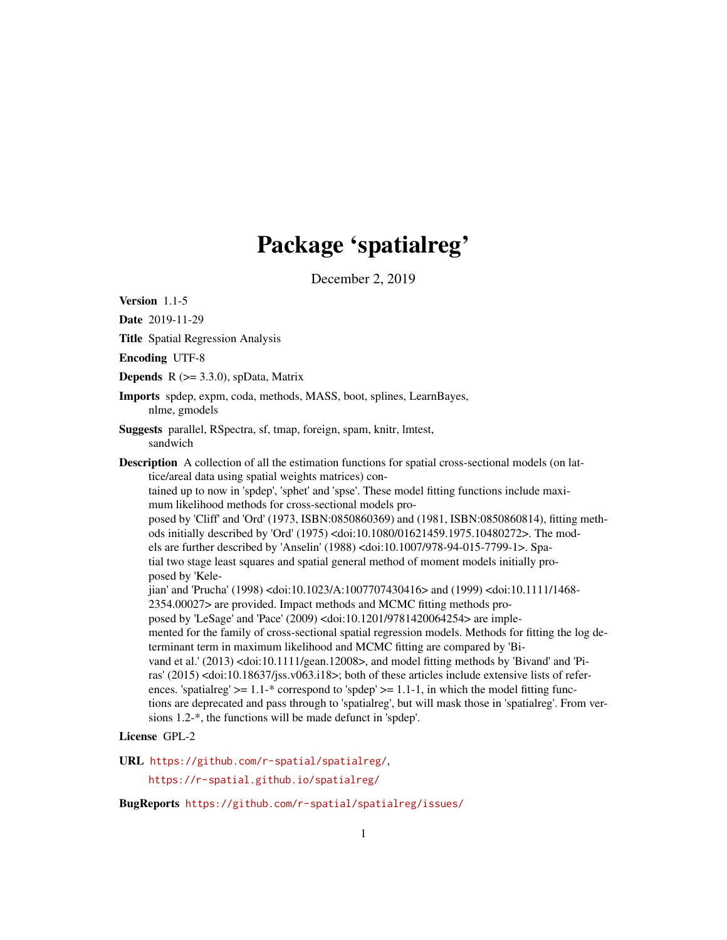# Package 'spatialreg'

December 2, 2019

<span id="page-0-0"></span>Version 1.1-5

Date 2019-11-29 Title Spatial Regression Analysis Encoding UTF-8 **Depends** R  $(>= 3.3.0)$ , spData, Matrix Imports spdep, expm, coda, methods, MASS, boot, splines, LearnBayes, nlme, gmodels Suggests parallel, RSpectra, sf, tmap, foreign, spam, knitr, lmtest, sandwich Description A collection of all the estimation functions for spatial cross-sectional models (on lattice/areal data using spatial weights matrices) contained up to now in 'spdep', 'sphet' and 'spse'. These model fitting functions include maximum likelihood methods for cross-sectional models proposed by 'Cliff' and 'Ord' (1973, ISBN:0850860369) and (1981, ISBN:0850860814), fitting methods initially described by 'Ord' (1975) <doi:10.1080/01621459.1975.10480272>. The models are further described by 'Anselin' (1988) <doi:10.1007/978-94-015-7799-1>. Spatial two stage least squares and spatial general method of moment models initially proposed by 'Kelejian' and 'Prucha' (1998) <doi:10.1023/A:1007707430416> and (1999) <doi:10.1111/1468- 2354.00027> are provided. Impact methods and MCMC fitting methods proposed by 'LeSage' and 'Pace' (2009) <doi:10.1201/9781420064254> are implemented for the family of cross-sectional spatial regression models. Methods for fitting the log determinant term in maximum likelihood and MCMC fitting are compared by 'Bivand et al.' (2013) <doi:10.1111/gean.12008>, and model fitting methods by 'Bivand' and 'Piras' (2015) <doi:10.18637/jss.v063.i18>; both of these articles include extensive lists of references. 'spatialreg'  $>= 1.1$ -\* correspond to 'spdep'  $>= 1.1$ -1, in which the model fitting functions are deprecated and pass through to 'spatialreg', but will mask those in 'spatialreg'. From versions 1.2-\*, the functions will be made defunct in 'spdep'. License GPL-2

URL <https://github.com/r-spatial/spatialreg/>,

<https://r-spatial.github.io/spatialreg/>

BugReports <https://github.com/r-spatial/spatialreg/issues/>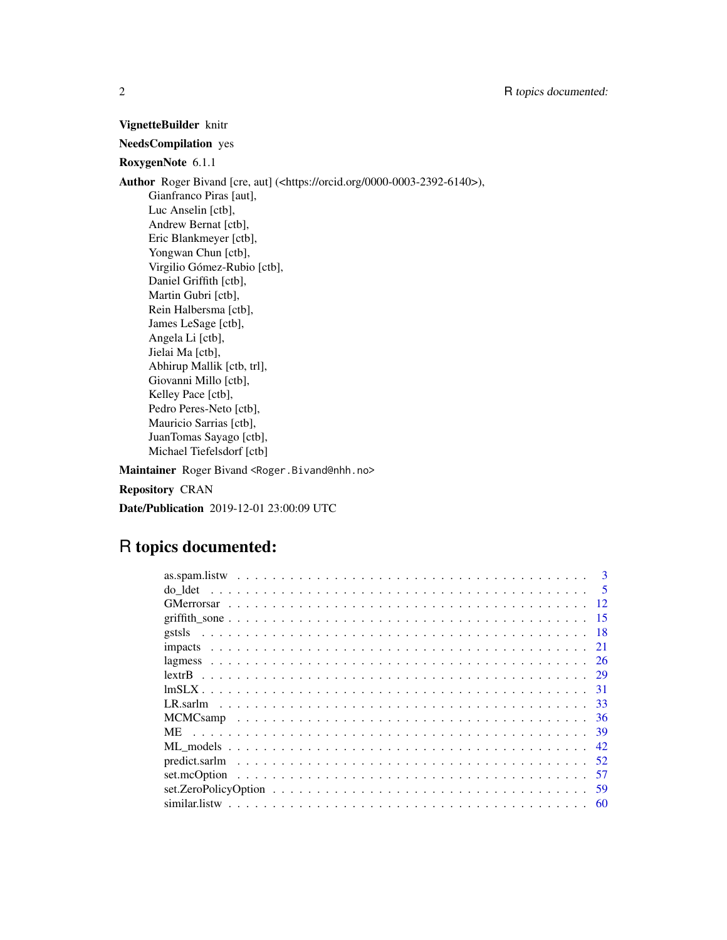### VignetteBuilder knitr

### NeedsCompilation yes

### RoxygenNote 6.1.1

Author Roger Bivand [cre, aut] (<https://orcid.org/0000-0003-2392-6140>), Gianfranco Piras [aut], Luc Anselin [ctb], Andrew Bernat [ctb], Eric Blankmeyer [ctb], Yongwan Chun [ctb], Virgilio Gómez-Rubio [ctb], Daniel Griffith [ctb], Martin Gubri [ctb], Rein Halbersma [ctb], James LeSage [ctb], Angela Li [ctb], Jielai Ma [ctb], Abhirup Mallik [ctb, trl], Giovanni Millo [ctb], Kelley Pace [ctb], Pedro Peres-Neto [ctb], Mauricio Sarrias [ctb], JuanTomas Sayago [ctb], Michael Tiefelsdorf [ctb]

Maintainer Roger Bivand <Roger.Bivand@nhh.no>

Repository CRAN

Date/Publication 2019-12-01 23:00:09 UTC

## R topics documented:

| 5<br>do ldet |
|--------------|
|              |
| 15           |
| -18          |
| -21          |
| 26           |
|              |
| -31          |
| -33          |
| -36          |
| <b>ME</b>    |
|              |
|              |
| 57           |
| 59           |
|              |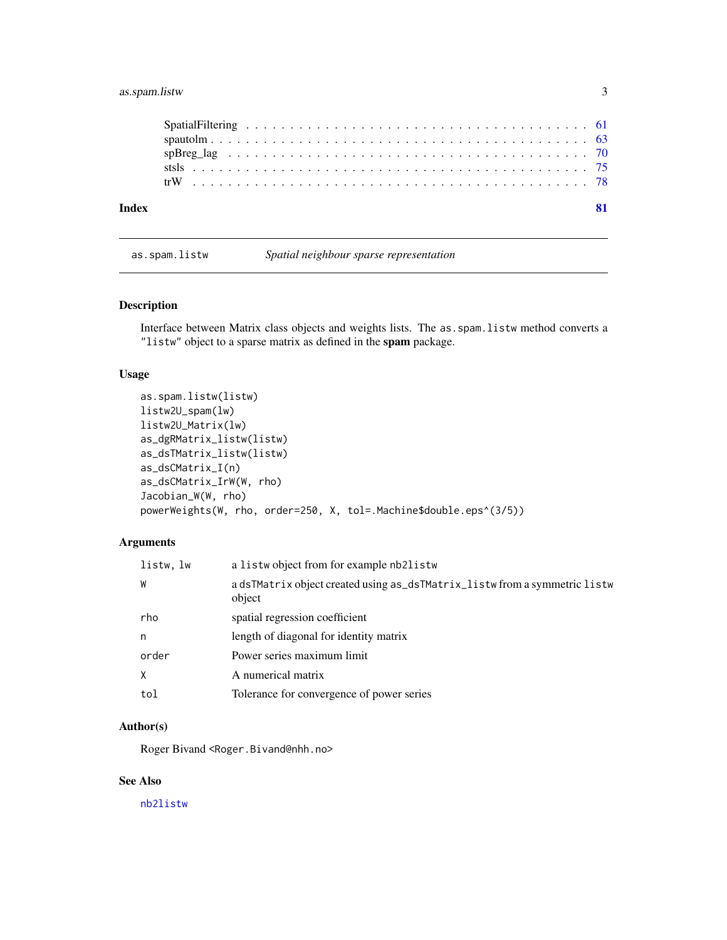### <span id="page-2-0"></span>as.spam.listw 3

| Index |  |
|-------|--|
|       |  |
|       |  |
|       |  |
|       |  |
|       |  |

### as.spam.listw *Spatial neighbour sparse representation*

### Description

Interface between Matrix class objects and weights lists. The as.spam.listw method converts a "listw" object to a sparse matrix as defined in the spam package.

### Usage

```
as.spam.listw(listw)
listw2U_spam(lw)
listw2U_Matrix(lw)
as_dgRMatrix_listw(listw)
as_dsTMatrix_listw(listw)
as_dsCMatrix_I(n)
as_dsCMatrix_IrW(W, rho)
Jacobian_W(W, rho)
powerWeights(W, rho, order=250, X, tol=.Machine$double.eps^(3/5))
```
### Arguments

| listw.lw | a listwo bject from for example nb2listw                                             |
|----------|--------------------------------------------------------------------------------------|
| W        | a dsTMatrix object created using as_dsTMatrix_listw from a symmetric listw<br>object |
| rho      | spatial regression coefficient                                                       |
| n        | length of diagonal for identity matrix                                               |
| order    | Power series maximum limit                                                           |
| X        | A numerical matrix                                                                   |
| tol      | Tolerance for convergence of power series                                            |

### Author(s)

Roger Bivand <Roger.Bivand@nhh.no>

### See Also

[nb2listw](#page-0-0)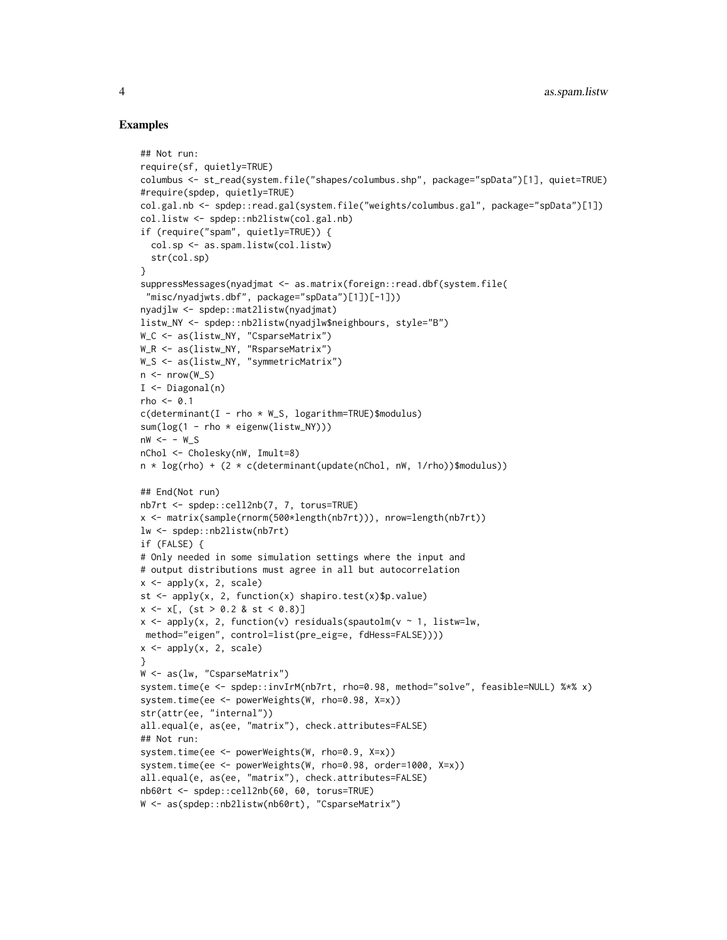```
## Not run:
require(sf, quietly=TRUE)
columbus <- st_read(system.file("shapes/columbus.shp", package="spData")[1], quiet=TRUE)
#require(spdep, quietly=TRUE)
col.gal.nb <- spdep::read.gal(system.file("weights/columbus.gal", package="spData")[1])
col.listw <- spdep::nb2listw(col.gal.nb)
if (require("spam", quietly=TRUE)) {
  col.sp <- as.spam.listw(col.listw)
  str(col.sp)
}
suppressMessages(nyadjmat <- as.matrix(foreign::read.dbf(system.file(
"misc/nyadjwts.dbf", package="spData")[1])[-1]))
nyadjlw <- spdep::mat2listw(nyadjmat)
listw_NY <- spdep::nb2listw(nyadjlw$neighbours, style="B")
W_C <- as(listw_NY, "CsparseMatrix")
W_R <- as(listw_NY, "RsparseMatrix")
W_S <- as(listw_NY, "symmetricMatrix")
n \leq -nrow(W_S)I \leftarrow Diagonal(n)rho <-0.1c(determinant(I - rho * W_S, logarithm=TRUE)$modulus)
sum(log(1 - rho * eigenw(listw_NY)))
nw < - - w S
nChol <- Cholesky(nW, Imult=8)
n * log(rho) + (2 * c(determinant(update(nChol, nW, 1/rho))$modulus))
## End(Not run)
nb7rt <- spdep::cell2nb(7, 7, torus=TRUE)
x <- matrix(sample(rnorm(500*length(nb7rt))), nrow=length(nb7rt))
lw <- spdep::nb2listw(nb7rt)
if (FALSE) {
# Only needed in some simulation settings where the input and
# output distributions must agree in all but autocorrelation
x \leftarrow apply(x, 2, scale)st <- apply(x, 2, function(x) shapiro.test(x)$p.value)
x \le x, (xt > 0.2 \& st < 0.8)]
x \leftarrow apply(x, 2, function(v) residuals(spautolm(v \sim 1, listw=lw,method="eigen", control=list(pre_eig=e, fdHess=FALSE))))
x \leq - apply(x, 2, scale)}
W <- as(lw, "CsparseMatrix")
system.time(e <- spdep::invIrM(nb7rt, rho=0.98, method="solve", feasible=NULL) %*% x)
system.time(ee <- powerWeights(W, rho=0.98, X=x))
str(attr(ee, "internal"))
all.equal(e, as(ee, "matrix"), check.attributes=FALSE)
## Not run:
system.time(ee <- powerWeights(W, rho=0.9, X=x))
system.time(ee <- powerWeights(W, rho=0.98, order=1000, X=x))
all.equal(e, as(ee, "matrix"), check.attributes=FALSE)
nb60rt <- spdep::cell2nb(60, 60, torus=TRUE)
W <- as(spdep::nb2listw(nb60rt), "CsparseMatrix")
```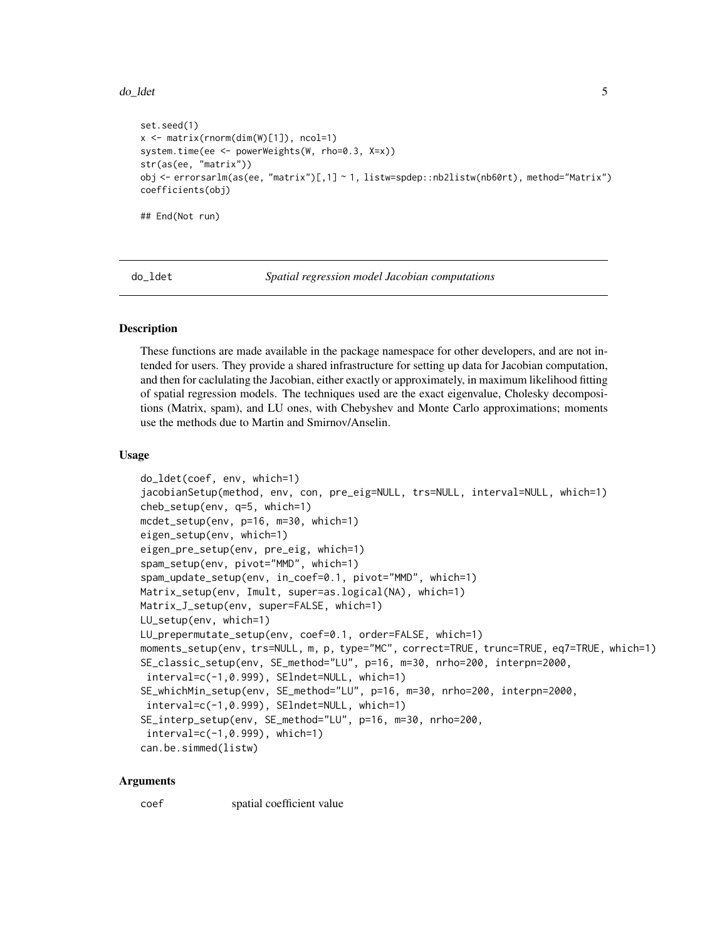#### <span id="page-4-0"></span>do\_ldet 5

```
set.seed(1)
x <- matrix(rnorm(dim(W)[1]), ncol=1)
system.time(ee <- powerWeights(W, rho=0.3, X=x))
str(as(ee, "matrix"))
obj <- errorsarlm(as(ee, "matrix")[,1] ~ 1, listw=spdep::nb2listw(nb60rt), method="Matrix")
coefficients(obj)
## End(Not run)
```
do\_ldet *Spatial regression model Jacobian computations*

#### Description

These functions are made available in the package namespace for other developers, and are not intended for users. They provide a shared infrastructure for setting up data for Jacobian computation, and then for caclulating the Jacobian, either exactly or approximately, in maximum likelihood fitting of spatial regression models. The techniques used are the exact eigenvalue, Cholesky decompositions (Matrix, spam), and LU ones, with Chebyshev and Monte Carlo approximations; moments use the methods due to Martin and Smirnov/Anselin.

#### Usage

```
do_ldet(coef, env, which=1)
jacobianSetup(method, env, con, pre_eig=NULL, trs=NULL, interval=NULL, which=1)
cheb_setup(env, q=5, which=1)
mcdet_setup(env, p=16, m=30, which=1)
eigen_setup(env, which=1)
eigen_pre_setup(env, pre_eig, which=1)
spam_setup(env, pivot="MMD", which=1)
spam_update_setup(env, in_coef=0.1, pivot="MMD", which=1)
Matrix_setup(env, Imult, super=as.logical(NA), which=1)
Matrix_J_setup(env, super=FALSE, which=1)
LU_setup(env, which=1)
LU_prepermutate_setup(env, coef=0.1, order=FALSE, which=1)
moments_setup(env, trs=NULL, m, p, type="MC", correct=TRUE, trunc=TRUE, eq7=TRUE, which=1)
SE_classic_setup(env, SE_method="LU", p=16, m=30, nrho=200, interpn=2000,
interval=c(-1,0.999), SElndet=NULL, which=1)
SE_whichMin_setup(env, SE_method="LU", p=16, m=30, nrho=200, interpn=2000,
interval=c(-1,0.999), SElndet=NULL, which=1)
SE_interp_setup(env, SE_method="LU", p=16, m=30, nrho=200,
 interval=c(-1,0.999), which=1)
can.be.simmed(listw)
```
#### Arguments

coef spatial coefficient value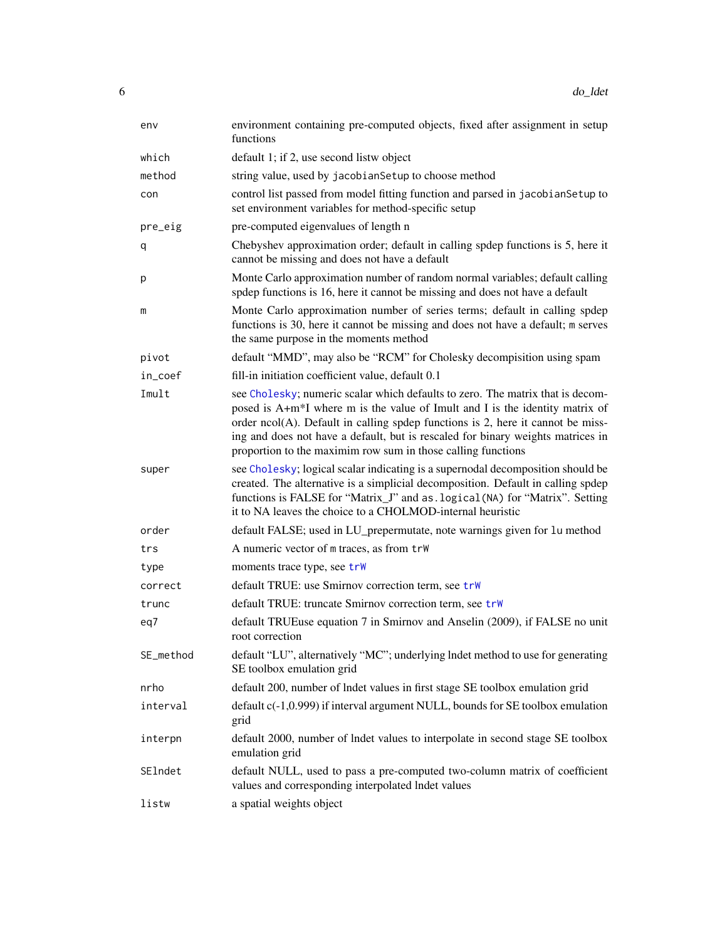| env       | environment containing pre-computed objects, fixed after assignment in setup<br>functions                                                                                                                                                                                                                                                                                                                            |
|-----------|----------------------------------------------------------------------------------------------------------------------------------------------------------------------------------------------------------------------------------------------------------------------------------------------------------------------------------------------------------------------------------------------------------------------|
| which     | default 1; if 2, use second listw object                                                                                                                                                                                                                                                                                                                                                                             |
| method    | string value, used by jacobian Setup to choose method                                                                                                                                                                                                                                                                                                                                                                |
| con       | control list passed from model fitting function and parsed in jacobianSetup to<br>set environment variables for method-specific setup                                                                                                                                                                                                                                                                                |
| pre_eig   | pre-computed eigenvalues of length n                                                                                                                                                                                                                                                                                                                                                                                 |
| q         | Chebyshev approximation order; default in calling spdep functions is 5, here it<br>cannot be missing and does not have a default                                                                                                                                                                                                                                                                                     |
| р         | Monte Carlo approximation number of random normal variables; default calling<br>spdep functions is 16, here it cannot be missing and does not have a default                                                                                                                                                                                                                                                         |
| m         | Monte Carlo approximation number of series terms; default in calling spdep<br>functions is 30, here it cannot be missing and does not have a default; m serves<br>the same purpose in the moments method                                                                                                                                                                                                             |
| pivot     | default "MMD", may also be "RCM" for Cholesky decompisition using spam                                                                                                                                                                                                                                                                                                                                               |
| in_coef   | fill-in initiation coefficient value, default 0.1                                                                                                                                                                                                                                                                                                                                                                    |
| Imult     | see Cholesky; numeric scalar which defaults to zero. The matrix that is decom-<br>posed is A+m <sup>*</sup> I where m is the value of Imult and I is the identity matrix of<br>order $ncol(A)$ . Default in calling spdep functions is 2, here it cannot be miss-<br>ing and does not have a default, but is rescaled for binary weights matrices in<br>proportion to the maximim row sum in those calling functions |
| super     | see Cholesky; logical scalar indicating is a supernodal decomposition should be<br>created. The alternative is a simplicial decomposition. Default in calling spdep<br>functions is FALSE for "Matrix_J" and as . logical (NA) for "Matrix". Setting<br>it to NA leaves the choice to a CHOLMOD-internal heuristic                                                                                                   |
| order     | default FALSE; used in LU_prepermutate, note warnings given for 1u method                                                                                                                                                                                                                                                                                                                                            |
| trs       | A numeric vector of m traces, as from trW                                                                                                                                                                                                                                                                                                                                                                            |
| type      | moments trace type, see trw                                                                                                                                                                                                                                                                                                                                                                                          |
| correct   | default TRUE: use Smirnov correction term, see trW                                                                                                                                                                                                                                                                                                                                                                   |
| trunc     | default TRUE: truncate Smirnov correction term, see trW                                                                                                                                                                                                                                                                                                                                                              |
| eq7       | default TRUEuse equation 7 in Smirnov and Anselin (2009), if FALSE no unit<br>root correction                                                                                                                                                                                                                                                                                                                        |
| SE_method | default "LU", alternatively "MC"; underlying lndet method to use for generating<br>SE toolbox emulation grid                                                                                                                                                                                                                                                                                                         |
| nrho      | default 200, number of lndet values in first stage SE toolbox emulation grid                                                                                                                                                                                                                                                                                                                                         |
| interval  | default c(-1,0.999) if interval argument NULL, bounds for SE toolbox emulation<br>grid                                                                                                                                                                                                                                                                                                                               |
| interpn   | default 2000, number of lndet values to interpolate in second stage SE toolbox<br>emulation grid                                                                                                                                                                                                                                                                                                                     |
| SElndet   | default NULL, used to pass a pre-computed two-column matrix of coefficient<br>values and corresponding interpolated lndet values                                                                                                                                                                                                                                                                                     |
| listw     | a spatial weights object                                                                                                                                                                                                                                                                                                                                                                                             |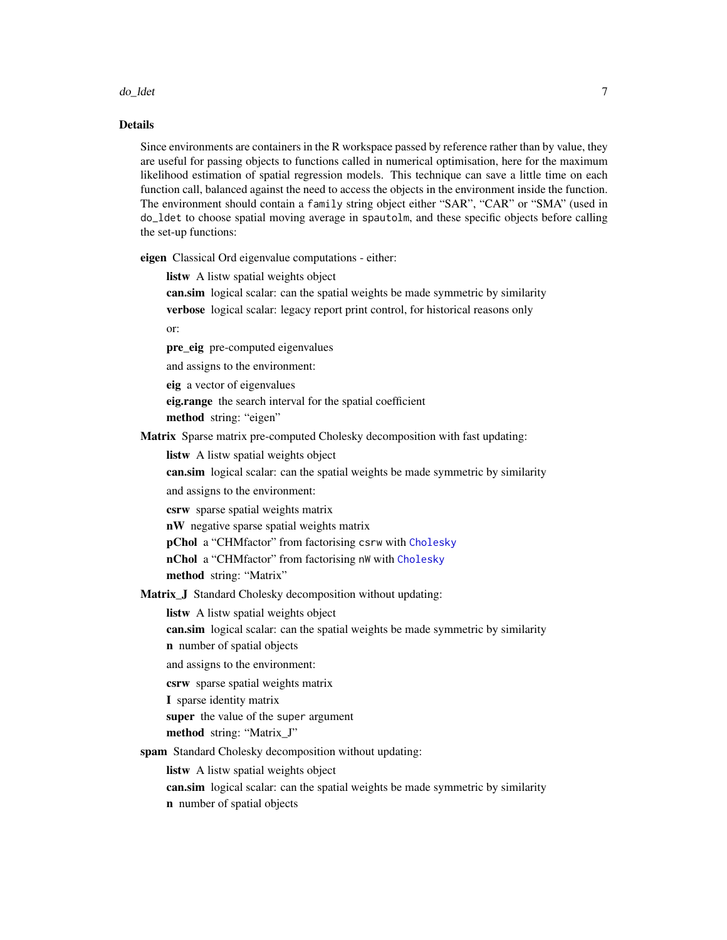#### do\_ldet 7

#### Details

Since environments are containers in the R workspace passed by reference rather than by value, they are useful for passing objects to functions called in numerical optimisation, here for the maximum likelihood estimation of spatial regression models. This technique can save a little time on each function call, balanced against the need to access the objects in the environment inside the function. The environment should contain a family string object either "SAR", "CAR" or "SMA" (used in do\_ldet to choose spatial moving average in spautolm, and these specific objects before calling the set-up functions:

eigen Classical Ord eigenvalue computations - either:

listw A listw spatial weights object

can.sim logical scalar: can the spatial weights be made symmetric by similarity verbose logical scalar: legacy report print control, for historical reasons only

or:

- pre\_eig pre-computed eigenvalues
- and assigns to the environment:

eig a vector of eigenvalues

eig.range the search interval for the spatial coefficient

method string: "eigen"

- Matrix Sparse matrix pre-computed Cholesky decomposition with fast updating:
	- listw A listw spatial weights object
	- can.sim logical scalar: can the spatial weights be made symmetric by similarity
	- and assigns to the environment:
	- csrw sparse spatial weights matrix
	- nW negative sparse spatial weights matrix
	- pChol a "CHMfactor" from factorising csrw with [Cholesky](#page-0-0)
	- nChol a "CHMfactor" from factorising nW with [Cholesky](#page-0-0)

method string: "Matrix"

Matrix\_J Standard Cholesky decomposition without updating:

listw A listw spatial weights object

- can.sim logical scalar: can the spatial weights be made symmetric by similarity
- n number of spatial objects
- and assigns to the environment:
- csrw sparse spatial weights matrix
- I sparse identity matrix
- super the value of the super argument
- method string: "Matrix\_J"
- spam Standard Cholesky decomposition without updating:
	- listw A listw spatial weights object
	- can.sim logical scalar: can the spatial weights be made symmetric by similarity n number of spatial objects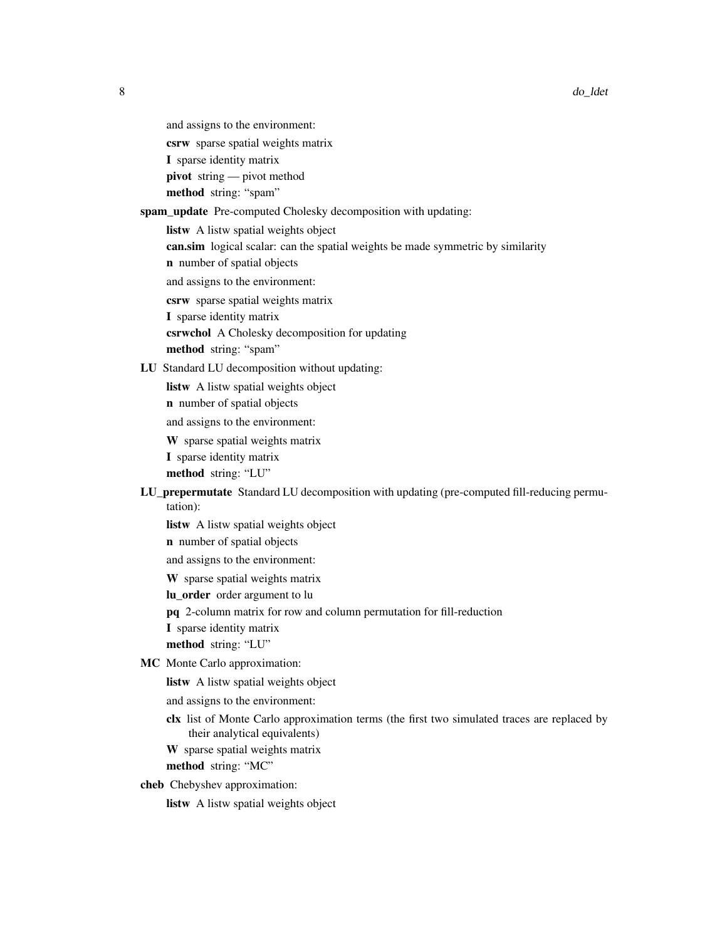- and assigns to the environment:
- csrw sparse spatial weights matrix
- I sparse identity matrix
- pivot string pivot method

method string: "spam"

#### spam\_update Pre-computed Cholesky decomposition with updating:

listw A listw spatial weights object

can.sim logical scalar: can the spatial weights be made symmetric by similarity

n number of spatial objects

and assigns to the environment:

csrw sparse spatial weights matrix

- I sparse identity matrix
- csrwchol A Cholesky decomposition for updating

method string: "spam"

#### LU Standard LU decomposition without updating:

- listw A listw spatial weights object
- n number of spatial objects

and assigns to the environment:

W sparse spatial weights matrix

I sparse identity matrix

method string: "LU"

### LU\_prepermutate Standard LU decomposition with updating (pre-computed fill-reducing permutation):

listw A listw spatial weights object

n number of spatial objects

and assigns to the environment:

W sparse spatial weights matrix

lu order order argument to lu

pq 2-column matrix for row and column permutation for fill-reduction

I sparse identity matrix

method string: "LU"

- MC Monte Carlo approximation:
	- listw A listw spatial weights object

and assigns to the environment:

clx list of Monte Carlo approximation terms (the first two simulated traces are replaced by their analytical equivalents)

W sparse spatial weights matrix method string: "MC"

cheb Chebyshev approximation:

listw A listw spatial weights object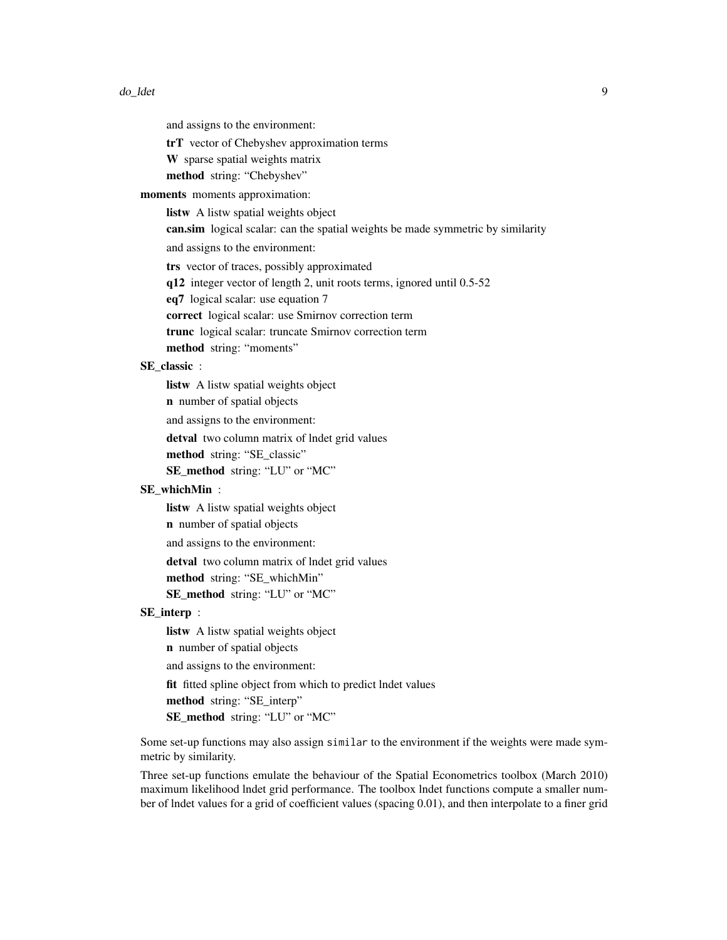and assigns to the environment:

trT vector of Chebyshev approximation terms

- W sparse spatial weights matrix
- method string: "Chebyshev"

moments moments approximation:

listw A listw spatial weights object

can.sim logical scalar: can the spatial weights be made symmetric by similarity

and assigns to the environment:

trs vector of traces, possibly approximated

q12 integer vector of length 2, unit roots terms, ignored until 0.5-52

eq7 logical scalar: use equation 7

correct logical scalar: use Smirnov correction term

trunc logical scalar: truncate Smirnov correction term

method string: "moments"

### SE\_classic :

listw A listw spatial weights object

n number of spatial objects

and assigns to the environment:

detval two column matrix of lndet grid values

method string: "SE\_classic"

SE\_method string: "LU" or "MC"

### SE\_whichMin :

listw A listw spatial weights object

n number of spatial objects

and assigns to the environment:

detval two column matrix of lndet grid values

method string: "SE\_whichMin"

SE\_method string: "LU" or "MC"

#### SE\_interp :

listw A listw spatial weights object n number of spatial objects and assigns to the environment: fit fitted spline object from which to predict lndet values method string: "SE\_interp" SE\_method string: "LU" or "MC"

Some set-up functions may also assign similar to the environment if the weights were made symmetric by similarity.

Three set-up functions emulate the behaviour of the Spatial Econometrics toolbox (March 2010) maximum likelihood lndet grid performance. The toolbox lndet functions compute a smaller number of lndet values for a grid of coefficient values (spacing 0.01), and then interpolate to a finer grid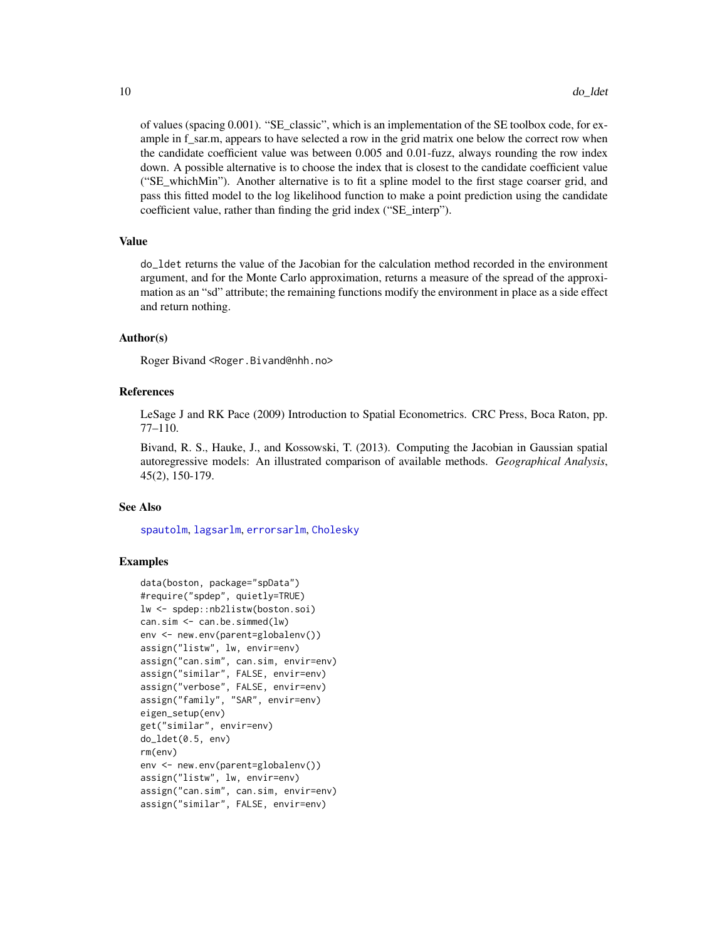of values (spacing 0.001). "SE\_classic", which is an implementation of the SE toolbox code, for example in f\_sar.m, appears to have selected a row in the grid matrix one below the correct row when the candidate coefficient value was between 0.005 and 0.01-fuzz, always rounding the row index down. A possible alternative is to choose the index that is closest to the candidate coefficient value ("SE\_whichMin"). Another alternative is to fit a spline model to the first stage coarser grid, and pass this fitted model to the log likelihood function to make a point prediction using the candidate coefficient value, rather than finding the grid index ("SE\_interp").

#### Value

do\_ldet returns the value of the Jacobian for the calculation method recorded in the environment argument, and for the Monte Carlo approximation, returns a measure of the spread of the approximation as an "sd" attribute; the remaining functions modify the environment in place as a side effect and return nothing.

#### Author(s)

Roger Bivand <Roger.Bivand@nhh.no>

#### References

LeSage J and RK Pace (2009) Introduction to Spatial Econometrics. CRC Press, Boca Raton, pp. 77–110.

Bivand, R. S., Hauke, J., and Kossowski, T. (2013). Computing the Jacobian in Gaussian spatial autoregressive models: An illustrated comparison of available methods. *Geographical Analysis*, 45(2), 150-179.

#### See Also

[spautolm](#page-62-1), [lagsarlm](#page-41-1), [errorsarlm](#page-41-1), [Cholesky](#page-0-0)

```
data(boston, package="spData")
#require("spdep", quietly=TRUE)
lw <- spdep::nb2listw(boston.soi)
can.sim \leq can.be.simmed(lw)
env <- new.env(parent=globalenv())
assign("listw", lw, envir=env)
assign("can.sim", can.sim, envir=env)
assign("similar", FALSE, envir=env)
assign("verbose", FALSE, envir=env)
assign("family", "SAR", envir=env)
eigen_setup(env)
get("similar", envir=env)
do_ldet(0.5, env)
rm(env)
env <- new.env(parent=globalenv())
assign("listw", lw, envir=env)
assign("can.sim", can.sim, envir=env)
assign("similar", FALSE, envir=env)
```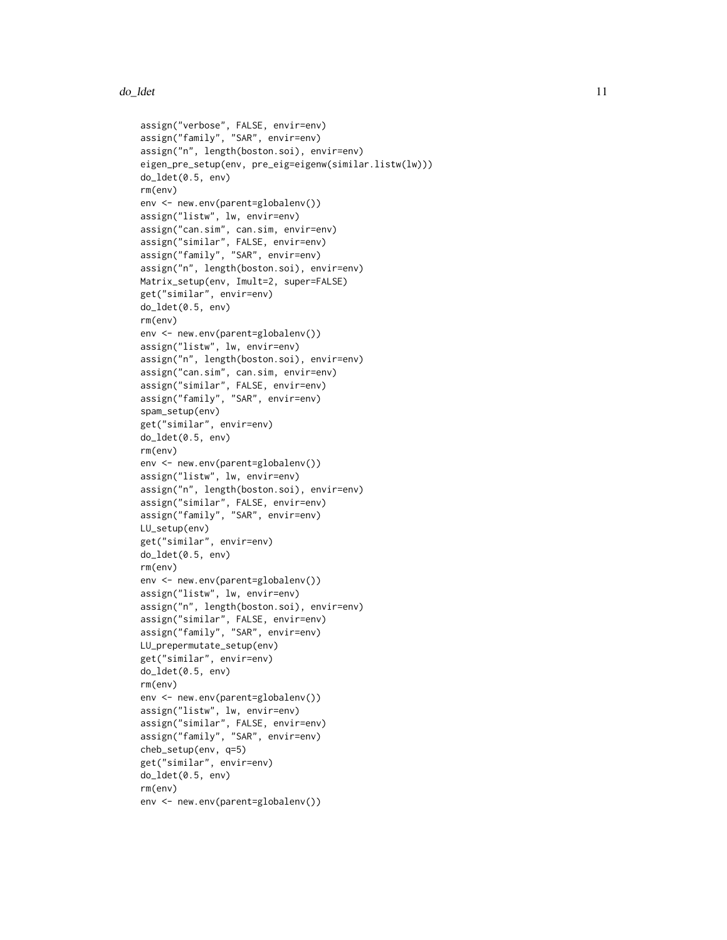```
assign("verbose", FALSE, envir=env)
assign("family", "SAR", envir=env)
assign("n", length(boston.soi), envir=env)
eigen_pre_setup(env, pre_eig=eigenw(similar.listw(lw)))
do_ldet(0.5, env)
rm(env)
env <- new.env(parent=globalenv())
assign("listw", lw, envir=env)
assign("can.sim", can.sim, envir=env)
assign("similar", FALSE, envir=env)
assign("family", "SAR", envir=env)
assign("n", length(boston.soi), envir=env)
Matrix_setup(env, Imult=2, super=FALSE)
get("similar", envir=env)
do_ldet(0.5, env)
rm(env)
env <- new.env(parent=globalenv())
assign("listw", lw, envir=env)
assign("n", length(boston.soi), envir=env)
assign("can.sim", can.sim, envir=env)
assign("similar", FALSE, envir=env)
assign("family", "SAR", envir=env)
spam_setup(env)
get("similar", envir=env)
do_ldet(0.5, env)
rm(env)
env <- new.env(parent=globalenv())
assign("listw", lw, envir=env)
assign("n", length(boston.soi), envir=env)
assign("similar", FALSE, envir=env)
assign("family", "SAR", envir=env)
LU_setup(env)
get("similar", envir=env)
do_ldet(0.5, env)
rm(env)
env <- new.env(parent=globalenv())
assign("listw", lw, envir=env)
assign("n", length(boston.soi), envir=env)
assign("similar", FALSE, envir=env)
assign("family", "SAR", envir=env)
LU_prepermutate_setup(env)
get("similar", envir=env)
do_ldet(0.5, env)
rm(env)
env <- new.env(parent=globalenv())
assign("listw", lw, envir=env)
assign("similar", FALSE, envir=env)
assign("family", "SAR", envir=env)
cheb_setup(env, q=5)
get("similar", envir=env)
do_ldet(0.5, env)
rm(env)
env <- new.env(parent=globalenv())
```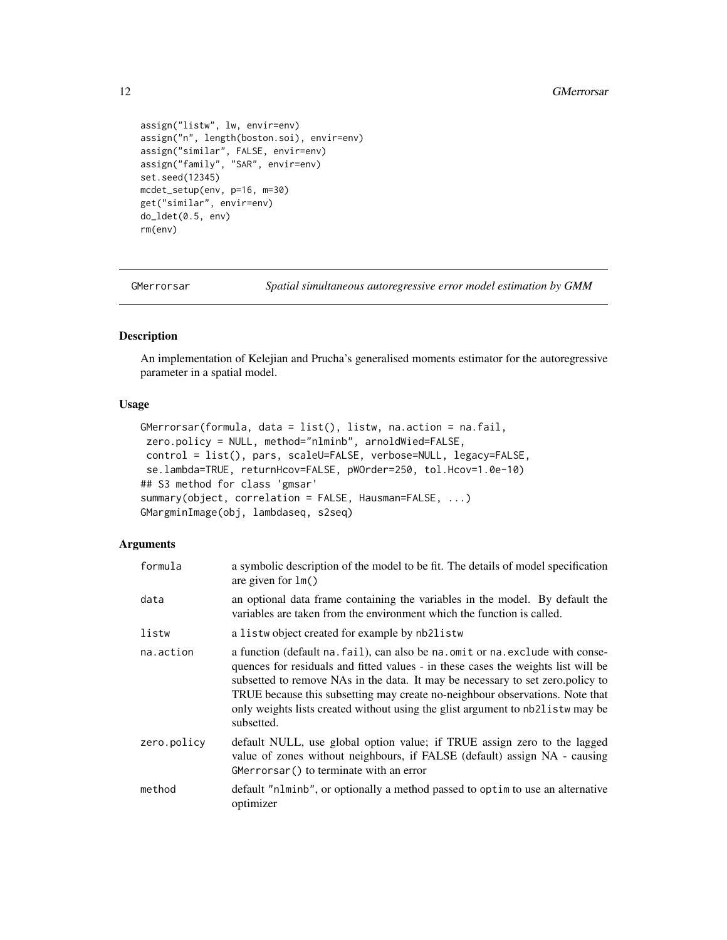```
assign("listw", lw, envir=env)
assign("n", length(boston.soi), envir=env)
assign("similar", FALSE, envir=env)
assign("family", "SAR", envir=env)
set.seed(12345)
mcdet_setup(env, p=16, m=30)
get("similar", envir=env)
do_ldet(0.5, env)
rm(env)
```
<span id="page-11-1"></span>GMerrorsar *Spatial simultaneous autoregressive error model estimation by GMM*

### <span id="page-11-2"></span>Description

An implementation of Kelejian and Prucha's generalised moments estimator for the autoregressive parameter in a spatial model.

### Usage

```
GMerrorsar(formula, data = list(), listw, na.action = na.fail,
zero.policy = NULL, method="nlminb", arnoldWied=FALSE,
control = list(), pars, scaleU=FALSE, verbose=NULL, legacy=FALSE,
se.lambda=TRUE, returnHcov=FALSE, pWOrder=250, tol.Hcov=1.0e-10)
## S3 method for class 'gmsar'
summary(object, correlation = FALSE, Hausman=FALSE, ...)
GMargminImage(obj, lambdaseq, s2seq)
```
#### Arguments

| formula     | a symbolic description of the model to be fit. The details of model specification<br>are given for $lm()$                                                                                                                                                                                                                                                                                                                                |
|-------------|------------------------------------------------------------------------------------------------------------------------------------------------------------------------------------------------------------------------------------------------------------------------------------------------------------------------------------------------------------------------------------------------------------------------------------------|
| data        | an optional data frame containing the variables in the model. By default the<br>variables are taken from the environment which the function is called.                                                                                                                                                                                                                                                                                   |
| listw       | a listwo bject created for example by nb2listw                                                                                                                                                                                                                                                                                                                                                                                           |
| na.action   | a function (default na. fail), can also be na. omit or na. exclude with conse-<br>quences for residuals and fitted values - in these cases the weights list will be<br>subsetted to remove NAs in the data. It may be necessary to set zero.policy to<br>TRUE because this subsetting may create no-neighbour observations. Note that<br>only weights lists created without using the glist argument to nb21 is two may be<br>subsetted. |
| zero.policy | default NULL, use global option value; if TRUE assign zero to the lagged<br>value of zones without neighbours, if FALSE (default) assign NA - causing<br>GMerrorsar () to terminate with an error                                                                                                                                                                                                                                        |
| method      | default "nlminb", or optionally a method passed to optim to use an alternative<br>optimizer                                                                                                                                                                                                                                                                                                                                              |

<span id="page-11-0"></span>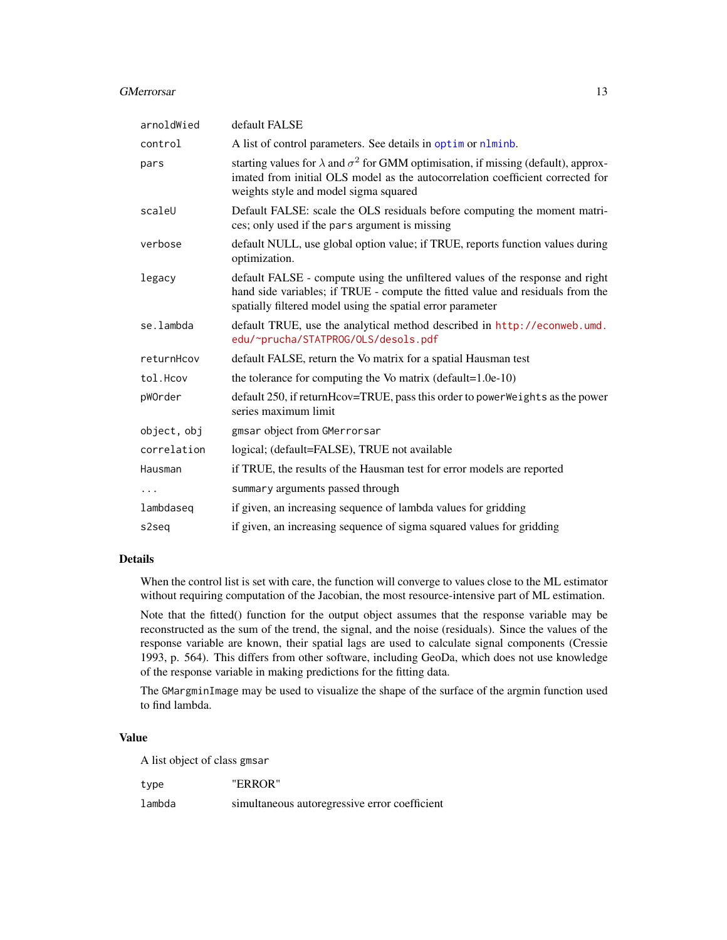#### GMerrorsar and the state of the state of the state of the state of the state of the state of the state of the state of the state of the state of the state of the state of the state of the state of the state of the state of

| arnoldWied  | default FALSE                                                                                                                                                                                                                 |
|-------------|-------------------------------------------------------------------------------------------------------------------------------------------------------------------------------------------------------------------------------|
| control     | A list of control parameters. See details in optim or nlminb.                                                                                                                                                                 |
| pars        | starting values for $\lambda$ and $\sigma^2$ for GMM optimisation, if missing (default), approx-<br>imated from initial OLS model as the autocorrelation coefficient corrected for<br>weights style and model sigma squared   |
| scaleU      | Default FALSE: scale the OLS residuals before computing the moment matri-<br>ces; only used if the pars argument is missing                                                                                                   |
| verbose     | default NULL, use global option value; if TRUE, reports function values during<br>optimization.                                                                                                                               |
| legacy      | default FALSE - compute using the unfiltered values of the response and right<br>hand side variables; if TRUE - compute the fitted value and residuals from the<br>spatially filtered model using the spatial error parameter |
| se.lambda   | default TRUE, use the analytical method described in http://econweb.umd.<br>edu/~prucha/STATPROG/OLS/desols.pdf                                                                                                               |
| returnHcov  | default FALSE, return the Vo matrix for a spatial Hausman test                                                                                                                                                                |
| tol.Hcov    | the tolerance for computing the Vo matrix (default= $1.0e-10$ )                                                                                                                                                               |
| pWOrder     | default 250, if returnHcov=TRUE, pass this order to powerWeights as the power<br>series maximum limit                                                                                                                         |
| object, obj | gmsar object from GMerrorsar                                                                                                                                                                                                  |
| correlation | logical; (default=FALSE), TRUE not available                                                                                                                                                                                  |
| Hausman     | if TRUE, the results of the Hausman test for error models are reported                                                                                                                                                        |
|             | summary arguments passed through                                                                                                                                                                                              |
| lambdaseg   | if given, an increasing sequence of lambda values for gridding                                                                                                                                                                |
| s2seg       | if given, an increasing sequence of sigma squared values for gridding                                                                                                                                                         |

#### Details

When the control list is set with care, the function will converge to values close to the ML estimator without requiring computation of the Jacobian, the most resource-intensive part of ML estimation.

Note that the fitted() function for the output object assumes that the response variable may be reconstructed as the sum of the trend, the signal, and the noise (residuals). Since the values of the response variable are known, their spatial lags are used to calculate signal components (Cressie 1993, p. 564). This differs from other software, including GeoDa, which does not use knowledge of the response variable in making predictions for the fitting data.

The GMargminImage may be used to visualize the shape of the surface of the argmin function used to find lambda.

### Value

A list object of class gmsar

type "ERROR"

lambda simultaneous autoregressive error coefficient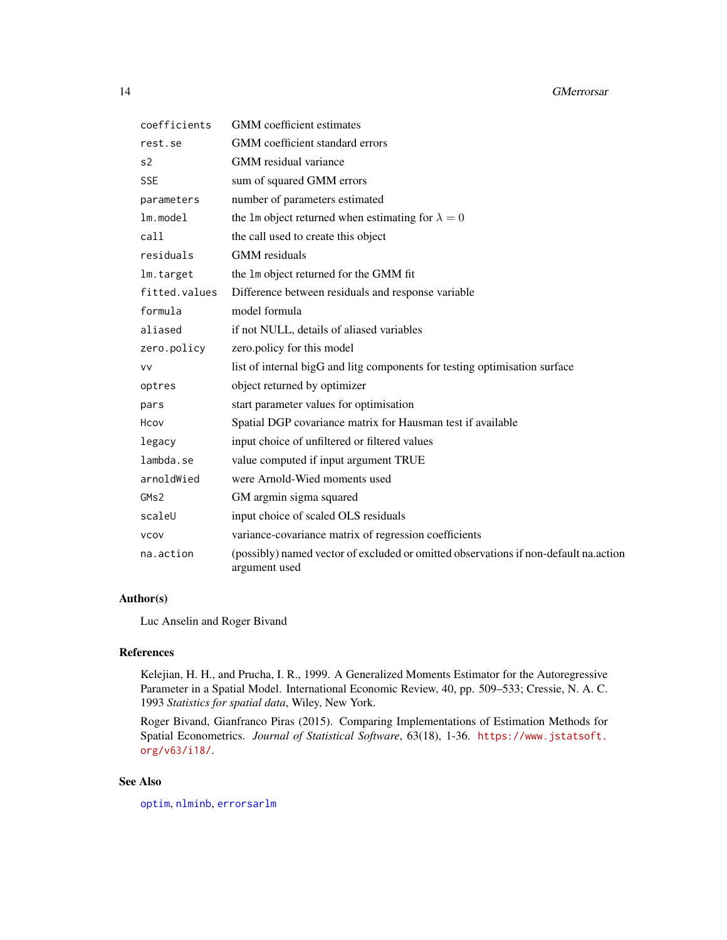| coefficients  | <b>GMM</b> coefficient estimates                                                                      |
|---------------|-------------------------------------------------------------------------------------------------------|
| rest.se       | GMM coefficient standard errors                                                                       |
| s2            | GMM residual variance                                                                                 |
| <b>SSE</b>    | sum of squared GMM errors                                                                             |
| parameters    | number of parameters estimated                                                                        |
| $lm$ . model  | the 1m object returned when estimating for $\lambda = 0$                                              |
| call          | the call used to create this object                                                                   |
| residuals     | <b>GMM</b> residuals                                                                                  |
| lm.target     | the 1m object returned for the GMM fit                                                                |
| fitted.values | Difference between residuals and response variable                                                    |
| formula       | model formula                                                                                         |
| aliased       | if not NULL, details of aliased variables                                                             |
| zero.policy   | zero.policy for this model                                                                            |
| <b>VV</b>     | list of internal bigG and litg components for testing optimisation surface                            |
| optres        | object returned by optimizer                                                                          |
| pars          | start parameter values for optimisation                                                               |
| Hcov          | Spatial DGP covariance matrix for Hausman test if available                                           |
| legacy        | input choice of unfiltered or filtered values                                                         |
| lambda.se     | value computed if input argument TRUE                                                                 |
| arnoldWied    | were Arnold-Wied moments used                                                                         |
| GMS2          | GM argmin sigma squared                                                                               |
| scaleU        | input choice of scaled OLS residuals                                                                  |
| <b>VCOV</b>   | variance-covariance matrix of regression coefficients                                                 |
| na.action     | (possibly) named vector of excluded or omitted observations if non-default na.action<br>argument used |

### Author(s)

Luc Anselin and Roger Bivand

### References

Kelejian, H. H., and Prucha, I. R., 1999. A Generalized Moments Estimator for the Autoregressive Parameter in a Spatial Model. International Economic Review, 40, pp. 509–533; Cressie, N. A. C. 1993 *Statistics for spatial data*, Wiley, New York.

Roger Bivand, Gianfranco Piras (2015). Comparing Implementations of Estimation Methods for Spatial Econometrics. *Journal of Statistical Software*, 63(18), 1-36. [https://www.jstatsoft.](https://www.jstatsoft.org/v63/i18/) [org/v63/i18/](https://www.jstatsoft.org/v63/i18/).

### See Also

[optim](#page-0-0), [nlminb](#page-0-0), [errorsarlm](#page-41-1)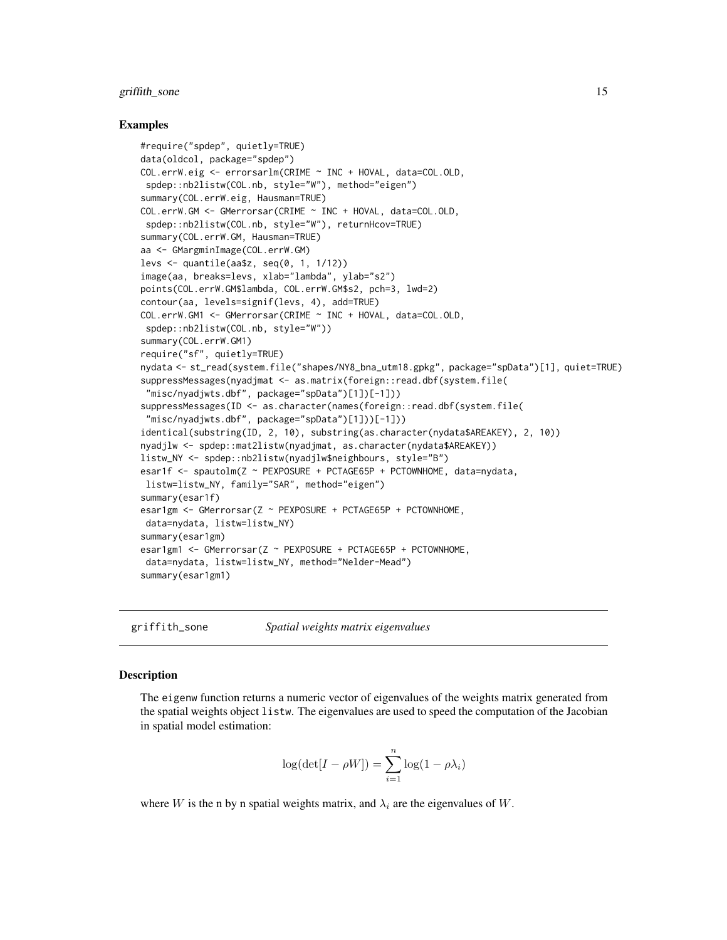#### <span id="page-14-0"></span>griffith\_sone 15

#### Examples

```
#require("spdep", quietly=TRUE)
data(oldcol, package="spdep")
COL.errW.eig <- errorsarlm(CRIME ~ INC + HOVAL, data=COL.OLD,
spdep::nb2listw(COL.nb, style="W"), method="eigen")
summary(COL.errW.eig, Hausman=TRUE)
COL.errW.GM <- GMerrorsar(CRIME ~ INC + HOVAL, data=COL.OLD,
 spdep::nb2listw(COL.nb, style="W"), returnHcov=TRUE)
summary(COL.errW.GM, Hausman=TRUE)
aa <- GMargminImage(COL.errW.GM)
levs <- quantile(aa$z, seq(0, 1, 1/12))
image(aa, breaks=levs, xlab="lambda", ylab="s2")
points(COL.errW.GM$lambda, COL.errW.GM$s2, pch=3, lwd=2)
contour(aa, levels=signif(levs, 4), add=TRUE)
COL.errW.GM1 <- GMerrorsar(CRIME ~ INC + HOVAL, data=COL.OLD,
spdep::nb2listw(COL.nb, style="W"))
summary(COL.errW.GM1)
require("sf", quietly=TRUE)
nydata <- st_read(system.file("shapes/NY8_bna_utm18.gpkg", package="spData")[1], quiet=TRUE)
suppressMessages(nyadjmat <- as.matrix(foreign::read.dbf(system.file(
 "misc/nyadjwts.dbf", package="spData")[1])[-1]))
suppressMessages(ID <- as.character(names(foreign::read.dbf(system.file(
 "misc/nyadjwts.dbf", package="spData")[1]))[-1]))
identical(substring(ID, 2, 10), substring(as.character(nydata$AREAKEY), 2, 10))
nyadjlw <- spdep::mat2listw(nyadjmat, as.character(nydata$AREAKEY))
listw_NY <- spdep::nb2listw(nyadjlw$neighbours, style="B")
esar1f <- spautolm(Z ~ PEXPOSURE + PCTAGE65P + PCTOWNHOME, data=nydata,
listw=listw_NY, family="SAR", method="eigen")
summary(esar1f)
esar1gm <- GMerrorsar(Z ~ PEXPOSURE + PCTAGE65P + PCTOWNHOME,
data=nydata, listw=listw_NY)
summary(esar1gm)
esar1gm1 <- GMerrorsar(Z ~ PEXPOSURE + PCTAGE65P + PCTOWNHOME,
data=nydata, listw=listw_NY, method="Nelder-Mead")
summary(esar1gm1)
```
griffith\_sone *Spatial weights matrix eigenvalues*

#### Description

The eigenw function returns a numeric vector of eigenvalues of the weights matrix generated from the spatial weights object listw. The eigenvalues are used to speed the computation of the Jacobian in spatial model estimation:

$$
\log(\det[I - \rho W]) = \sum_{i=1}^{n} \log(1 - \rho \lambda_i)
$$

where W is the n by n spatial weights matrix, and  $\lambda_i$  are the eigenvalues of W.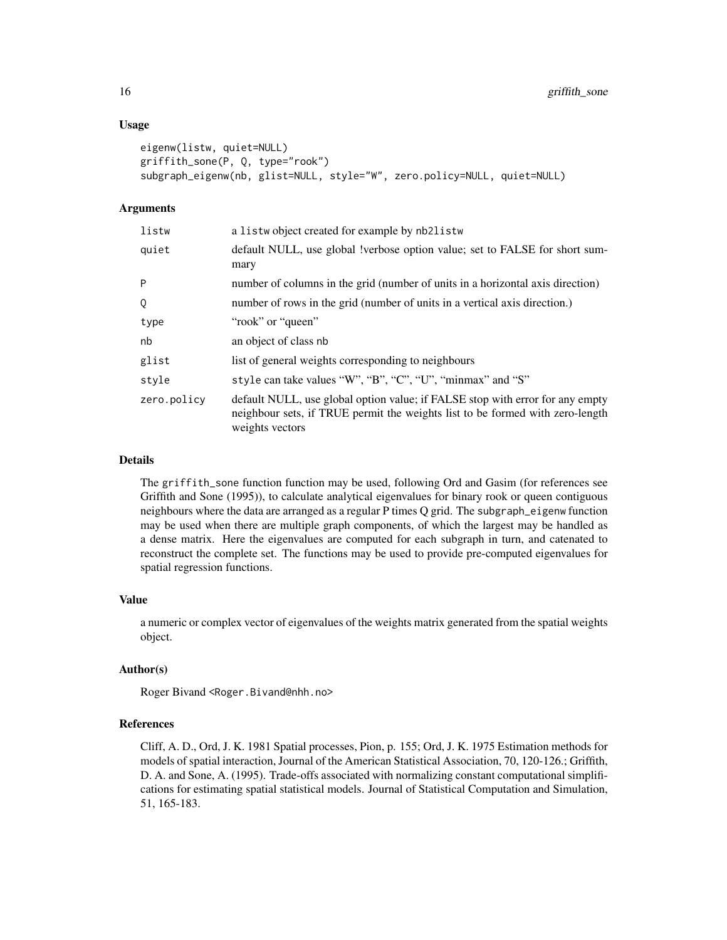#### Usage

```
eigenw(listw, quiet=NULL)
griffith_sone(P, Q, type="rook")
subgraph_eigenw(nb, glist=NULL, style="W", zero.policy=NULL, quiet=NULL)
```
#### Arguments

| listw       | a listwobject created for example by nb2listw                                                                                                                                     |
|-------------|-----------------------------------------------------------------------------------------------------------------------------------------------------------------------------------|
| quiet       | default NULL, use global !verbose option value; set to FALSE for short sum-<br>mary                                                                                               |
| P           | number of columns in the grid (number of units in a horizontal axis direction)                                                                                                    |
| Q           | number of rows in the grid (number of units in a vertical axis direction.)                                                                                                        |
| type        | "rook" or "queen"                                                                                                                                                                 |
| nb          | an object of class nb                                                                                                                                                             |
| glist       | list of general weights corresponding to neighbours                                                                                                                               |
| style       | style can take values "W", "B", "C", "U", "minmax" and "S"                                                                                                                        |
| zero.policy | default NULL, use global option value; if FALSE stop with error for any empty<br>neighbour sets, if TRUE permit the weights list to be formed with zero-length<br>weights vectors |

#### Details

The griffith\_sone function function may be used, following Ord and Gasim (for references see Griffith and Sone (1995)), to calculate analytical eigenvalues for binary rook or queen contiguous neighbours where the data are arranged as a regular P times Q grid. The subgraph\_eigenw function may be used when there are multiple graph components, of which the largest may be handled as a dense matrix. Here the eigenvalues are computed for each subgraph in turn, and catenated to reconstruct the complete set. The functions may be used to provide pre-computed eigenvalues for spatial regression functions.

#### Value

a numeric or complex vector of eigenvalues of the weights matrix generated from the spatial weights object.

#### Author(s)

Roger Bivand <Roger.Bivand@nhh.no>

### References

Cliff, A. D., Ord, J. K. 1981 Spatial processes, Pion, p. 155; Ord, J. K. 1975 Estimation methods for models of spatial interaction, Journal of the American Statistical Association, 70, 120-126.; Griffith, D. A. and Sone, A. (1995). Trade-offs associated with normalizing constant computational simplifications for estimating spatial statistical models. Journal of Statistical Computation and Simulation, 51, 165-183.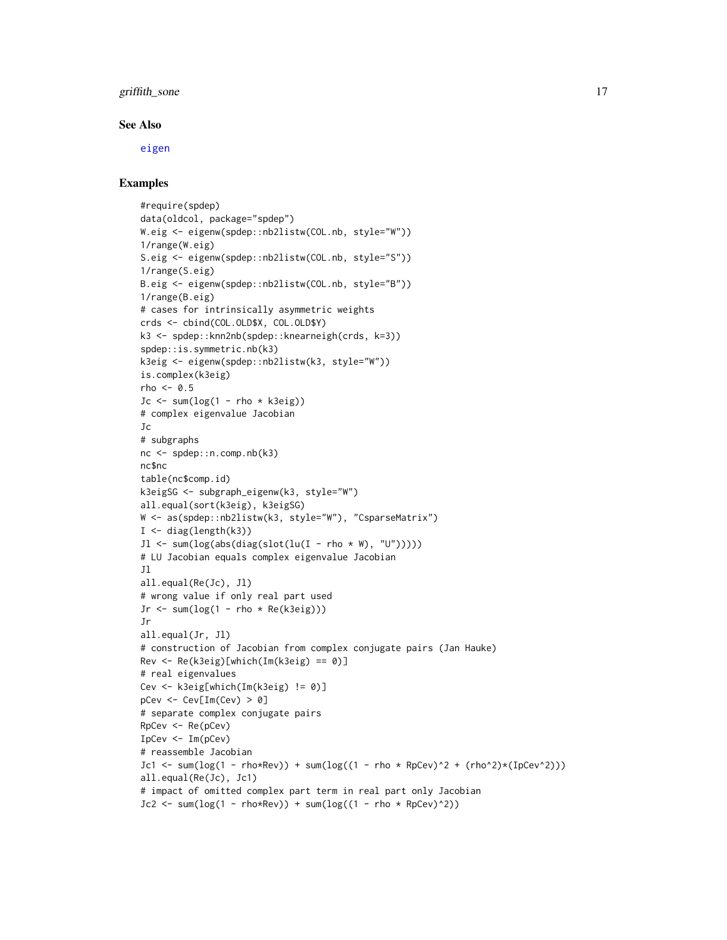### griffith\_sone 17

#### See Also

[eigen](#page-0-0)

```
#require(spdep)
data(oldcol, package="spdep")
W.eig <- eigenw(spdep::nb2listw(COL.nb, style="W"))
1/range(W.eig)
S.eig <- eigenw(spdep::nb2listw(COL.nb, style="S"))
1/range(S.eig)
B.eig <- eigenw(spdep::nb2listw(COL.nb, style="B"))
1/range(B.eig)
# cases for intrinsically asymmetric weights
crds <- cbind(COL.OLD$X, COL.OLD$Y)
k3 <- spdep::knn2nb(spdep::knearneigh(crds, k=3))
spdep::is.symmetric.nb(k3)
k3eig <- eigenw(spdep::nb2listw(k3, style="W"))
is.complex(k3eig)
rho <-0.5Jc \le sum(log(1 - rho * k3eig))
# complex eigenvalue Jacobian
Jc
# subgraphs
nc <- spdep::n.comp.nb(k3)
nc$nc
table(nc$comp.id)
k3eigSG <- subgraph_eigenw(k3, style="W")
all.equal(sort(k3eig), k3eigSG)
W <- as(spdep::nb2listw(k3, style="W"), "CsparseMatrix")
I <- diag(length(k3))
Jl \le sum(log(abs(diag(slot(lu(I - rho * W), "U")))))
# LU Jacobian equals complex eigenvalue Jacobian
Jl
all.equal(Re(Jc), Jl)
# wrong value if only real part used
Jr \le sum(log(1 - rho * Re(k3eig)))
Jr
all.equal(Jr, Jl)
# construction of Jacobian from complex conjugate pairs (Jan Hauke)
Rev <- Re(k3eig)[which(Im(k3eig) == 0)]
# real eigenvalues
Cev <- k3eig[which(Im(k3eig) != 0)]
pCev <- Cev[Im(Cev) > 0]
# separate complex conjugate pairs
RpCev <- Re(pCev)
IpCev <- Im(pCev)
# reassemble Jacobian
Jc1 <- sum(log(1 - rho*Rev)) + sum(log((1 - rho * RpCev)^2 + (rho^2)*(IpCev^2)))all.equal(Re(Jc), Jc1)
# impact of omitted complex part term in real part only Jacobian
Jc2 \leq sum(log(1 - rho*Rev)) + sum(log((1 - rho * RpCev)^2))
```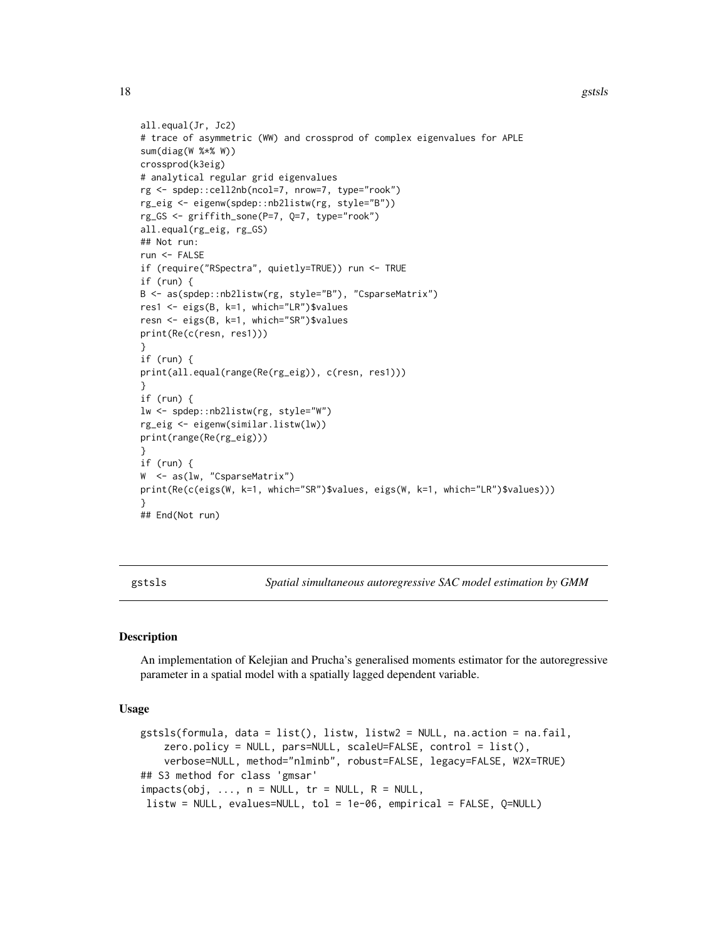```
all.equal(Jr, Jc2)
# trace of asymmetric (WW) and crossprod of complex eigenvalues for APLE
sum(diag(W %*% W))
crossprod(k3eig)
# analytical regular grid eigenvalues
rg <- spdep::cell2nb(ncol=7, nrow=7, type="rook")
rg_eig <- eigenw(spdep::nb2listw(rg, style="B"))
rg_GS <- griffith_sone(P=7, Q=7, type="rook")
all.equal(rg_eig, rg_GS)
## Not run:
run <- FALSE
if (require("RSpectra", quietly=TRUE)) run <- TRUE
if (run) {
B <- as(spdep::nb2listw(rg, style="B"), "CsparseMatrix")
res1 <- eigs(B, k=1, which="LR")$values
resn <- eigs(B, k=1, which="SR")$values
print(Re(c(resn, res1)))
}
if (run) {
print(all.equal(range(Re(rg_eig)), c(resn, res1)))
}
if (run) {
lw <- spdep::nb2listw(rg, style="W")
rg_eig <- eigenw(similar.listw(lw))
print(range(Re(rg_eig)))
}
if (run) {
W <- as(lw, "CsparseMatrix")
print(Re(c(eigs(W, k=1, which="SR")$values, eigs(W, k=1, which="LR")$values)))
}
## End(Not run)
```
gstsls *Spatial simultaneous autoregressive SAC model estimation by GMM*

### Description

An implementation of Kelejian and Prucha's generalised moments estimator for the autoregressive parameter in a spatial model with a spatially lagged dependent variable.

#### Usage

```
gstsls(formula, data = list(), listw, listw2 = NULL, na.action = na.fail,
    zero.policy = NULL, pars=NULL, scaleU=FALSE, control = list(),
    verbose=NULL, method="nlminb", robust=FALSE, legacy=FALSE, W2X=TRUE)
## S3 method for class 'gmsar'
imparts(obj, ..., n = NULL, tr = NULL, R = NULL,listw = NULL, evalues=NULL, tol = 1e-06, empirical = FALSE, Q=NULL)
```
<span id="page-17-0"></span>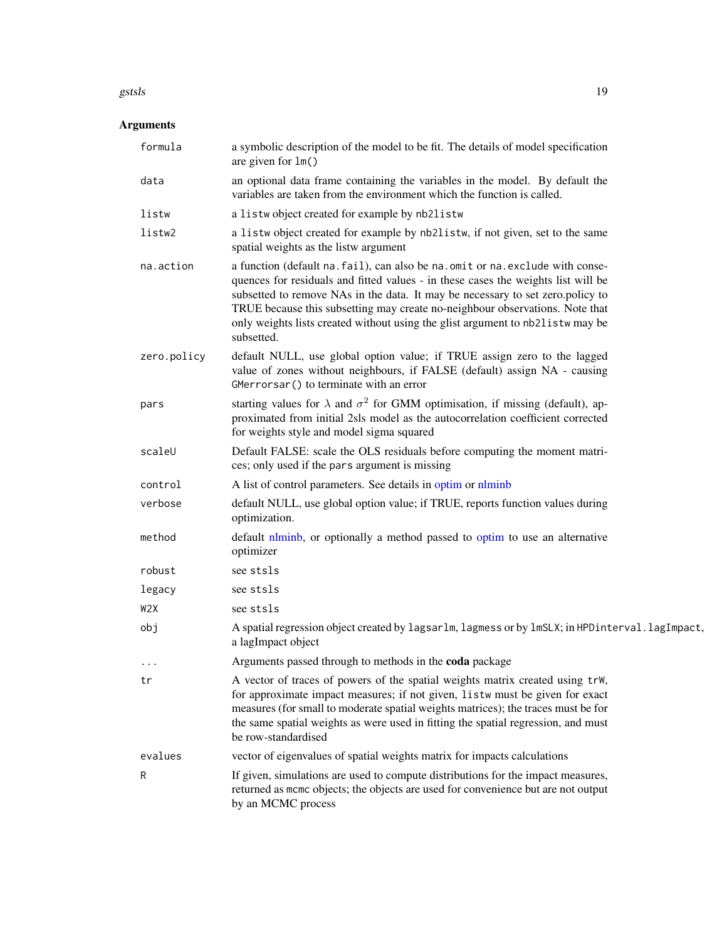#### gstsls and the set of the set of the set of the set of the set of the set of the set of the set of the set of the set of the set of the set of the set of the set of the set of the set of the set of the set of the set of th

### Arguments

| formula          | a symbolic description of the model to be fit. The details of model specification<br>are given for $lm()$                                                                                                                                                                                                                                                                                                                             |
|------------------|---------------------------------------------------------------------------------------------------------------------------------------------------------------------------------------------------------------------------------------------------------------------------------------------------------------------------------------------------------------------------------------------------------------------------------------|
| data             | an optional data frame containing the variables in the model. By default the<br>variables are taken from the environment which the function is called.                                                                                                                                                                                                                                                                                |
| listw            | a listwobject created for example by nb2listw                                                                                                                                                                                                                                                                                                                                                                                         |
| listw2           | a listw object created for example by nb2listw, if not given, set to the same<br>spatial weights as the listw argument                                                                                                                                                                                                                                                                                                                |
| na.action        | a function (default na. fail), can also be na. omit or na. exclude with conse-<br>quences for residuals and fitted values - in these cases the weights list will be<br>subsetted to remove NAs in the data. It may be necessary to set zero.policy to<br>TRUE because this subsetting may create no-neighbour observations. Note that<br>only weights lists created without using the glist argument to nb2listw may be<br>subsetted. |
| zero.policy      | default NULL, use global option value; if TRUE assign zero to the lagged<br>value of zones without neighbours, if FALSE (default) assign NA - causing<br>GMerrorsar() to terminate with an error                                                                                                                                                                                                                                      |
| pars             | starting values for $\lambda$ and $\sigma^2$ for GMM optimisation, if missing (default), ap-<br>proximated from initial 2sls model as the autocorrelation coefficient corrected<br>for weights style and model sigma squared                                                                                                                                                                                                          |
| scaleU           | Default FALSE: scale the OLS residuals before computing the moment matri-<br>ces; only used if the pars argument is missing                                                                                                                                                                                                                                                                                                           |
| control          | A list of control parameters. See details in optim or nlminb                                                                                                                                                                                                                                                                                                                                                                          |
| verbose          | default NULL, use global option value; if TRUE, reports function values during<br>optimization.                                                                                                                                                                                                                                                                                                                                       |
| method           | default nlminb, or optionally a method passed to optim to use an alternative<br>optimizer                                                                                                                                                                                                                                                                                                                                             |
| robust           | see stsls                                                                                                                                                                                                                                                                                                                                                                                                                             |
| legacy           | see stsls                                                                                                                                                                                                                                                                                                                                                                                                                             |
| W <sub>2</sub> X | see stsls                                                                                                                                                                                                                                                                                                                                                                                                                             |
| obj              | A spatial regression object created by lagsarlm, lagmess or by lmSLX; in HPDinterval.lagImpact,<br>a lagImpact object                                                                                                                                                                                                                                                                                                                 |
| $\cdots$         | Arguments passed through to methods in the coda package                                                                                                                                                                                                                                                                                                                                                                               |
| tr               | A vector of traces of powers of the spatial weights matrix created using trW,<br>for approximate impact measures; if not given, listw must be given for exact<br>measures (for small to moderate spatial weights matrices); the traces must be for<br>the same spatial weights as were used in fitting the spatial regression, and must<br>be row-standardised                                                                        |
| evalues          | vector of eigenvalues of spatial weights matrix for impacts calculations                                                                                                                                                                                                                                                                                                                                                              |
| R                | If given, simulations are used to compute distributions for the impact measures,<br>returned as mcmc objects; the objects are used for convenience but are not output<br>by an MCMC process                                                                                                                                                                                                                                           |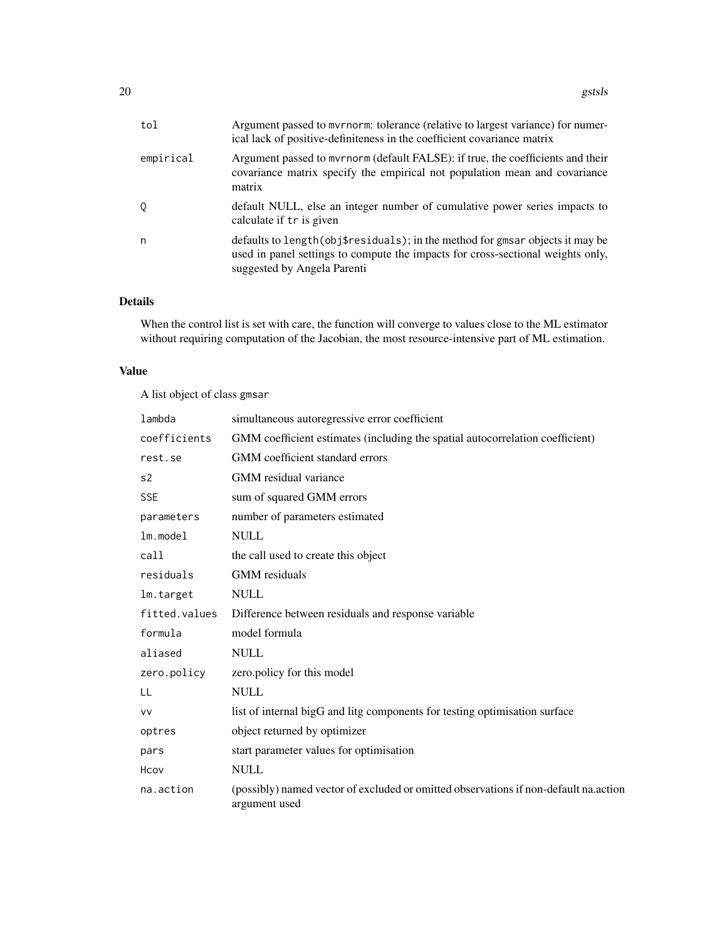| tol       | Argument passed to mvrnorm: tolerance (relative to largest variance) for numer-<br>ical lack of positive-definiteness in the coefficient covariance matrix                                       |
|-----------|--------------------------------------------------------------------------------------------------------------------------------------------------------------------------------------------------|
| empirical | Argument passed to myrnorm (default FALSE): if true, the coefficients and their<br>covariance matrix specify the empirical not population mean and covariance<br>matrix                          |
| Q         | default NULL, else an integer number of cumulative power series impacts to<br>calculate if tr is given                                                                                           |
| n         | defaults to length (obj\$residuals); in the method for gmsar objects it may be<br>used in panel settings to compute the impacts for cross-sectional weights only,<br>suggested by Angela Parenti |

### Details

When the control list is set with care, the function will converge to values close to the ML estimator without requiring computation of the Jacobian, the most resource-intensive part of ML estimation.

### Value

A list object of class gmsar

| lambda        | simultaneous autoregressive error coefficient                                                         |
|---------------|-------------------------------------------------------------------------------------------------------|
| coefficients  | GMM coefficient estimates (including the spatial autocorrelation coefficient)                         |
| rest.se       | GMM coefficient standard errors                                                                       |
| s2            | GMM residual variance                                                                                 |
| <b>SSE</b>    | sum of squared GMM errors                                                                             |
| parameters    | number of parameters estimated                                                                        |
| $lm$ . model  | <b>NULL</b>                                                                                           |
| call          | the call used to create this object                                                                   |
| residuals     | <b>GMM</b> residuals                                                                                  |
| lm.target     | <b>NULL</b>                                                                                           |
| fitted.values | Difference between residuals and response variable                                                    |
| formula       | model formula                                                                                         |
| aliased       | <b>NULL</b>                                                                                           |
| zero.policy   | zero.policy for this model                                                                            |
| LL            | <b>NULL</b>                                                                                           |
| <b>VV</b>     | list of internal bigG and litg components for testing optimisation surface                            |
| optres        | object returned by optimizer                                                                          |
| pars          | start parameter values for optimisation                                                               |
| Hcov          | <b>NULL</b>                                                                                           |
| na.action     | (possibly) named vector of excluded or omitted observations if non-default na.action<br>argument used |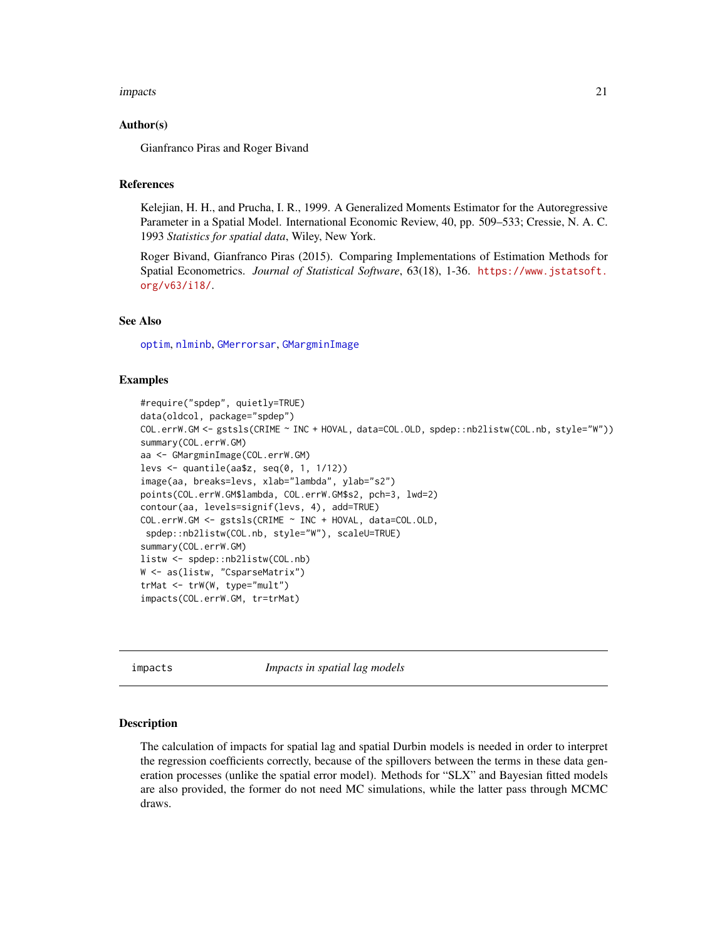#### <span id="page-20-0"></span>impacts 21

#### Author(s)

Gianfranco Piras and Roger Bivand

#### References

Kelejian, H. H., and Prucha, I. R., 1999. A Generalized Moments Estimator for the Autoregressive Parameter in a Spatial Model. International Economic Review, 40, pp. 509–533; Cressie, N. A. C. 1993 *Statistics for spatial data*, Wiley, New York.

Roger Bivand, Gianfranco Piras (2015). Comparing Implementations of Estimation Methods for Spatial Econometrics. *Journal of Statistical Software*, 63(18), 1-36. [https://www.jstatsoft.](https://www.jstatsoft.org/v63/i18/) [org/v63/i18/](https://www.jstatsoft.org/v63/i18/).

### See Also

[optim](#page-0-0), [nlminb](#page-0-0), [GMerrorsar](#page-11-1), [GMargminImage](#page-11-2)

#### Examples

```
#require("spdep", quietly=TRUE)
data(oldcol, package="spdep")
COL.errW.GM <- gstsls(CRIME ~ INC + HOVAL, data=COL.OLD, spdep::nb2listw(COL.nb, style="W"))
summary(COL.errW.GM)
aa <- GMargminImage(COL.errW.GM)
levs <- quantile(aa$z, seq(0, 1, 1/12))
image(aa, breaks=levs, xlab="lambda", ylab="s2")
points(COL.errW.GM$lambda, COL.errW.GM$s2, pch=3, lwd=2)
contour(aa, levels=signif(levs, 4), add=TRUE)
COL.errW.GM <- gstsls(CRIME ~ INC + HOVAL, data=COL.OLD,
spdep::nb2listw(COL.nb, style="W"), scaleU=TRUE)
summary(COL.errW.GM)
listw <- spdep::nb2listw(COL.nb)
W <- as(listw, "CsparseMatrix")
trMat <- trW(W, type="mult")
impacts(COL.errW.GM, tr=trMat)
```
impacts *Impacts in spatial lag models*

#### Description

The calculation of impacts for spatial lag and spatial Durbin models is needed in order to interpret the regression coefficients correctly, because of the spillovers between the terms in these data generation processes (unlike the spatial error model). Methods for "SLX" and Bayesian fitted models are also provided, the former do not need MC simulations, while the latter pass through MCMC draws.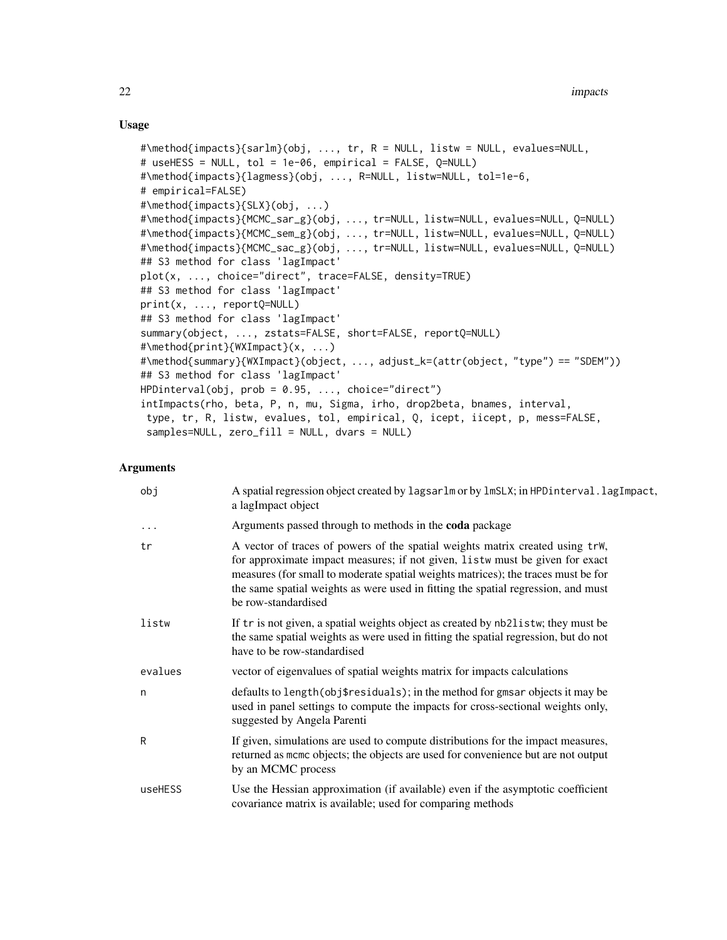#### Usage

```
#\method{impacts}{sarlm}(obj, ..., tr, R = NULL, listw = NULL, evalues=NULL,
# useHESS = NULL, tol = 1e-06, empirical = FALSE, Q=NULL)
#\method{impacts}{lagmess}(obj, ..., R=NULL, listw=NULL, tol=1e-6,
# empirical=FALSE)
#\method{impacts}{SLX}(obj, ...)
#\method{impacts}{MCMC_sar_g}(obj, ..., tr=NULL, listw=NULL, evalues=NULL, Q=NULL)
#\method{impacts}{MCMC_sem_g}(obj, ..., tr=NULL, listw=NULL, evalues=NULL, Q=NULL)
#\method{impacts}{MCMC_sac_g}(obj, ..., tr=NULL, listw=NULL, evalues=NULL, Q=NULL)
## S3 method for class 'lagImpact'
plot(x, ..., choice="direct", trace=FALSE, density=TRUE)
## S3 method for class 'lagImpact'
print(x, ..., reportQ=NULL)
## S3 method for class 'lagImpact'
summary(object, ..., zstats=FALSE, short=FALSE, reportQ=NULL)
#\method{print}{WXImpact}(x, ...)
#\method{summary}{WXImpact}(object, ..., adjust_k=(attr(object, "type") == "SDEM"))
## S3 method for class 'lagImpact'
HPDinterval(obj, prob = 0.95, ..., choice="direct")
intImpacts(rho, beta, P, n, mu, Sigma, irho, drop2beta, bnames, interval,
type, tr, R, listw, evalues, tol, empirical, Q, icept, iicept, p, mess=FALSE,
samples=NULL, zero_fill = NULL, dvars = NULL)
```
#### **Arguments**

| obj     | A spatial regression object created by lagsarlm or by lmSLX; in HPDinterval.lagImpact,<br>a lagImpact object                                                                                                                                                                                                                                                   |
|---------|----------------------------------------------------------------------------------------------------------------------------------------------------------------------------------------------------------------------------------------------------------------------------------------------------------------------------------------------------------------|
| .       | Arguments passed through to methods in the <b>coda</b> package                                                                                                                                                                                                                                                                                                 |
| tr      | A vector of traces of powers of the spatial weights matrix created using trW,<br>for approximate impact measures; if not given, listw must be given for exact<br>measures (for small to moderate spatial weights matrices); the traces must be for<br>the same spatial weights as were used in fitting the spatial regression, and must<br>be row-standardised |
| listw   | If tr is not given, a spatial weights object as created by nb2listw; they must be<br>the same spatial weights as were used in fitting the spatial regression, but do not<br>have to be row-standardised                                                                                                                                                        |
| evalues | vector of eigenvalues of spatial weights matrix for impacts calculations                                                                                                                                                                                                                                                                                       |
| n       | defaults to length (obj\$residuals); in the method for gmsar objects it may be<br>used in panel settings to compute the impacts for cross-sectional weights only,<br>suggested by Angela Parenti                                                                                                                                                               |
| R       | If given, simulations are used to compute distributions for the impact measures,<br>returned as momo objects; the objects are used for convenience but are not output<br>by an MCMC process                                                                                                                                                                    |
| useHESS | Use the Hessian approximation (if available) even if the asymptotic coefficient<br>covariance matrix is available; used for comparing methods                                                                                                                                                                                                                  |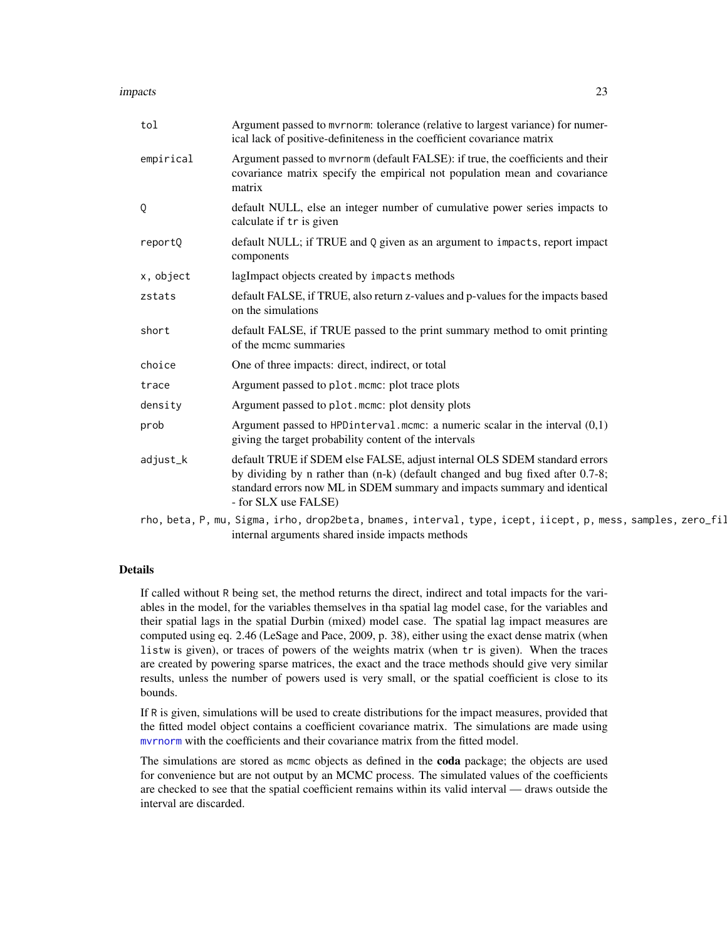#### impacts 23

| tol       | Argument passed to myrnorm: tolerance (relative to largest variance) for numer-<br>ical lack of positive-definiteness in the coefficient covariance matrix                                                                                                      |
|-----------|-----------------------------------------------------------------------------------------------------------------------------------------------------------------------------------------------------------------------------------------------------------------|
| empirical | Argument passed to mvrnorm (default FALSE): if true, the coefficients and their<br>covariance matrix specify the empirical not population mean and covariance<br>matrix                                                                                         |
| Q         | default NULL, else an integer number of cumulative power series impacts to<br>calculate if tr is given                                                                                                                                                          |
| reportQ   | default NULL; if TRUE and Q given as an argument to impacts, report impact<br>components                                                                                                                                                                        |
| x, object | lagImpact objects created by impacts methods                                                                                                                                                                                                                    |
| zstats    | default FALSE, if TRUE, also return z-values and p-values for the impacts based<br>on the simulations                                                                                                                                                           |
| short     | default FALSE, if TRUE passed to the print summary method to omit printing<br>of the meme summaries                                                                                                                                                             |
| choice    | One of three impacts: direct, indirect, or total                                                                                                                                                                                                                |
| trace     | Argument passed to plot.mcmc: plot trace plots                                                                                                                                                                                                                  |
| density   | Argument passed to plot. mome: plot density plots                                                                                                                                                                                                               |
| prob      | Argument passed to HPD interval. mcmc: a numeric scalar in the interval $(0,1)$<br>giving the target probability content of the intervals                                                                                                                       |
| adjust_k  | default TRUE if SDEM else FALSE, adjust internal OLS SDEM standard errors<br>by dividing by n rather than (n-k) (default changed and bug fixed after 0.7-8;<br>standard errors now ML in SDEM summary and impacts summary and identical<br>- for SLX use FALSE) |
|           | rho, beta, P, mu, Sigma, irho, drop2beta, bnames, interval, type, icept, iicept, p, mess, samples, zero_fil                                                                                                                                                     |

internal arguments shared inside impacts methods

#### Details

If called without R being set, the method returns the direct, indirect and total impacts for the variables in the model, for the variables themselves in tha spatial lag model case, for the variables and their spatial lags in the spatial Durbin (mixed) model case. The spatial lag impact measures are computed using eq. 2.46 (LeSage and Pace, 2009, p. 38), either using the exact dense matrix (when listw is given), or traces of powers of the weights matrix (when tr is given). When the traces are created by powering sparse matrices, the exact and the trace methods should give very similar results, unless the number of powers used is very small, or the spatial coefficient is close to its bounds.

If R is given, simulations will be used to create distributions for the impact measures, provided that the fitted model object contains a coefficient covariance matrix. The simulations are made using [mvrnorm](#page-0-0) with the coefficients and their covariance matrix from the fitted model.

The simulations are stored as mcmc objects as defined in the coda package; the objects are used for convenience but are not output by an MCMC process. The simulated values of the coefficients are checked to see that the spatial coefficient remains within its valid interval — draws outside the interval are discarded.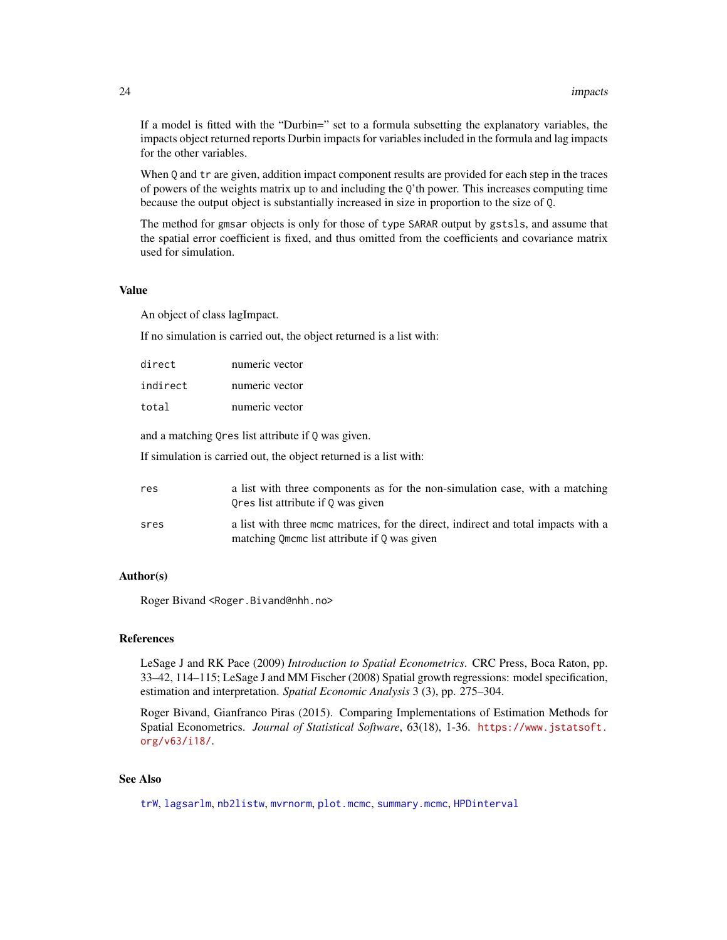If a model is fitted with the "Durbin=" set to a formula subsetting the explanatory variables, the impacts object returned reports Durbin impacts for variables included in the formula and lag impacts for the other variables.

When Q and tr are given, addition impact component results are provided for each step in the traces of powers of the weights matrix up to and including the Q'th power. This increases computing time because the output object is substantially increased in size in proportion to the size of Q.

The method for gmsar objects is only for those of type SARAR output by gstsls, and assume that the spatial error coefficient is fixed, and thus omitted from the coefficients and covariance matrix used for simulation.

#### Value

An object of class lagImpact.

If no simulation is carried out, the object returned is a list with:

| direct   | numeric vector |
|----------|----------------|
| indirect | numeric vector |
| total    | numeric vector |

and a matching Qres list attribute if Q was given.

If simulation is carried out, the object returned is a list with:

| res  | a list with three components as for the non-simulation case, with a matching<br>Ores list attribute if 0 was given                 |
|------|------------------------------------------------------------------------------------------------------------------------------------|
| sres | a list with three mome matrices, for the direct, indirect and total impacts with a<br>matching Omeme list attribute if 0 was given |

#### Author(s)

Roger Bivand <Roger.Bivand@nhh.no>

#### References

LeSage J and RK Pace (2009) *Introduction to Spatial Econometrics*. CRC Press, Boca Raton, pp. 33–42, 114–115; LeSage J and MM Fischer (2008) Spatial growth regressions: model specification, estimation and interpretation. *Spatial Economic Analysis* 3 (3), pp. 275–304.

Roger Bivand, Gianfranco Piras (2015). Comparing Implementations of Estimation Methods for Spatial Econometrics. *Journal of Statistical Software*, 63(18), 1-36. [https://www.jstatsoft.](https://www.jstatsoft.org/v63/i18/) [org/v63/i18/](https://www.jstatsoft.org/v63/i18/).

#### See Also

[trW](#page-77-1), [lagsarlm](#page-41-1), [nb2listw](#page-0-0), [mvrnorm](#page-0-0), [plot.mcmc](#page-0-0), [summary.mcmc](#page-0-0), [HPDinterval](#page-0-0)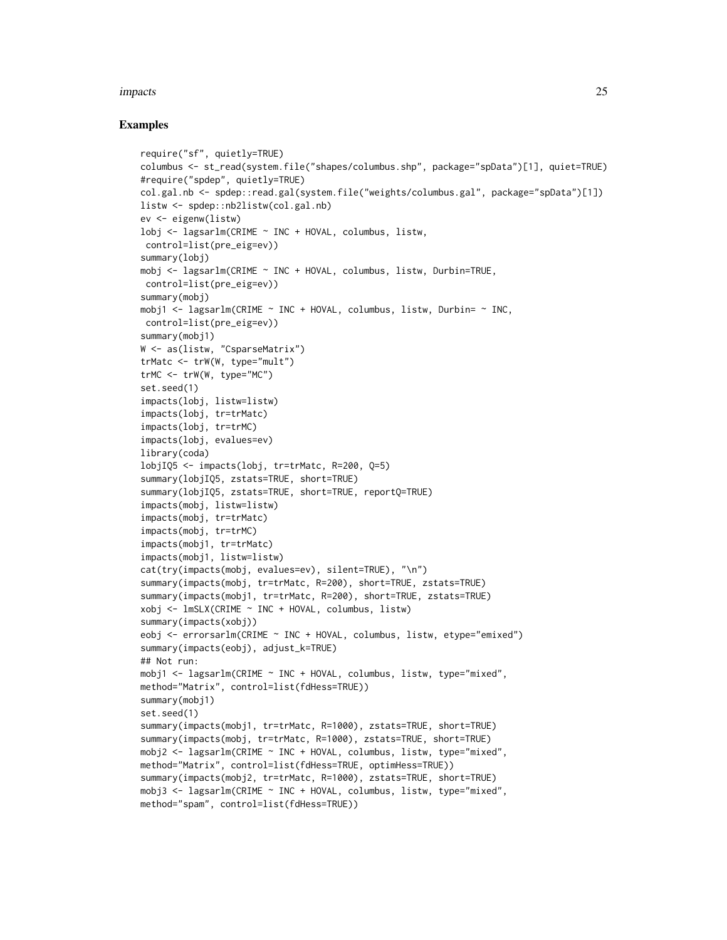#### impacts 25

```
require("sf", quietly=TRUE)
columbus <- st_read(system.file("shapes/columbus.shp", package="spData")[1], quiet=TRUE)
#require("spdep", quietly=TRUE)
col.gal.nb <- spdep::read.gal(system.file("weights/columbus.gal", package="spData")[1])
listw <- spdep::nb2listw(col.gal.nb)
ev <- eigenw(listw)
lobj <- lagsarlm(CRIME ~ INC + HOVAL, columbus, listw,
control=list(pre_eig=ev))
summary(lobj)
mobj <- lagsarlm(CRIME ~ INC + HOVAL, columbus, listw, Durbin=TRUE,
control=list(pre_eig=ev))
summary(mobj)
mobj1 <- lagsarlm(CRIME \sim INC + HOVAL, columbus, listw, Durbin= \sim INC,
control=list(pre_eig=ev))
summary(mobil)
W <- as(listw, "CsparseMatrix")
trMatc <- trW(W, type="mult")
trMC \leftarrow trW(W, type="MC")set.seed(1)
impacts(lobj, listw=listw)
impacts(lobj, tr=trMatc)
impacts(lobj, tr=trMC)
impacts(lobj, evalues=ev)
library(coda)
lobjIQ5 <- impacts(lobj, tr=trMatc, R=200, Q=5)
summary(lobjIQ5, zstats=TRUE, short=TRUE)
summary(lobjIQ5, zstats=TRUE, short=TRUE, reportQ=TRUE)
impacts(mobj, listw=listw)
impacts(mobj, tr=trMatc)
impacts(mobj, tr=trMC)
impacts(mobj1, tr=trMatc)
impacts(mobj1, listw=listw)
cat(try(impacts(mobj, evalues=ev), silent=TRUE), "\n")
summary(impacts(mobj, tr=trMatc, R=200), short=TRUE, zstats=TRUE)
summary(impacts(mobj1, tr=trMatc, R=200), short=TRUE, zstats=TRUE)
xobj <- lmSLX(CRIME ~ INC + HOVAL, columbus, listw)
summary(impacts(xobj))
eobj <- errorsarlm(CRIME ~ INC + HOVAL, columbus, listw, etype="emixed")
summary(impacts(eobj), adjust_k=TRUE)
## Not run:
mobj1 <- lagsarlm(CRIME ~ INC + HOVAL, columbus, listw, type="mixed",
method="Matrix", control=list(fdHess=TRUE))
summary(mobj1)
set.seed(1)
summary(impacts(mobj1, tr=trMatc, R=1000), zstats=TRUE, short=TRUE)
summary(impacts(mobj, tr=trMatc, R=1000), zstats=TRUE, short=TRUE)
mobj2 <- lagsarlm(CRIME ~ INC + HOVAL, columbus, listw, type="mixed",
method="Matrix", control=list(fdHess=TRUE, optimHess=TRUE))
summary(impacts(mobj2, tr=trMatc, R=1000), zstats=TRUE, short=TRUE)
mobj3 <- lagsarlm(CRIME ~ INC + HOVAL, columbus, listw, type="mixed",
method="spam", control=list(fdHess=TRUE))
```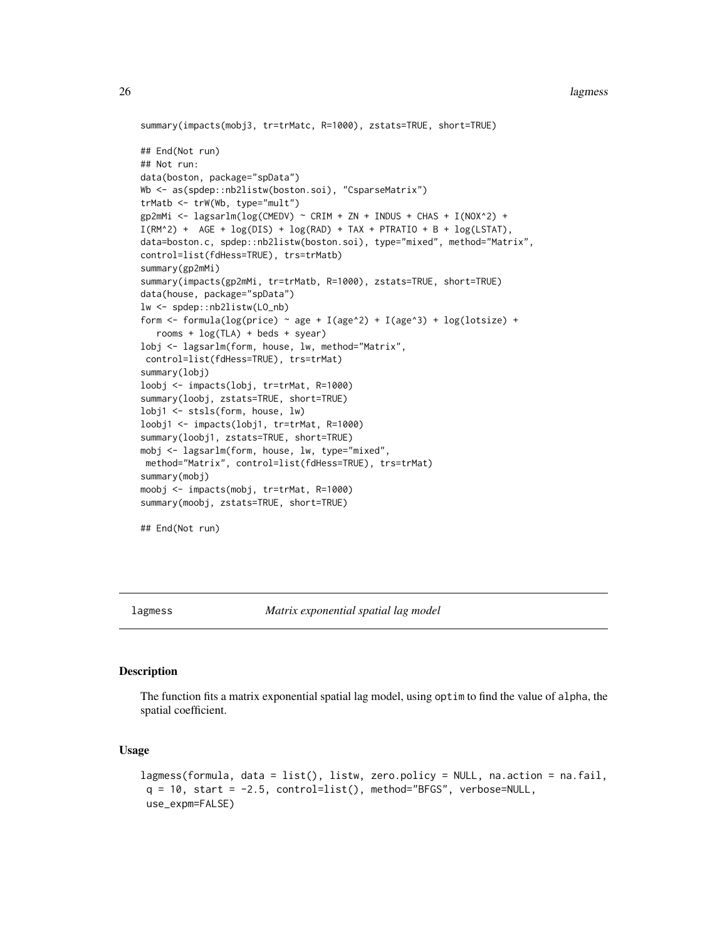#### <span id="page-25-0"></span>26 lagmess and the contract of the contract of the contract of the contract of the contract of the contract of the contract of the contract of the contract of the contract of the contract of the contract of the contract of

```
summary(impacts(mobj3, tr=trMatc, R=1000), zstats=TRUE, short=TRUE)
## End(Not run)
## Not run:
data(boston, package="spData")
Wb <- as(spdep::nb2listw(boston.soi), "CsparseMatrix")
trMatb <- trW(Wb, type="mult")
gp2mMi <- lagsarlm(log(CMEDV) ~ CRIM + ZN + INDUS + CHAS + I(NOX^2) +
I(RM^2) + AGE + log(DIS) + log(RAD) + TAX + PTRATIO + B + log(LSTAT),
data=boston.c, spdep::nb2listw(boston.soi), type="mixed", method="Matrix",
control=list(fdHess=TRUE), trs=trMatb)
summary(gp2mMi)
summary(impacts(gp2mMi, tr=trMatb, R=1000), zstats=TRUE, short=TRUE)
data(house, package="spData")
lw <- spdep::nb2listw(LO_nb)
form <- formula(log(price) ~ age + I(age^2) + I(age^3) + log(lotsize) +
  rooms + log(TLA) + beds + syear)
lobj <- lagsarlm(form, house, lw, method="Matrix",
control=list(fdHess=TRUE), trs=trMat)
summary(lobj)
loobj <- impacts(lobj, tr=trMat, R=1000)
summary(loobj, zstats=TRUE, short=TRUE)
lobj1 <- stsls(form, house, lw)
loobj1 <- impacts(lobj1, tr=trMat, R=1000)
summary(loobj1, zstats=TRUE, short=TRUE)
mobj <- lagsarlm(form, house, lw, type="mixed",
method="Matrix", control=list(fdHess=TRUE), trs=trMat)
summary(mobj)
moobj <- impacts(mobj, tr=trMat, R=1000)
summary(moobj, zstats=TRUE, short=TRUE)
## End(Not run)
```
lagmess *Matrix exponential spatial lag model*

#### Description

The function fits a matrix exponential spatial lag model, using optim to find the value of alpha, the spatial coefficient.

### Usage

```
lagmess(formula, data = list(), listw, zero.policy = NULL, na.action = na.fail,
q = 10, start = -2.5, control=list(), method="BFGS", verbose=NULL,
use_expm=FALSE)
```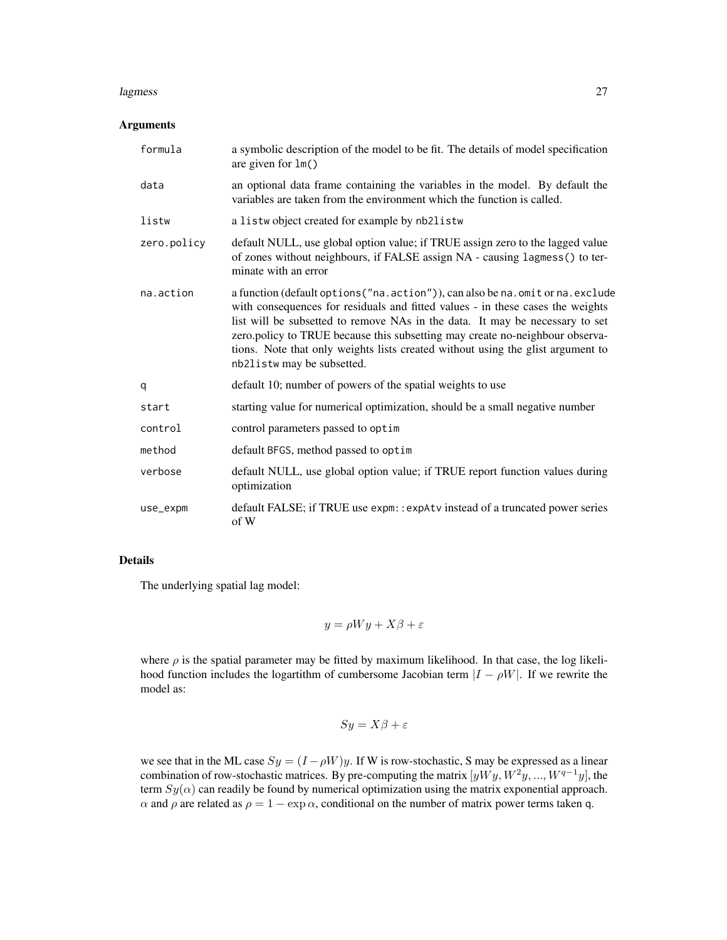#### lagmess 27

#### Arguments

| formula     | a symbolic description of the model to be fit. The details of model specification<br>are given for $lm()$                                                                                                                                                                                                                                                                                                                                           |
|-------------|-----------------------------------------------------------------------------------------------------------------------------------------------------------------------------------------------------------------------------------------------------------------------------------------------------------------------------------------------------------------------------------------------------------------------------------------------------|
| data        | an optional data frame containing the variables in the model. By default the<br>variables are taken from the environment which the function is called.                                                                                                                                                                                                                                                                                              |
| listw       | a listwobject created for example by nb2listw                                                                                                                                                                                                                                                                                                                                                                                                       |
| zero.policy | default NULL, use global option value; if TRUE assign zero to the lagged value<br>of zones without neighbours, if FALSE assign NA - causing lagmess() to ter-<br>minate with an error                                                                                                                                                                                                                                                               |
| na.action   | a function (default options ("na. action")), can also be na. omit or na. exclude<br>with consequences for residuals and fitted values - in these cases the weights<br>list will be subsetted to remove NAs in the data. It may be necessary to set<br>zero.policy to TRUE because this subsetting may create no-neighbour observa-<br>tions. Note that only weights lists created without using the glist argument to<br>nb2listw may be subsetted. |
| q           | default 10; number of powers of the spatial weights to use                                                                                                                                                                                                                                                                                                                                                                                          |
| start       | starting value for numerical optimization, should be a small negative number                                                                                                                                                                                                                                                                                                                                                                        |
| control     | control parameters passed to optim                                                                                                                                                                                                                                                                                                                                                                                                                  |
| method      | default BFGS, method passed to optim                                                                                                                                                                                                                                                                                                                                                                                                                |
| verbose     | default NULL, use global option value; if TRUE report function values during<br>optimization                                                                                                                                                                                                                                                                                                                                                        |
| use_expm    | default FALSE; if TRUE use expm:: expAtv instead of a truncated power series<br>of W                                                                                                                                                                                                                                                                                                                                                                |

#### Details

The underlying spatial lag model:

$$
y = \rho Wy + X\beta + \varepsilon
$$

where  $\rho$  is the spatial parameter may be fitted by maximum likelihood. In that case, the log likelihood function includes the logartithm of cumbersome Jacobian term  $|I - \rho W|$ . If we rewrite the model as:

$$
Sy = X\beta + \varepsilon
$$

we see that in the ML case  $Sy = (I - \rho W)y$ . If W is row-stochastic, S may be expressed as a linear combination of row-stochastic matrices. By pre-computing the matrix  $[yWy, W^2y, ..., W^{q-1}y]$ , the term  $Sy(\alpha)$  can readily be found by numerical optimization using the matrix exponential approach. α and  $ρ$  are related as  $ρ = 1 - \exp α$ , conditional on the number of matrix power terms taken q.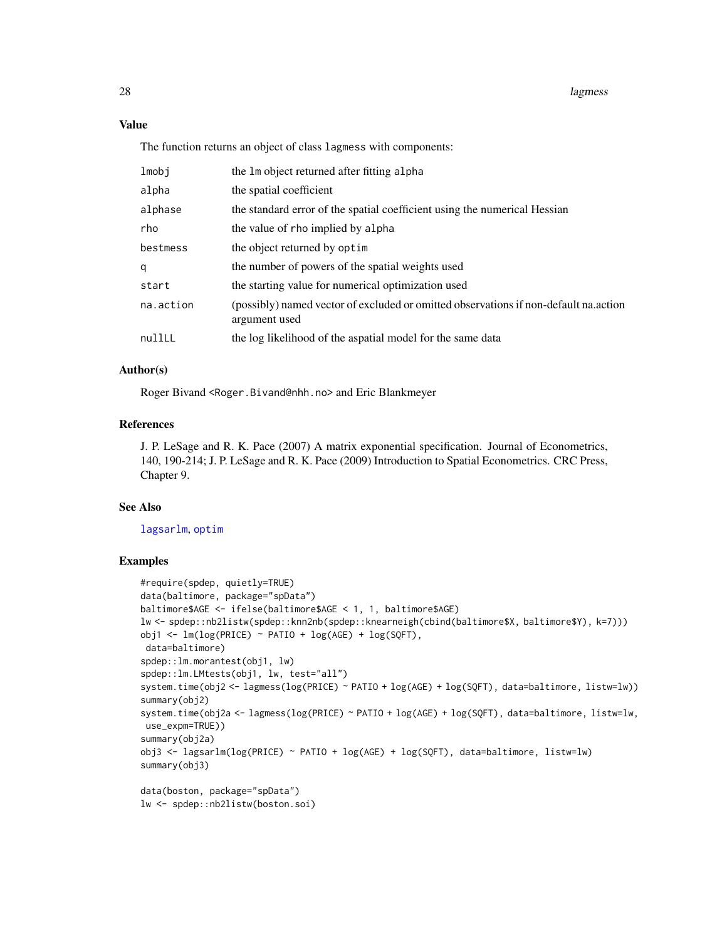### Value

The function returns an object of class lagmess with components:

| lmobj     | the 1m object returned after fitting alpha                                                            |
|-----------|-------------------------------------------------------------------------------------------------------|
| alpha     | the spatial coefficient                                                                               |
| alphase   | the standard error of the spatial coefficient using the numerical Hessian                             |
| rho       | the value of rho implied by alpha                                                                     |
| bestmess  | the object returned by optim                                                                          |
| q         | the number of powers of the spatial weights used                                                      |
| start     | the starting value for numerical optimization used                                                    |
| na.action | (possibly) named vector of excluded or omitted observations if non-default na.action<br>argument used |
| nullLL    | the log likelihood of the aspatial model for the same data                                            |
|           |                                                                                                       |

#### Author(s)

Roger Bivand <Roger.Bivand@nhh.no> and Eric Blankmeyer

### References

J. P. LeSage and R. K. Pace (2007) A matrix exponential specification. Journal of Econometrics, 140, 190-214; J. P. LeSage and R. K. Pace (2009) Introduction to Spatial Econometrics. CRC Press, Chapter 9.

#### See Also

[lagsarlm](#page-41-1), [optim](#page-0-0)

```
#require(spdep, quietly=TRUE)
data(baltimore, package="spData")
baltimore$AGE <- ifelse(baltimore$AGE < 1, 1, baltimore$AGE)
lw <- spdep::nb2listw(spdep::knn2nb(spdep::knearneigh(cbind(baltimore$X, baltimore$Y), k=7)))
obj1 <- lm(log(PRICE) \sim PATIO + log(AGE) + log(SQFT),
data=baltimore)
spdep::lm.morantest(obj1, lw)
spdep::lm.LMtests(obj1, lw, test="all")
system.time(obj2 <- lagmess(log(PRICE) ~ PATIO + log(AGE) + log(SQFT), data=baltimore, listw=lw))
summary(obj2)
system.time(obj2a <- lagmess(log(PRICE) ~ PATIO + log(AGE) + log(SQFT), data=baltimore, listw=lw,
use_expm=TRUE))
summary(obj2a)
obj3 <- lagsarlm(log(PRICE) ~ PATIO + log(AGE) + log(SQFT), data=baltimore, listw=lw)
summary(obj3)
data(boston, package="spData")
lw <- spdep::nb2listw(boston.soi)
```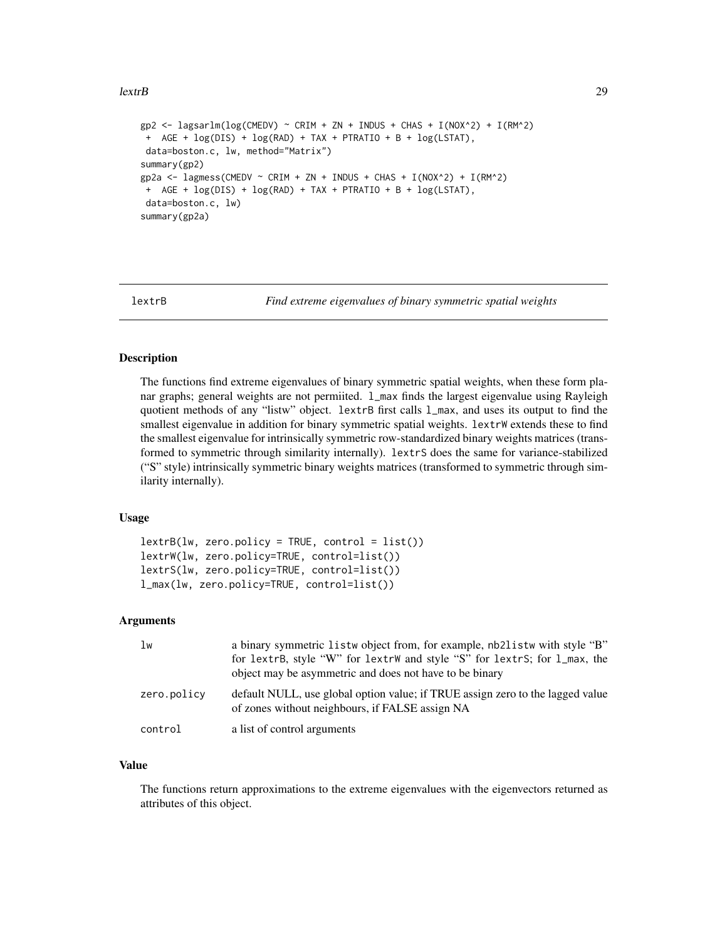```
gp2 \leq - \text{lagsarlm}(\log(\text{CMEDV}) \sim \text{CRIM} + \text{ZN} + \text{INDUS} + \text{CHAS} + \text{I}(\text{NOX}^2)) + \text{I}(\text{RM}^2)+ AGE + log(DIS) + log(RAD) + TAX + PTRATIO + B + log(LSTAT),
 data=boston.c, lw, method="Matrix")
summary(gp2)
gp2a <- lagmess(CMEDV ~ CRIM + ZN + INDUS + CHAS + I(NOX^2) + I(RM^2)
 + AGE + log(DIS) + log(RAD) + TAX + PTRATIO + B + log(LSTAT),
 data=boston.c, lw)
summary(gp2a)
```
lextrB *Find extreme eigenvalues of binary symmetric spatial weights*

#### **Description**

The functions find extreme eigenvalues of binary symmetric spatial weights, when these form planar graphs; general weights are not permiited. 1\_max finds the largest eigenvalue using Rayleigh quotient methods of any "listw" object. lextrB first calls  $1_{max}$ , and uses its output to find the smallest eigenvalue in addition for binary symmetric spatial weights. lextrW extends these to find the smallest eigenvalue for intrinsically symmetric row-standardized binary weights matrices (transformed to symmetric through similarity internally). lextrS does the same for variance-stabilized ("S" style) intrinsically symmetric binary weights matrices (transformed to symmetric through similarity internally).

#### Usage

```
lextrB(lw, zero.policy = TRUE, control = list())lextrW(lw, zero.policy=TRUE, control=list())
lextrS(lw, zero.policy=TRUE, control=list())
l_max(lw, zero.policy=TRUE, control=list())
```
#### Arguments

| 1w          | a binary symmetric listw object from, for example, nb2listw with style "B"<br>for lextrB, style "W" for lextrW and style "S" for lextrS; for l_max, the<br>object may be asymmetric and does not have to be binary |
|-------------|--------------------------------------------------------------------------------------------------------------------------------------------------------------------------------------------------------------------|
| zero.policy | default NULL, use global option value; if TRUE assign zero to the lagged value<br>of zones without neighbours, if FALSE assign NA                                                                                  |
| control     | a list of control arguments                                                                                                                                                                                        |

### Value

The functions return approximations to the extreme eigenvalues with the eigenvectors returned as attributes of this object.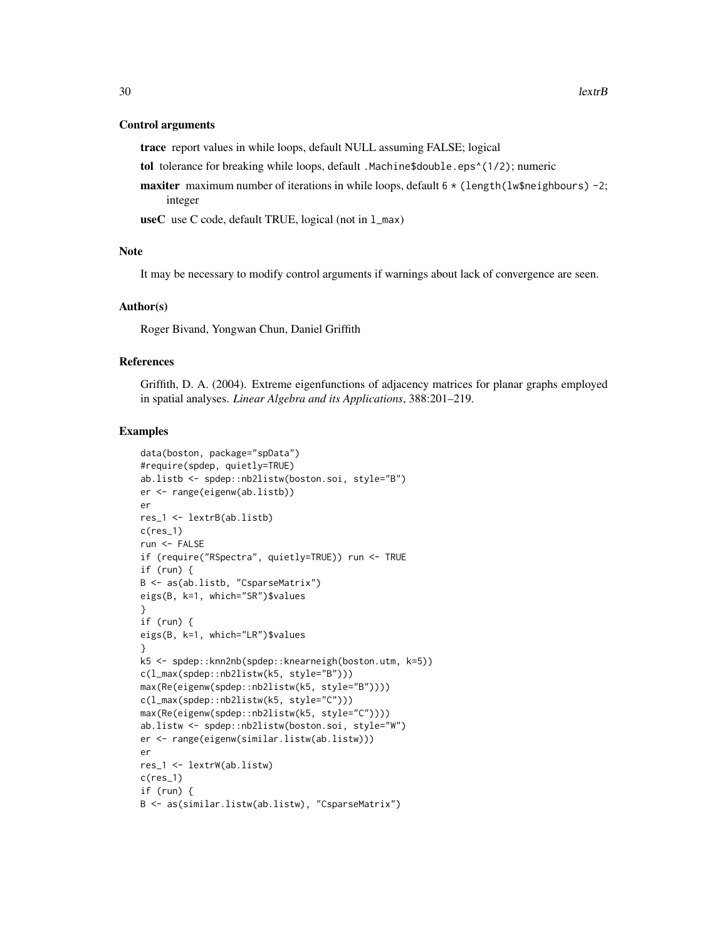#### Control arguments

trace report values in while loops, default NULL assuming FALSE; logical

tol tolerance for breaking while loops, default .Machine\$double.eps^(1/2); numeric

**maxiter** maximum number of iterations in while loops, default  $6 \times$  (length(lw\$neighbours) -2; integer

useC use C code, default TRUE, logical (not in l\_max)

#### Note

It may be necessary to modify control arguments if warnings about lack of convergence are seen.

#### Author(s)

Roger Bivand, Yongwan Chun, Daniel Griffith

### References

Griffith, D. A. (2004). Extreme eigenfunctions of adjacency matrices for planar graphs employed in spatial analyses. *Linear Algebra and its Applications*, 388:201–219.

```
data(boston, package="spData")
#require(spdep, quietly=TRUE)
ab.listb <- spdep::nb2listw(boston.soi, style="B")
er <- range(eigenw(ab.listb))
er
res_1 <- lextrB(ab.listb)
c(res_1)
run <- FALSE
if (require("RSpectra", quietly=TRUE)) run <- TRUE
if (run) {
B <- as(ab.listb, "CsparseMatrix")
eigs(B, k=1, which="SR")$values
}
if (run) {
eigs(B, k=1, which="LR")$values
}
k5 <- spdep::knn2nb(spdep::knearneigh(boston.utm, k=5))
c(l_max(spdep::nb2listw(k5, style="B")))
max(Re(eigenw(spdep::nb2listw(k5, style="B"))))
c(l_max(spdep::nb2listw(k5, style="C")))
max(Re(eigenw(spdep::nb2listw(k5, style="C"))))
ab.listw <- spdep::nb2listw(boston.soi, style="W")
er <- range(eigenw(similar.listw(ab.listw)))
er
res_1 <- lextrW(ab.listw)
c(res_1)
if (run) {
B <- as(similar.listw(ab.listw), "CsparseMatrix")
```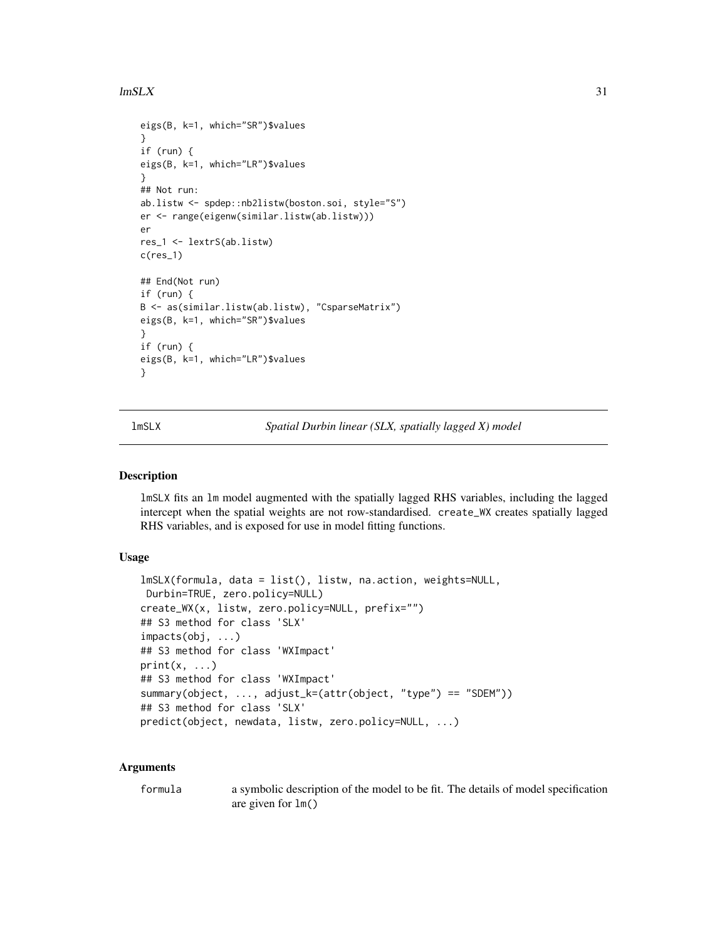#### <span id="page-30-0"></span> $lmSLX$  31

```
eigs(B, k=1, which="SR")$values
}
if (run) {
eigs(B, k=1, which="LR")$values
}
## Not run:
ab.listw <- spdep::nb2listw(boston.soi, style="S")
er <- range(eigenw(similar.listw(ab.listw)))
er
res_1 <- lextrS(ab.listw)
c(res_1)
## End(Not run)
if (run) {
B <- as(similar.listw(ab.listw), "CsparseMatrix")
eigs(B, k=1, which="SR")$values
}
if (run) {
eigs(B, k=1, which="LR")$values
}
```
lmSLX *Spatial Durbin linear (SLX, spatially lagged X) model*

#### Description

lmSLX fits an lm model augmented with the spatially lagged RHS variables, including the lagged intercept when the spatial weights are not row-standardised. create\_WX creates spatially lagged RHS variables, and is exposed for use in model fitting functions.

#### Usage

```
lmSLX(formula, data = list(), listw, na.action, weights=NULL,
Durbin=TRUE, zero.policy=NULL)
create_WX(x, listw, zero.policy=NULL, prefix="")
## S3 method for class 'SLX'
impacts(obj, ...)
## S3 method for class 'WXImpact'
print(x, \ldots)## S3 method for class 'WXImpact'
summary(object, ..., adjust_k=(attr(object, "type") == "SDEM"))
## S3 method for class 'SLX'
predict(object, newdata, listw, zero.policy=NULL, ...)
```
#### Arguments

| formula | a symbolic description of the model to be fit. The details of model specification |
|---------|-----------------------------------------------------------------------------------|
|         | are given for $lm()$                                                              |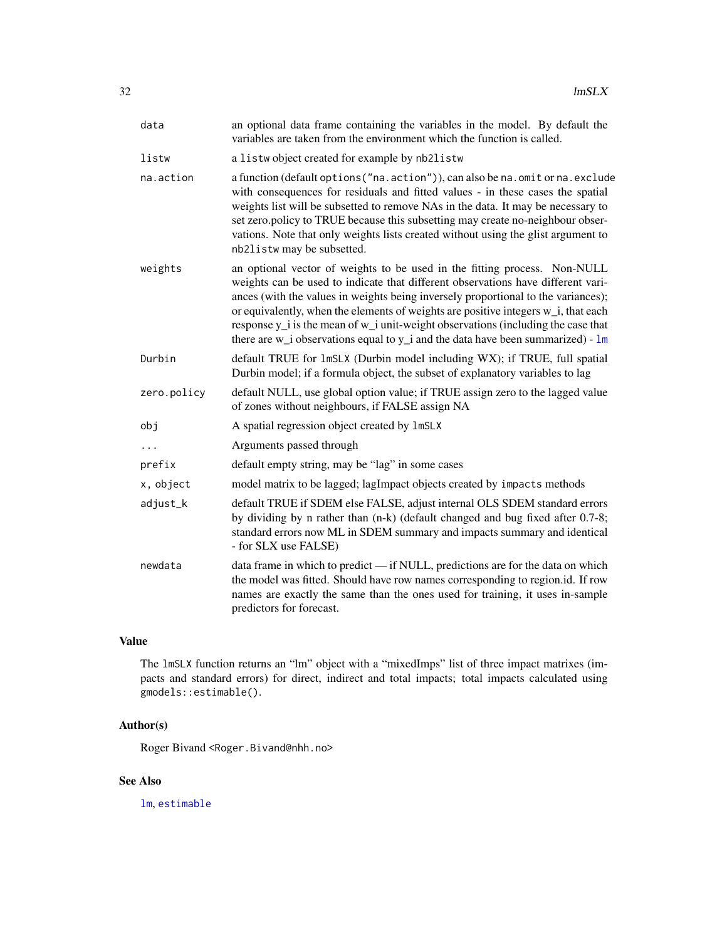| data        | an optional data frame containing the variables in the model. By default the<br>variables are taken from the environment which the function is called.                                                                                                                                                                                                                                                                                                                                                                 |
|-------------|------------------------------------------------------------------------------------------------------------------------------------------------------------------------------------------------------------------------------------------------------------------------------------------------------------------------------------------------------------------------------------------------------------------------------------------------------------------------------------------------------------------------|
| listw       | a listwobject created for example by nb2listw                                                                                                                                                                                                                                                                                                                                                                                                                                                                          |
| na.action   | a function (default options ("na.action")), can also be na.omit or na.exclude<br>with consequences for residuals and fitted values - in these cases the spatial<br>weights list will be subsetted to remove NAs in the data. It may be necessary to<br>set zero.policy to TRUE because this subsetting may create no-neighbour obser-<br>vations. Note that only weights lists created without using the glist argument to<br>nb2listw may be subsetted.                                                               |
| weights     | an optional vector of weights to be used in the fitting process. Non-NULL<br>weights can be used to indicate that different observations have different vari-<br>ances (with the values in weights being inversely proportional to the variances);<br>or equivalently, when the elements of weights are positive integers w_i, that each<br>response y_i is the mean of w_i unit-weight observations (including the case that<br>there are $w_i$ observations equal to $y_i$ and the data have been summarized) - $lm$ |
| Durbin      | default TRUE for 1mSLX (Durbin model including WX); if TRUE, full spatial<br>Durbin model; if a formula object, the subset of explanatory variables to lag                                                                                                                                                                                                                                                                                                                                                             |
| zero.policy | default NULL, use global option value; if TRUE assign zero to the lagged value<br>of zones without neighbours, if FALSE assign NA                                                                                                                                                                                                                                                                                                                                                                                      |
| obj         | A spatial regression object created by 1mSLX                                                                                                                                                                                                                                                                                                                                                                                                                                                                           |
| .           | Arguments passed through                                                                                                                                                                                                                                                                                                                                                                                                                                                                                               |
| prefix      | default empty string, may be "lag" in some cases                                                                                                                                                                                                                                                                                                                                                                                                                                                                       |
| x, object   | model matrix to be lagged; lagImpact objects created by impacts methods                                                                                                                                                                                                                                                                                                                                                                                                                                                |
| adjust_k    | default TRUE if SDEM else FALSE, adjust internal OLS SDEM standard errors<br>by dividing by n rather than (n-k) (default changed and bug fixed after 0.7-8;<br>standard errors now ML in SDEM summary and impacts summary and identical<br>- for SLX use FALSE)                                                                                                                                                                                                                                                        |
| newdata     | data frame in which to predict - if NULL, predictions are for the data on which<br>the model was fitted. Should have row names corresponding to region.id. If row<br>names are exactly the same than the ones used for training, it uses in-sample<br>predictors for forecast.                                                                                                                                                                                                                                         |

### Value

The lmSLX function returns an "lm" object with a "mixedImps" list of three impact matrixes (impacts and standard errors) for direct, indirect and total impacts; total impacts calculated using gmodels::estimable().

### Author(s)

Roger Bivand <Roger.Bivand@nhh.no>

### See Also

[lm](#page-0-0), [estimable](#page-0-0)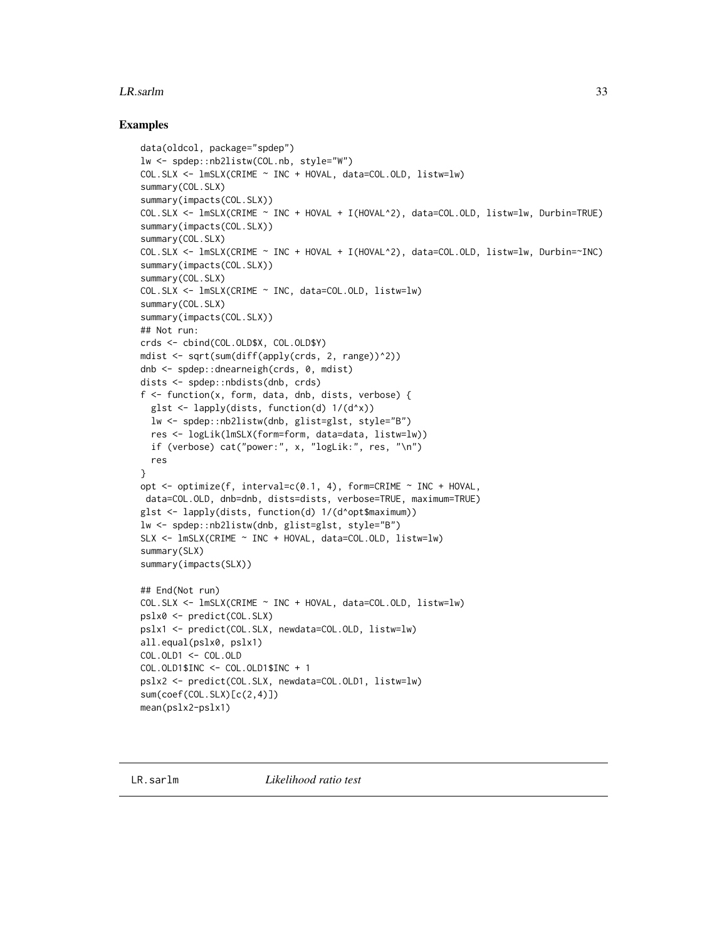#### <span id="page-32-0"></span>**LR.sarlm** 33

```
data(oldcol, package="spdep")
lw <- spdep::nb2listw(COL.nb, style="W")
COL.SLX <- lmSLX(CRIME ~ INC + HOVAL, data=COL.OLD, listw=lw)
summary(COL.SLX)
summary(impacts(COL.SLX))
COL.SLX <- lmSLX(CRIME ~ INC + HOVAL + I(HOVAL^2), data=COL.OLD, listw=lw, Durbin=TRUE)
summary(impacts(COL.SLX))
summary(COL.SLX)
COL.SLX <- lmSLX(CRIME ~ INC + HOVAL + I(HOVAL^2), data=COL.OLD, listw=lw, Durbin=~INC)
summary(impacts(COL.SLX))
summary(COL.SLX)
COL.SLX <- lmSLX(CRIME ~ INC, data=COL.OLD, listw=lw)
summary(COL.SLX)
summary(impacts(COL.SLX))
## Not run:
crds <- cbind(COL.OLD$X, COL.OLD$Y)
mdist <- sqrt(sum(diff(apply(crds, 2, range))^2))
dnb <- spdep::dnearneigh(crds, 0, mdist)
dists <- spdep::nbdists(dnb, crds)
f <- function(x, form, data, dnb, dists, verbose) {
  glst <- lapply(dists, function(d) 1/(d^x))
  lw <- spdep::nb2listw(dnb, glist=glst, style="B")
  res <- logLik(lmSLX(form=form, data=data, listw=lw))
  if (verbose) cat("power:", x, "logLik:", res, "\n")
  res
}
opt <- optimize(f, interval=c(0.1, 4), form=CRIME ~ INC + HOVAL,
data=COL.OLD, dnb=dnb, dists=dists, verbose=TRUE, maximum=TRUE)
glst <- lapply(dists, function(d) 1/(d^opt$maximum))
lw <- spdep::nb2listw(dnb, glist=glst, style="B")
SLX <- lmSLX(CRIME ~ INC + HOVAL, data=COL.OLD, listw=lw)
summary(SLX)
summary(impacts(SLX))
## End(Not run)
COL.SLX <- lmSLX(CRIME ~ INC + HOVAL, data=COL.OLD, listw=lw)
pslx0 <- predict(COL.SLX)
pslx1 <- predict(COL.SLX, newdata=COL.OLD, listw=lw)
all.equal(pslx0, pslx1)
COL.OLD1 <- COL.OLD
COL.OLD1$INC <- COL.OLD1$INC + 1
pslx2 <- predict(COL.SLX, newdata=COL.OLD1, listw=lw)
sum(coef(COL.SLX)[c(2,4)])
mean(pslx2-pslx1)
```
<span id="page-32-1"></span>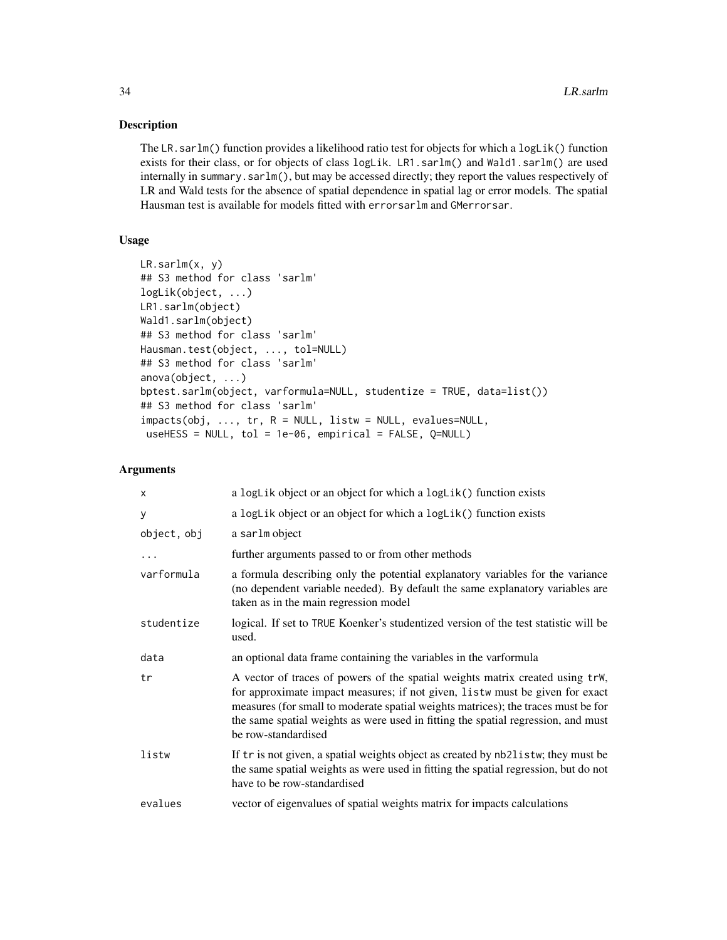#### Description

The LR.sarlm() function provides a likelihood ratio test for objects for which a logLik() function exists for their class, or for objects of class logLik. LR1.sarlm() and Wald1.sarlm() are used internally in summary.sarlm(), but may be accessed directly; they report the values respectively of LR and Wald tests for the absence of spatial dependence in spatial lag or error models. The spatial Hausman test is available for models fitted with errorsarlm and GMerrorsar.

### Usage

```
LR.sarlm(x, y)
## S3 method for class 'sarlm'
logLik(object, ...)
LR1.sarlm(object)
Wald1.sarlm(object)
## S3 method for class 'sarlm'
Hausman.test(object, ..., tol=NULL)
## S3 method for class 'sarlm'
anova(object, ...)
bptest.sarlm(object, varformula=NULL, studentize = TRUE, data=list())
## S3 method for class 'sarlm'
impacts(obj, ..., tr, R = NULL, listw = NULL, evalues=NULL,
useHESS = NULL, tol = 1e-06, empirical = FALSE, Q=NULL)
```
#### Arguments

| X           | a logLik object or an object for which a logLik() function exists                                                                                                                                                                                                                                                                                              |
|-------------|----------------------------------------------------------------------------------------------------------------------------------------------------------------------------------------------------------------------------------------------------------------------------------------------------------------------------------------------------------------|
| У           | a logLik object or an object for which a logLik() function exists                                                                                                                                                                                                                                                                                              |
| object, obj | a sarlm object                                                                                                                                                                                                                                                                                                                                                 |
|             | further arguments passed to or from other methods                                                                                                                                                                                                                                                                                                              |
| varformula  | a formula describing only the potential explanatory variables for the variance<br>(no dependent variable needed). By default the same explanatory variables are<br>taken as in the main regression model                                                                                                                                                       |
| studentize  | logical. If set to TRUE Koenker's studentized version of the test statistic will be<br>used.                                                                                                                                                                                                                                                                   |
| data        | an optional data frame containing the variables in the varformula                                                                                                                                                                                                                                                                                              |
| tr          | A vector of traces of powers of the spatial weights matrix created using trW,<br>for approximate impact measures; if not given, listw must be given for exact<br>measures (for small to moderate spatial weights matrices); the traces must be for<br>the same spatial weights as were used in fitting the spatial regression, and must<br>be row-standardised |
| listw       | If tr is not given, a spatial weights object as created by nb2listw; they must be<br>the same spatial weights as were used in fitting the spatial regression, but do not<br>have to be row-standardised                                                                                                                                                        |
| evalues     | vector of eigenvalues of spatial weights matrix for impacts calculations                                                                                                                                                                                                                                                                                       |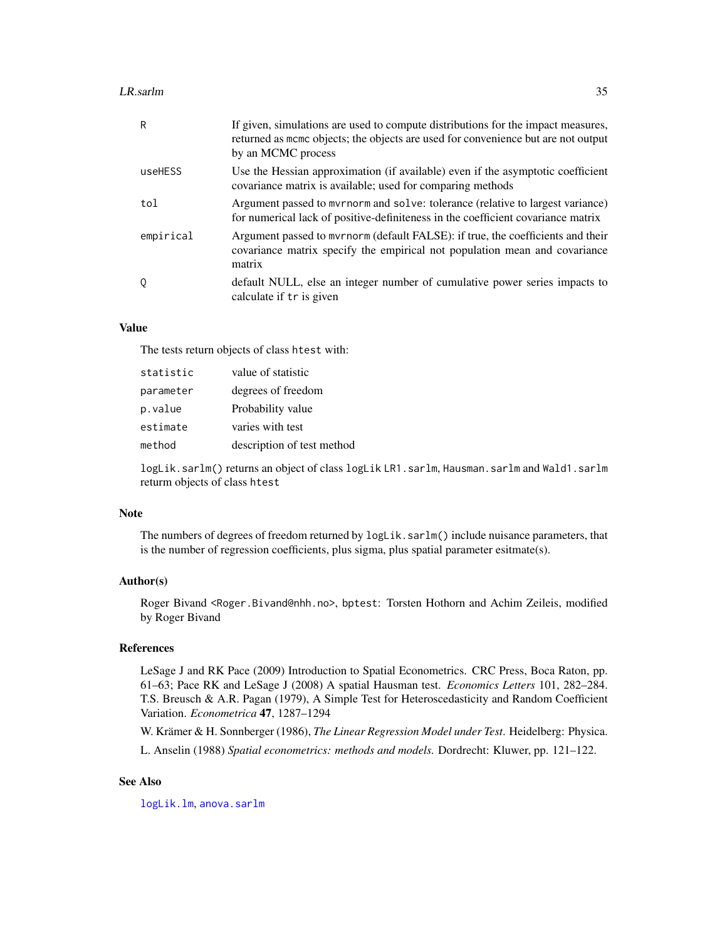#### **LR.sarlm** 35

| R         | If given, simulations are used to compute distributions for the impact measures,<br>returned as mome objects; the objects are used for convenience but are not output<br>by an MCMC process |
|-----------|---------------------------------------------------------------------------------------------------------------------------------------------------------------------------------------------|
| useHESS   | Use the Hessian approximation (if available) even if the asymptotic coefficient<br>covariance matrix is available; used for comparing methods                                               |
| tol       | Argument passed to myrnorm and solve: tolerance (relative to largest variance)<br>for numerical lack of positive-definiteness in the coefficient covariance matrix                          |
| empirical | Argument passed to myrnorm (default FALSE): if true, the coefficients and their<br>covariance matrix specify the empirical not population mean and covariance<br>matrix                     |
| 0         | default NULL, else an integer number of cumulative power series impacts to<br>calculate if tr is given                                                                                      |

#### Value

The tests return objects of class htest with:

| statistic | value of statistic         |
|-----------|----------------------------|
| parameter | degrees of freedom         |
| p.value   | Probability value          |
| estimate  | varies with test           |
| method    | description of test method |

logLik.sarlm() returns an object of class logLik LR1.sarlm, Hausman.sarlm and Wald1.sarlm returm objects of class htest

#### Note

The numbers of degrees of freedom returned by  $logLik$ . sarlm() include nuisance parameters, that is the number of regression coefficients, plus sigma, plus spatial parameter esitmate(s).

### Author(s)

Roger Bivand <Roger.Bivand@nhh.no>, bptest: Torsten Hothorn and Achim Zeileis, modified by Roger Bivand

#### References

LeSage J and RK Pace (2009) Introduction to Spatial Econometrics. CRC Press, Boca Raton, pp. 61–63; Pace RK and LeSage J (2008) A spatial Hausman test. *Economics Letters* 101, 282–284. T.S. Breusch & A.R. Pagan (1979), A Simple Test for Heteroscedasticity and Random Coefficient Variation. *Econometrica* 47, 1287–1294

W. Krämer & H. Sonnberger (1986), *The Linear Regression Model under Test*. Heidelberg: Physica. L. Anselin (1988) *Spatial econometrics: methods and models.* Dordrecht: Kluwer, pp. 121–122.

### See Also

[logLik.lm](#page-0-0), [anova.sarlm](#page-32-1)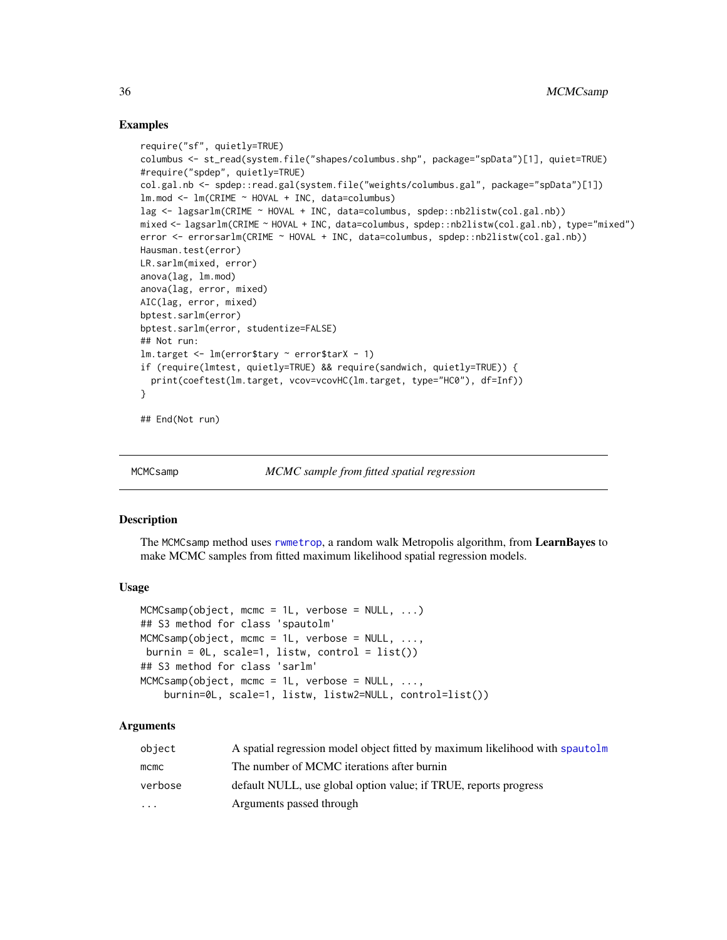#### Examples

```
require("sf", quietly=TRUE)
columbus <- st_read(system.file("shapes/columbus.shp", package="spData")[1], quiet=TRUE)
#require("spdep", quietly=TRUE)
col.gal.nb <- spdep::read.gal(system.file("weights/columbus.gal", package="spData")[1])
lmmod \leftarrow lm(CRIME \sim HOVAL + INC, data=columnlag <- lagsarlm(CRIME ~ HOVAL + INC, data=columbus, spdep::nb2listw(col.gal.nb))
mixed <- lagsarlm(CRIME ~ HOVAL + INC, data=columbus, spdep::nb2listw(col.gal.nb), type="mixed")
error <- errorsarlm(CRIME ~ HOVAL + INC, data=columbus, spdep::nb2listw(col.gal.nb))
Hausman.test(error)
LR.sarlm(mixed, error)
anova(lag, lm.mod)
anova(lag, error, mixed)
AIC(lag, error, mixed)
bptest.sarlm(error)
bptest.sarlm(error, studentize=FALSE)
## Not run:
lm.target <- lm(error$tary ~ error$tarX - 1)
if (require(lmtest, quietly=TRUE) && require(sandwich, quietly=TRUE)) {
  print(coeftest(lm.target, vcov=vcovHC(lm.target, type="HC0"), df=Inf))
}
## End(Not run)
```

```
MCMCsamp MCMC sample from fitted spatial regression
```
#### **Description**

The MCMCsamp method uses [rwmetrop](#page-0-0), a random walk Metropolis algorithm, from LearnBayes to make MCMC samples from fitted maximum likelihood spatial regression models.

#### Usage

```
MCMC samp(object, more = 1L, verbose = NULL, ...)## S3 method for class 'spautolm'
MCMC samp(object, more = 1L, verbose = NULL, ...,burnin = \theta L, scale=1, listw, control = list())
## S3 method for class 'sarlm'
MCMCsamp(object, mcmc = 1L, verbose = NULL, ...,
    burnin=0L, scale=1, listw, listw2=NULL, control=list())
```
#### Arguments

| object                  | A spatial regression model object fitted by maximum likelihood with spautolm |
|-------------------------|------------------------------------------------------------------------------|
| mcmc                    | The number of MCMC iterations after burnin                                   |
| verbose                 | default NULL, use global option value; if TRUE, reports progress             |
| $\cdot$ $\cdot$ $\cdot$ | Arguments passed through                                                     |

<span id="page-35-0"></span>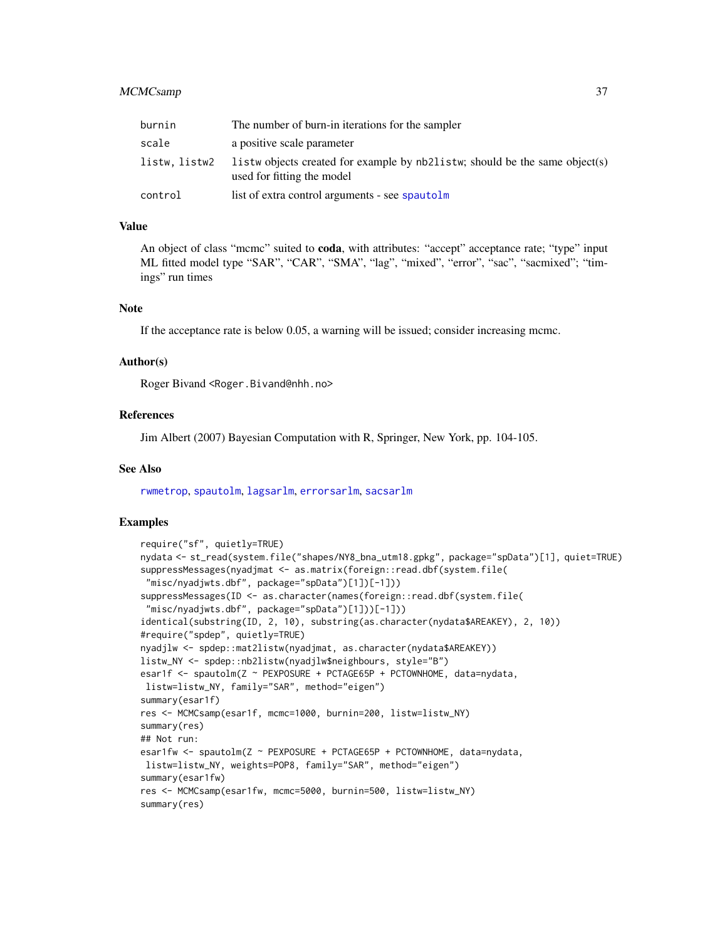# MCMCsamp 37

| burnin        | The number of burn-in iterations for the sampler                                                          |
|---------------|-----------------------------------------------------------------------------------------------------------|
| scale         | a positive scale parameter                                                                                |
| listw, listw2 | listw objects created for example by nb2listw; should be the same object(s)<br>used for fitting the model |
| control       | list of extra control arguments - see spautolm                                                            |

### Value

An object of class "mcmc" suited to coda, with attributes: "accept" acceptance rate; "type" input ML fitted model type "SAR", "CAR", "SMA", "lag", "mixed", "error", "sac", "sacmixed"; "timings" run times

## Note

If the acceptance rate is below 0.05, a warning will be issued; consider increasing mcmc.

#### Author(s)

Roger Bivand <Roger.Bivand@nhh.no>

### References

Jim Albert (2007) Bayesian Computation with R, Springer, New York, pp. 104-105.

#### See Also

[rwmetrop](#page-0-0), [spautolm](#page-62-0), [lagsarlm](#page-41-0), [errorsarlm](#page-41-0), [sacsarlm](#page-41-0)

```
require("sf", quietly=TRUE)
nydata <- st_read(system.file("shapes/NY8_bna_utm18.gpkg", package="spData")[1], quiet=TRUE)
suppressMessages(nyadjmat <- as.matrix(foreign::read.dbf(system.file(
"misc/nyadjwts.dbf", package="spData")[1])[-1]))
suppressMessages(ID <- as.character(names(foreign::read.dbf(system.file(
 "misc/nyadjwts.dbf", package="spData")[1]))[-1]))
identical(substring(ID, 2, 10), substring(as.character(nydata$AREAKEY), 2, 10))
#require("spdep", quietly=TRUE)
nyadjlw <- spdep::mat2listw(nyadjmat, as.character(nydata$AREAKEY))
listw_NY <- spdep::nb2listw(nyadjlw$neighbours, style="B")
esar1f <- spautolm(Z ~ PEXPOSURE + PCTAGE65P + PCTOWNHOME, data=nydata,
listw=listw_NY, family="SAR", method="eigen")
summary(esar1f)
res <- MCMCsamp(esar1f, mcmc=1000, burnin=200, listw=listw_NY)
summary(res)
## Not run:
esar1fw <- spautolm(Z ~ PEXPOSURE + PCTAGE65P + PCTOWNHOME, data=nydata,
listw=listw_NY, weights=POP8, family="SAR", method="eigen")
summary(esar1fw)
res <- MCMCsamp(esar1fw, mcmc=5000, burnin=500, listw=listw_NY)
summary(res)
```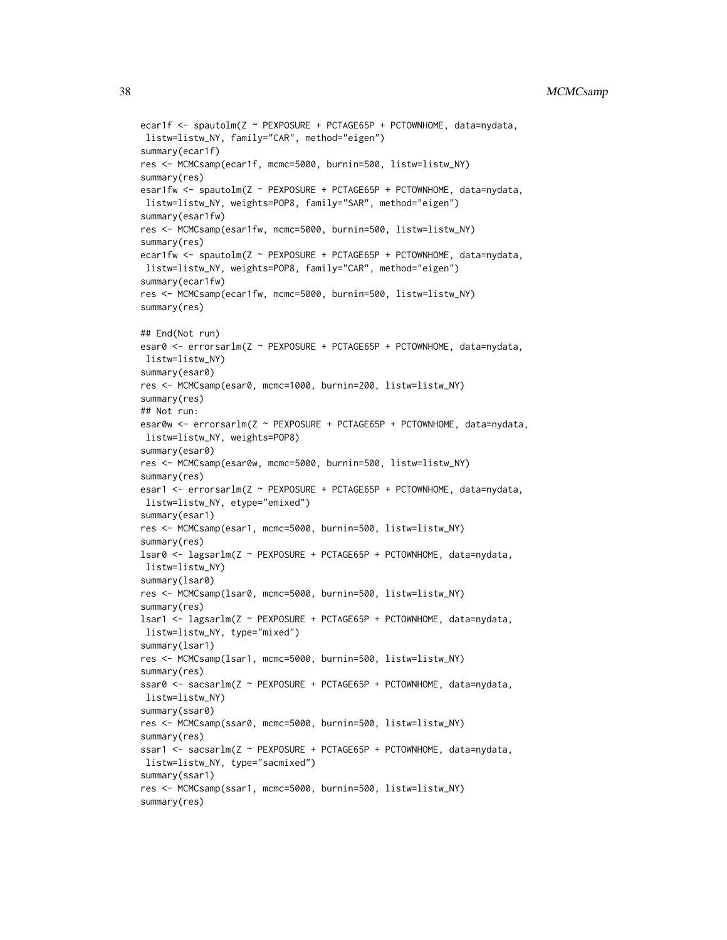```
ecar1f <- spautolm(Z ~ PEXPOSURE + PCTAGE65P + PCTOWNHOME, data=nydata,
listw=listw_NY, family="CAR", method="eigen")
summary(ecar1f)
res <- MCMCsamp(ecar1f, mcmc=5000, burnin=500, listw=listw_NY)
summary(res)
esar1fw <- spautolm(Z ~ PEXPOSURE + PCTAGE65P + PCTOWNHOME, data=nydata,
listw=listw_NY, weights=POP8, family="SAR", method="eigen")
summary(esar1fw)
res <- MCMCsamp(esar1fw, mcmc=5000, burnin=500, listw=listw_NY)
summary(res)
ecar1fw <- spautolm(Z ~ PEXPOSURE + PCTAGE65P + PCTOWNHOME, data=nydata,
listw=listw_NY, weights=POP8, family="CAR", method="eigen")
summary(ecar1fw)
res <- MCMCsamp(ecar1fw, mcmc=5000, burnin=500, listw=listw_NY)
summary(res)
## End(Not run)
esar0 <- errorsarlm(Z ~ PEXPOSURE + PCTAGE65P + PCTOWNHOME, data=nydata,
listw=listw_NY)
summary(esar0)
res <- MCMCsamp(esar0, mcmc=1000, burnin=200, listw=listw_NY)
summary(res)
## Not run:
esar0w <- errorsarlm(Z ~ PEXPOSURE + PCTAGE65P + PCTOWNHOME, data=nydata,
listw=listw_NY, weights=POP8)
summary(esar0)
res <- MCMCsamp(esar0w, mcmc=5000, burnin=500, listw=listw_NY)
summary(res)
esar1 <- errorsarlm(Z ~ PEXPOSURE + PCTAGE65P + PCTOWNHOME, data=nydata,
listw=listw_NY, etype="emixed")
summary(esar1)
res <- MCMCsamp(esar1, mcmc=5000, burnin=500, listw=listw_NY)
summary(res)
lsar0 <- lagsarlm(Z ~ PEXPOSURE + PCTAGE65P + PCTOWNHOME, data=nydata,
listw=listw_NY)
summary(lsar0)
res <- MCMCsamp(lsar0, mcmc=5000, burnin=500, listw=listw_NY)
summary(res)
lsar1 <- lagsarlm(Z ~ PEXPOSURE + PCTAGE65P + PCTOWNHOME, data=nydata,
listw=listw_NY, type="mixed")
summary(lsar1)
res <- MCMCsamp(lsar1, mcmc=5000, burnin=500, listw=listw_NY)
summary(res)
ssar0 <- sacsarlm(Z ~ PEXPOSURE + PCTAGE65P + PCTOWNHOME, data=nydata,
listw=listw_NY)
summary(ssar0)
res <- MCMCsamp(ssar0, mcmc=5000, burnin=500, listw=listw_NY)
summary(res)
ssar1 <- sacsarlm(Z ~ PEXPOSURE + PCTAGE65P + PCTOWNHOME, data=nydata,
listw=listw_NY, type="sacmixed")
summary(ssar1)
res <- MCMCsamp(ssar1, mcmc=5000, burnin=500, listw=listw_NY)
summary(res)
```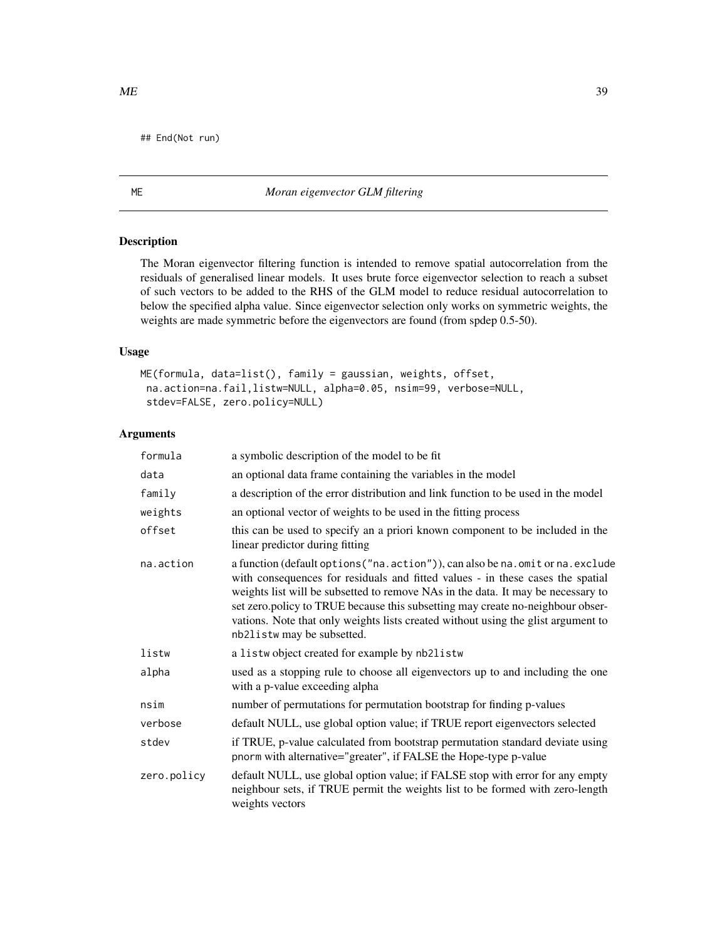## End(Not run)

# ME *Moran eigenvector GLM filtering*

# Description

The Moran eigenvector filtering function is intended to remove spatial autocorrelation from the residuals of generalised linear models. It uses brute force eigenvector selection to reach a subset of such vectors to be added to the RHS of the GLM model to reduce residual autocorrelation to below the specified alpha value. Since eigenvector selection only works on symmetric weights, the weights are made symmetric before the eigenvectors are found (from spdep 0.5-50).

# Usage

```
ME(formula, data=list(), family = gaussian, weights, offset,
 na.action=na.fail,listw=NULL, alpha=0.05, nsim=99, verbose=NULL,
 stdev=FALSE, zero.policy=NULL)
```
# Arguments

| formula     | a symbolic description of the model to be fit                                                                                                                                                                                                                                                                                                                                                                                                            |
|-------------|----------------------------------------------------------------------------------------------------------------------------------------------------------------------------------------------------------------------------------------------------------------------------------------------------------------------------------------------------------------------------------------------------------------------------------------------------------|
| data        | an optional data frame containing the variables in the model                                                                                                                                                                                                                                                                                                                                                                                             |
| family      | a description of the error distribution and link function to be used in the model                                                                                                                                                                                                                                                                                                                                                                        |
| weights     | an optional vector of weights to be used in the fitting process                                                                                                                                                                                                                                                                                                                                                                                          |
| offset      | this can be used to specify an a priori known component to be included in the<br>linear predictor during fitting                                                                                                                                                                                                                                                                                                                                         |
| na.action   | a function (default options ("na.action")), can also be na.omit or na.exclude<br>with consequences for residuals and fitted values - in these cases the spatial<br>weights list will be subsetted to remove NAs in the data. It may be necessary to<br>set zero.policy to TRUE because this subsetting may create no-neighbour obser-<br>vations. Note that only weights lists created without using the glist argument to<br>nb2listw may be subsetted. |
| listw       | a listwobject created for example by nb2listw                                                                                                                                                                                                                                                                                                                                                                                                            |
| alpha       | used as a stopping rule to choose all eigenvectors up to and including the one<br>with a p-value exceeding alpha                                                                                                                                                                                                                                                                                                                                         |
| nsim        | number of permutations for permutation bootstrap for finding p-values                                                                                                                                                                                                                                                                                                                                                                                    |
| verbose     | default NULL, use global option value; if TRUE report eigenvectors selected                                                                                                                                                                                                                                                                                                                                                                              |
| stdev       | if TRUE, p-value calculated from bootstrap permutation standard deviate using<br>pnorm with alternative="greater", if FALSE the Hope-type p-value                                                                                                                                                                                                                                                                                                        |
| zero.policy | default NULL, use global option value; if FALSE stop with error for any empty<br>neighbour sets, if TRUE permit the weights list to be formed with zero-length<br>weights vectors                                                                                                                                                                                                                                                                        |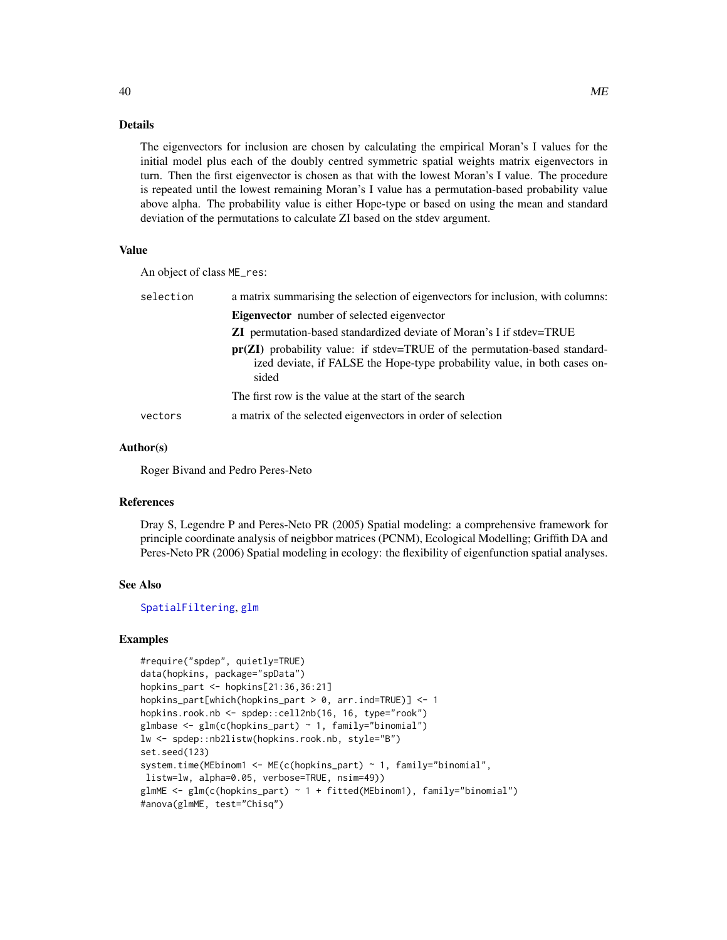### Details

The eigenvectors for inclusion are chosen by calculating the empirical Moran's I values for the initial model plus each of the doubly centred symmetric spatial weights matrix eigenvectors in turn. Then the first eigenvector is chosen as that with the lowest Moran's I value. The procedure is repeated until the lowest remaining Moran's I value has a permutation-based probability value above alpha. The probability value is either Hope-type or based on using the mean and standard deviation of the permutations to calculate ZI based on the stdev argument.

### Value

An object of class ME\_res:

| selection | a matrix summarising the selection of eigenvectors for inclusion, with columns:                                                                                    |
|-----------|--------------------------------------------------------------------------------------------------------------------------------------------------------------------|
|           | <b>Eigenvector</b> number of selected eigenvector                                                                                                                  |
|           | <b>ZI</b> permutation-based standardized deviate of Moran's I if stdev=TRUE                                                                                        |
|           | $pr(ZI)$ probability value: if stdev=TRUE of the permutation-based standard-<br>ized deviate, if FALSE the Hope-type probability value, in both cases on-<br>sided |
|           | The first row is the value at the start of the search                                                                                                              |
| vectors   | a matrix of the selected eigenvectors in order of selection                                                                                                        |

### Author(s)

Roger Bivand and Pedro Peres-Neto

# References

Dray S, Legendre P and Peres-Neto PR (2005) Spatial modeling: a comprehensive framework for principle coordinate analysis of neigbbor matrices (PCNM), Ecological Modelling; Griffith DA and Peres-Neto PR (2006) Spatial modeling in ecology: the flexibility of eigenfunction spatial analyses.

# See Also

### [SpatialFiltering](#page-60-0), [glm](#page-0-0)

### Examples

```
#require("spdep", quietly=TRUE)
data(hopkins, package="spData")
hopkins_part <- hopkins[21:36,36:21]
hopkins_part[which(hopkins_part > 0, arr.ind=TRUE)] <- 1
hopkins.rook.nb <- spdep::cell2nb(16, 16, type="rook")
glmbase \leq glm(c(hopkins_part) \sim 1, family="binomial")
lw <- spdep::nb2listw(hopkins.rook.nb, style="B")
set.seed(123)
system.time(MEbinom1 <- ME(c(hopkins_part) ~ 1, family="binomial",
listw=lw, alpha=0.05, verbose=TRUE, nsim=49))
glmME \leq glm(c(hopkins_part) \sim 1 + fitted(MEbinom1), family="binomial")
#anova(glmME, test="Chisq")
```
40 ME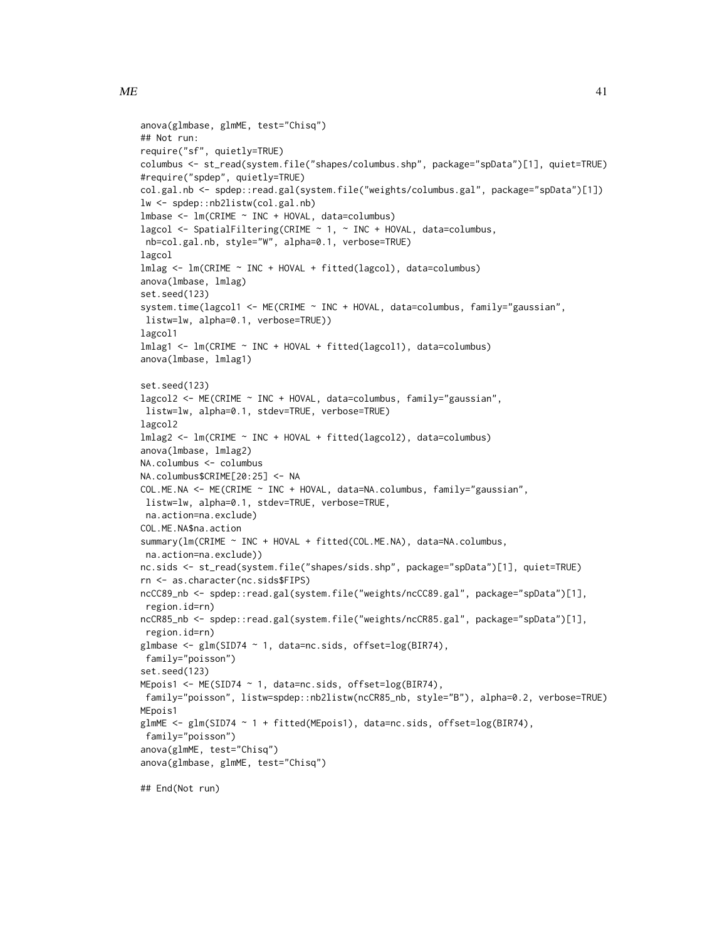```
anova(glmbase, glmME, test="Chisq")
## Not run:
require("sf", quietly=TRUE)
columbus <- st_read(system.file("shapes/columbus.shp", package="spData")[1], quiet=TRUE)
#require("spdep", quietly=TRUE)
col.gal.nb <- spdep::read.gal(system.file("weights/columbus.gal", package="spData")[1])
lw <- spdep::nb2listw(col.gal.nb)
lmbase <- lm(CRIME ~ INC + HOVAL, data=columbus)
lagcol \le SpatialFiltering(CRIME \sim 1, \sim INC + HOVAL, data=columbus,
nb=col.gal.nb, style="W", alpha=0.1, verbose=TRUE)
lagcol
lmlag <- lm(CRIME ~ INC + HOVAL + fitted(lagcol), data=columbus)
anova(lmbase, lmlag)
set.seed(123)
system.time(lagcol1 <- ME(CRIME ~ INC + HOVAL, data=columbus, family="gaussian",
listw=lw, alpha=0.1, verbose=TRUE))
lagcol1
lmlag1 <- lm(CRIME ~ INC + HOVAL + fitted(lagcol1), data=columbus)
anova(lmbase, lmlag1)
set.seed(123)
lagcol2 <- ME(CRIME ~ INC + HOVAL, data=columbus, family="gaussian",
listw=lw, alpha=0.1, stdev=TRUE, verbose=TRUE)
lagcol2
lmlag2 <- lm(CRIME ~ INC + HOVAL + fitted(lagcol2), data=columbus)
anova(lmbase, lmlag2)
NA.columbus <- columbus
NA.columbus$CRIME[20:25] <- NA
COL.ME.NA <- ME(CRIME ~ INC + HOVAL, data=NA.columbus, family="gaussian",
listw=lw, alpha=0.1, stdev=TRUE, verbose=TRUE,
na.action=na.exclude)
COL.ME.NA$na.action
summary(lm(CRIME ~ INC + HOVAL + fitted(COL.ME.NA), data=NA.columbus,
na.action=na.exclude))
nc.sids <- st_read(system.file("shapes/sids.shp", package="spData")[1], quiet=TRUE)
rn <- as.character(nc.sids$FIPS)
ncCC89_nb <- spdep::read.gal(system.file("weights/ncCC89.gal", package="spData")[1],
region.id=rn)
ncCR85_nb <- spdep::read.gal(system.file("weights/ncCR85.gal", package="spData")[1],
region.id=rn)
glmbase <- glm(SID74 ~ 1, data=nc.sids, offset=log(BIR74),
family="poisson")
set.seed(123)
MEpois1 <- ME(SID74 ~ 1, data=nc.sids, offset=log(BIR74),
family="poisson", listw=spdep::nb2listw(ncCR85_nb, style="B"), alpha=0.2, verbose=TRUE)
MEpois1
glmME \le glm(SID74 \sim 1 + fitted(MEpois1), data=nc.sids, offset=log(BIR74),
family="poisson")
anova(glmME, test="Chisq")
anova(glmbase, glmME, test="Chisq")
```
## End(Not run)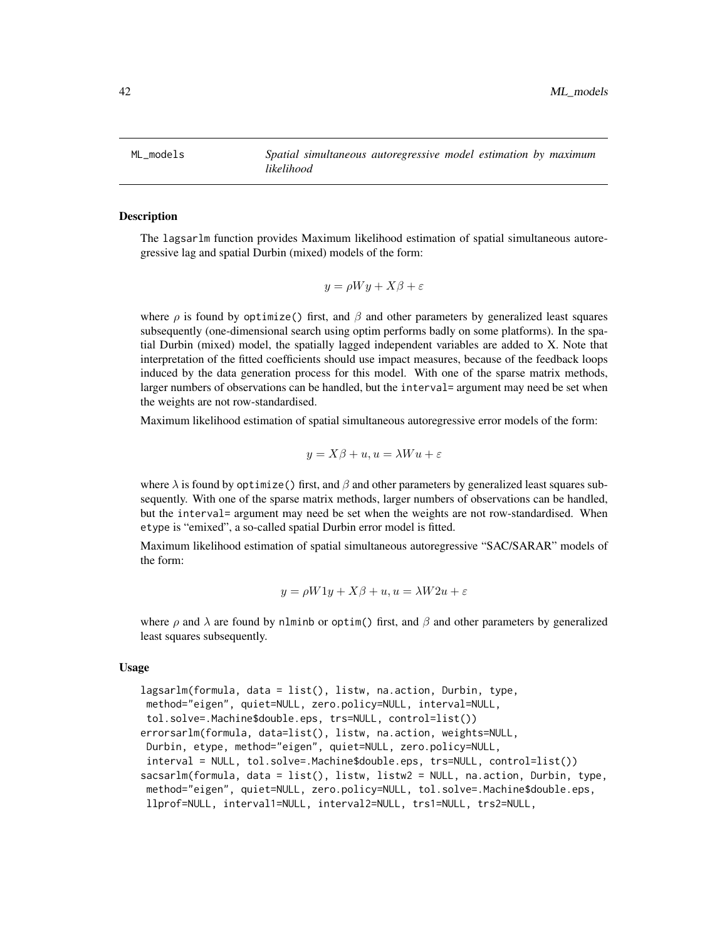ML\_models *Spatial simultaneous autoregressive model estimation by maximum likelihood*

### <span id="page-41-0"></span>Description

The lagsarlm function provides Maximum likelihood estimation of spatial simultaneous autoregressive lag and spatial Durbin (mixed) models of the form:

$$
y = \rho Wy + X\beta + \varepsilon
$$

where  $\rho$  is found by optimize() first, and  $\beta$  and other parameters by generalized least squares subsequently (one-dimensional search using optim performs badly on some platforms). In the spatial Durbin (mixed) model, the spatially lagged independent variables are added to X. Note that interpretation of the fitted coefficients should use impact measures, because of the feedback loops induced by the data generation process for this model. With one of the sparse matrix methods, larger numbers of observations can be handled, but the interval= argument may need be set when the weights are not row-standardised.

Maximum likelihood estimation of spatial simultaneous autoregressive error models of the form:

$$
y = X\beta + u, u = \lambda W u + \varepsilon
$$

where  $\lambda$  is found by optimize() first, and  $\beta$  and other parameters by generalized least squares subsequently. With one of the sparse matrix methods, larger numbers of observations can be handled, but the interval= argument may need be set when the weights are not row-standardised. When etype is "emixed", a so-called spatial Durbin error model is fitted.

Maximum likelihood estimation of spatial simultaneous autoregressive "SAC/SARAR" models of the form:

$$
y = \rho W 1y + X\beta + u, u = \lambda W 2u + \varepsilon
$$

where  $\rho$  and  $\lambda$  are found by nlminb or optim() first, and  $\beta$  and other parameters by generalized least squares subsequently.

### Usage

```
lagsarlm(formula, data = list(), listw, na.action, Durbin, type,
method="eigen", quiet=NULL, zero.policy=NULL, interval=NULL,
tol.solve=.Machine$double.eps, trs=NULL, control=list())
errorsarlm(formula, data=list(), listw, na.action, weights=NULL,
Durbin, etype, method="eigen", quiet=NULL, zero.policy=NULL,
interval = NULL, tol.solve=.Machine$double.eps, trs=NULL, control=list())
sacsarlm(formula, data = list(), listw, listw2 = NULL, na.action, Durbin, type,
method="eigen", quiet=NULL, zero.policy=NULL, tol.solve=.Machine$double.eps,
llprof=NULL, interval1=NULL, interval2=NULL, trs1=NULL, trs2=NULL,
```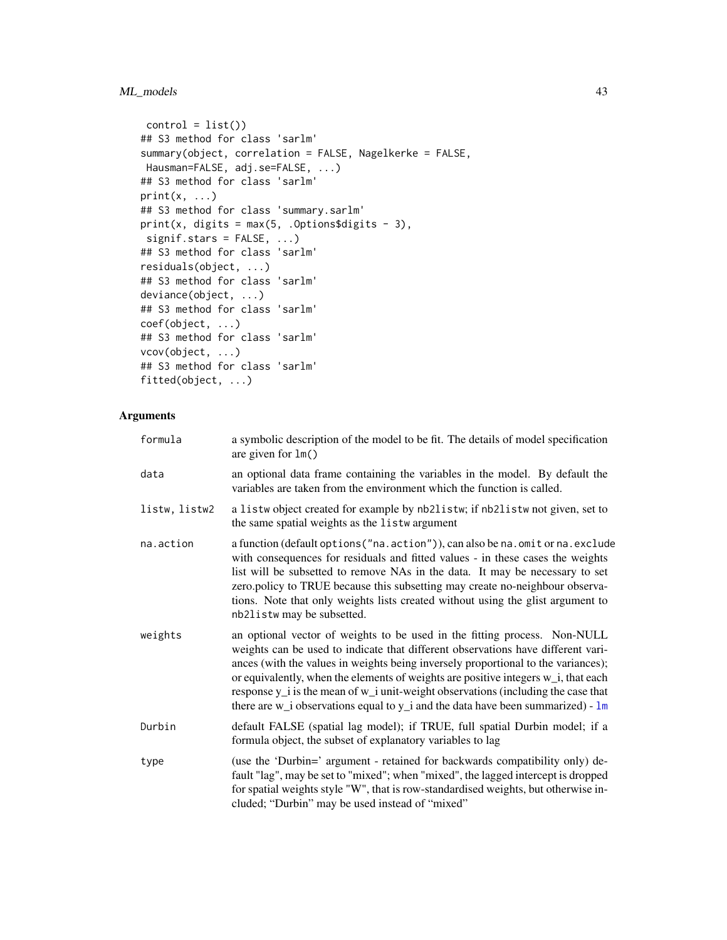# ML\_models 43

```
control = list()## S3 method for class 'sarlm'
summary(object, correlation = FALSE, Nagelkerke = FALSE,
Hausman=FALSE, adj.se=FALSE, ...)
## S3 method for class 'sarlm'
print(x, \ldots)## S3 method for class 'summary.sarlm'
print(x, digits = max(5, .0ptions$digits - 3),
signif.stars = FALSE, ...)
## S3 method for class 'sarlm'
residuals(object, ...)
## S3 method for class 'sarlm'
deviance(object, ...)
## S3 method for class 'sarlm'
coef(object, ...)
## S3 method for class 'sarlm'
vcov(object, ...)
## S3 method for class 'sarlm'
fitted(object, ...)
```
# Arguments

| formula       | a symbolic description of the model to be fit. The details of model specification<br>are given for $lm()$                                                                                                                                                                                                                                                                                                                                                                                                                  |
|---------------|----------------------------------------------------------------------------------------------------------------------------------------------------------------------------------------------------------------------------------------------------------------------------------------------------------------------------------------------------------------------------------------------------------------------------------------------------------------------------------------------------------------------------|
| data          | an optional data frame containing the variables in the model. By default the<br>variables are taken from the environment which the function is called.                                                                                                                                                                                                                                                                                                                                                                     |
| listw, listw2 | a listw object created for example by nb2listw; if nb2listw not given, set to<br>the same spatial weights as the listwargument                                                                                                                                                                                                                                                                                                                                                                                             |
| na.action     | a function (default options ("na.action")), can also be na.omit or na.exclude<br>with consequences for residuals and fitted values - in these cases the weights<br>list will be subsetted to remove NAs in the data. It may be necessary to set<br>zero.policy to TRUE because this subsetting may create no-neighbour observa-<br>tions. Note that only weights lists created without using the glist argument to<br>nb21 is tw may be subsetted.                                                                         |
| weights       | an optional vector of weights to be used in the fitting process. Non-NULL<br>weights can be used to indicate that different observations have different vari-<br>ances (with the values in weights being inversely proportional to the variances);<br>or equivalently, when the elements of weights are positive integers w_i, that each<br>response $y_i$ is the mean of $w_i$ unit-weight observations (including the case that<br>there are $w_i$ observations equal to $y_i$ and the data have been summarized) - $lm$ |
| Durbin        | default FALSE (spatial lag model); if TRUE, full spatial Durbin model; if a<br>formula object, the subset of explanatory variables to lag                                                                                                                                                                                                                                                                                                                                                                                  |
| type          | (use the 'Durbin=' argument - retained for backwards compatibility only) de-<br>fault "lag", may be set to "mixed"; when "mixed", the lagged intercept is dropped<br>for spatial weights style "W", that is row-standardised weights, but otherwise in-<br>cluded; "Durbin" may be used instead of "mixed"                                                                                                                                                                                                                 |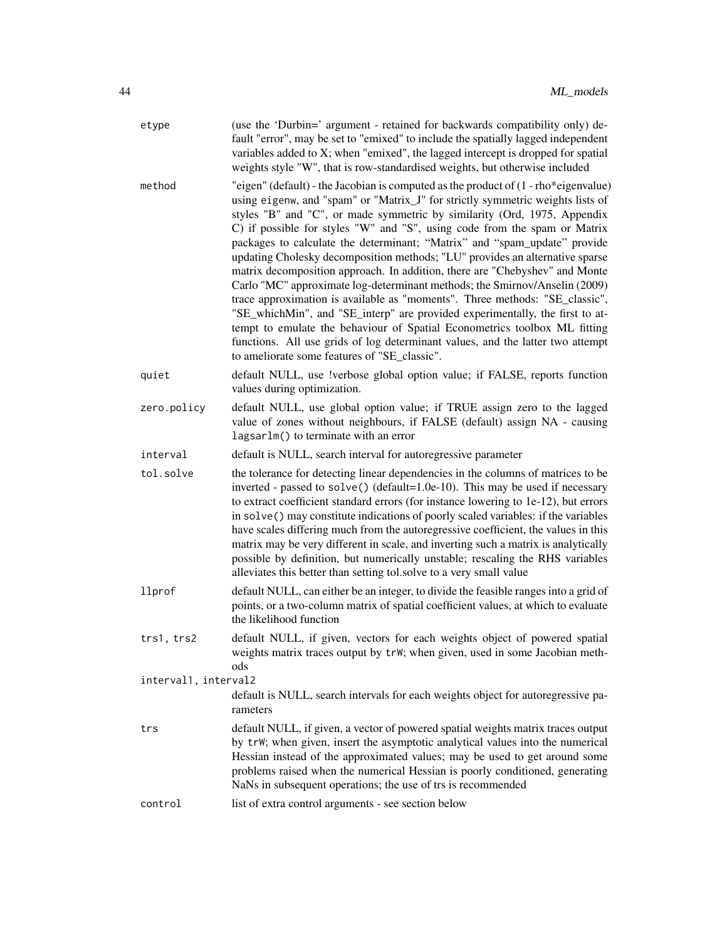| etype                | (use the 'Durbin=' argument - retained for backwards compatibility only) de-<br>fault "error", may be set to "emixed" to include the spatially lagged independent<br>variables added to X; when "emixed", the lagged intercept is dropped for spatial<br>weights style "W", that is row-standardised weights, but otherwise included                                                                                                                                                                                                                                                                                                                                                                                                                                                                                                                                                                                                                                                                                                       |  |
|----------------------|--------------------------------------------------------------------------------------------------------------------------------------------------------------------------------------------------------------------------------------------------------------------------------------------------------------------------------------------------------------------------------------------------------------------------------------------------------------------------------------------------------------------------------------------------------------------------------------------------------------------------------------------------------------------------------------------------------------------------------------------------------------------------------------------------------------------------------------------------------------------------------------------------------------------------------------------------------------------------------------------------------------------------------------------|--|
| method               | "eigen" (default) - the Jacobian is computed as the product of $(1 - rho * eigenvalue)$<br>using eigenw, and "spam" or "Matrix_J" for strictly symmetric weights lists of<br>styles "B" and "C", or made symmetric by similarity (Ord, 1975, Appendix<br>C) if possible for styles "W" and "S", using code from the spam or Matrix<br>packages to calculate the determinant; "Matrix" and "spam_update" provide<br>updating Cholesky decomposition methods; "LU" provides an alternative sparse<br>matrix decomposition approach. In addition, there are "Chebyshev" and Monte<br>Carlo "MC" approximate log-determinant methods; the Smirnov/Anselin (2009)<br>trace approximation is available as "moments". Three methods: "SE_classic",<br>"SE_whichMin", and "SE_interp" are provided experimentally, the first to at-<br>tempt to emulate the behaviour of Spatial Econometrics toolbox ML fitting<br>functions. All use grids of log determinant values, and the latter two attempt<br>to ameliorate some features of "SE_classic". |  |
| quiet                | default NULL, use !verbose global option value; if FALSE, reports function<br>values during optimization.                                                                                                                                                                                                                                                                                                                                                                                                                                                                                                                                                                                                                                                                                                                                                                                                                                                                                                                                  |  |
| zero.policy          | default NULL, use global option value; if TRUE assign zero to the lagged<br>value of zones without neighbours, if FALSE (default) assign NA - causing<br>lagsarlm() to terminate with an error                                                                                                                                                                                                                                                                                                                                                                                                                                                                                                                                                                                                                                                                                                                                                                                                                                             |  |
| interval             | default is NULL, search interval for autoregressive parameter                                                                                                                                                                                                                                                                                                                                                                                                                                                                                                                                                                                                                                                                                                                                                                                                                                                                                                                                                                              |  |
| tol.solve            | the tolerance for detecting linear dependencies in the columns of matrices to be<br>inverted - passed to solve() (default=1.0e-10). This may be used if necessary<br>to extract coefficient standard errors (for instance lowering to 1e-12), but errors<br>in solve() may constitute indications of poorly scaled variables: if the variables<br>have scales differing much from the autoregressive coefficient, the values in this<br>matrix may be very different in scale, and inverting such a matrix is analytically<br>possible by definition, but numerically unstable; rescaling the RHS variables<br>alleviates this better than setting tol.solve to a very small value                                                                                                                                                                                                                                                                                                                                                         |  |
| llprof               | default NULL, can either be an integer, to divide the feasible ranges into a grid of<br>points, or a two-column matrix of spatial coefficient values, at which to evaluate<br>the likelihood function                                                                                                                                                                                                                                                                                                                                                                                                                                                                                                                                                                                                                                                                                                                                                                                                                                      |  |
| trs1, trs2           | default NULL, if given, vectors for each weights object of powered spatial<br>weights matrix traces output by trW; when given, used in some Jacobian meth-<br>ods                                                                                                                                                                                                                                                                                                                                                                                                                                                                                                                                                                                                                                                                                                                                                                                                                                                                          |  |
| interval1, interval2 |                                                                                                                                                                                                                                                                                                                                                                                                                                                                                                                                                                                                                                                                                                                                                                                                                                                                                                                                                                                                                                            |  |
|                      | default is NULL, search intervals for each weights object for autoregressive pa-<br>rameters                                                                                                                                                                                                                                                                                                                                                                                                                                                                                                                                                                                                                                                                                                                                                                                                                                                                                                                                               |  |
| trs                  | default NULL, if given, a vector of powered spatial weights matrix traces output<br>by trW; when given, insert the asymptotic analytical values into the numerical<br>Hessian instead of the approximated values; may be used to get around some<br>problems raised when the numerical Hessian is poorly conditioned, generating<br>NaNs in subsequent operations; the use of trs is recommended                                                                                                                                                                                                                                                                                                                                                                                                                                                                                                                                                                                                                                           |  |
| control              | list of extra control arguments - see section below                                                                                                                                                                                                                                                                                                                                                                                                                                                                                                                                                                                                                                                                                                                                                                                                                                                                                                                                                                                        |  |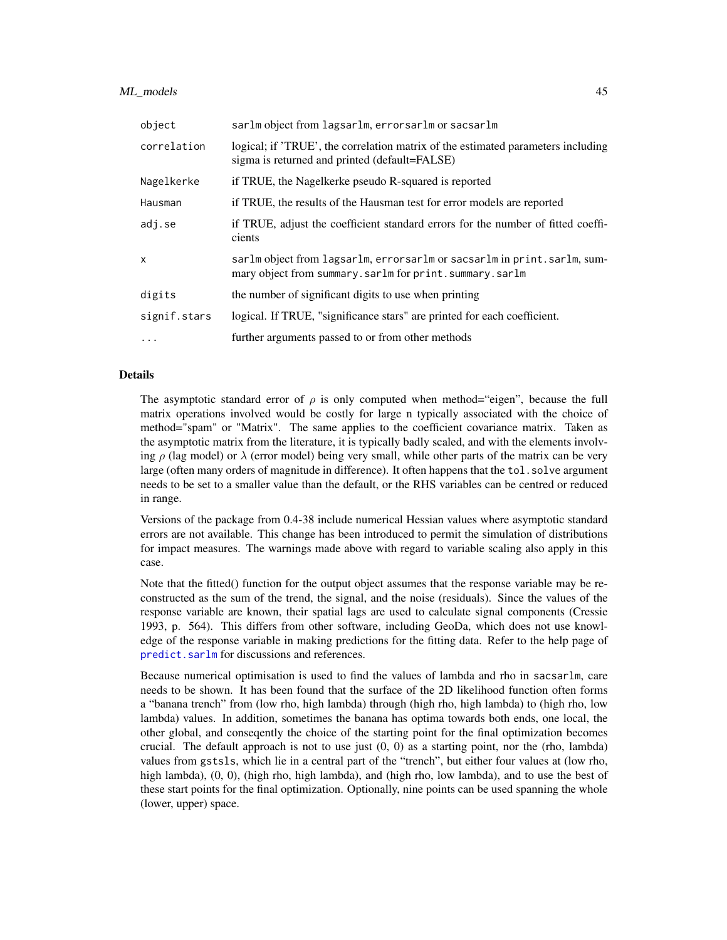### ML\_models 45

| object       | sarlm object from lagsarlm, errorsarlm or sacsarlm                                                                                |
|--------------|-----------------------------------------------------------------------------------------------------------------------------------|
| correlation  | logical; if 'TRUE', the correlation matrix of the estimated parameters including<br>sigma is returned and printed (default=FALSE) |
| Nagelkerke   | if TRUE, the Nagelkerke pseudo R-squared is reported                                                                              |
| Hausman      | if TRUE, the results of the Hausman test for error models are reported                                                            |
| adj.se       | if TRUE, adjust the coefficient standard errors for the number of fitted coeffi-<br>cients                                        |
| X            | sarlm object from lagsarlm, errorsarlm or sacsarlm in print.sarlm, sum-<br>mary object from summary.sarlm for print.summary.sarlm |
| digits       | the number of significant digits to use when printing                                                                             |
| signif.stars | logical. If TRUE, "significance stars" are printed for each coefficient.                                                          |
| $\cdots$     | further arguments passed to or from other methods                                                                                 |

### Details

The asymptotic standard error of  $\rho$  is only computed when method="eigen", because the full matrix operations involved would be costly for large n typically associated with the choice of method="spam" or "Matrix". The same applies to the coefficient covariance matrix. Taken as the asymptotic matrix from the literature, it is typically badly scaled, and with the elements involving  $\rho$  (lag model) or  $\lambda$  (error model) being very small, while other parts of the matrix can be very large (often many orders of magnitude in difference). It often happens that the tol.solve argument needs to be set to a smaller value than the default, or the RHS variables can be centred or reduced in range.

Versions of the package from 0.4-38 include numerical Hessian values where asymptotic standard errors are not available. This change has been introduced to permit the simulation of distributions for impact measures. The warnings made above with regard to variable scaling also apply in this case.

Note that the fitted() function for the output object assumes that the response variable may be reconstructed as the sum of the trend, the signal, and the noise (residuals). Since the values of the response variable are known, their spatial lags are used to calculate signal components (Cressie 1993, p. 564). This differs from other software, including GeoDa, which does not use knowledge of the response variable in making predictions for the fitting data. Refer to the help page of [predict.sarlm](#page-51-0) for discussions and references.

Because numerical optimisation is used to find the values of lambda and rho in sacsarlm, care needs to be shown. It has been found that the surface of the 2D likelihood function often forms a "banana trench" from (low rho, high lambda) through (high rho, high lambda) to (high rho, low lambda) values. In addition, sometimes the banana has optima towards both ends, one local, the other global, and conseqently the choice of the starting point for the final optimization becomes crucial. The default approach is not to use just  $(0, 0)$  as a starting point, nor the (rho, lambda) values from gstsls, which lie in a central part of the "trench", but either four values at (low rho, high lambda),  $(0, 0)$ , (high rho, high lambda), and (high rho, low lambda), and to use the best of these start points for the final optimization. Optionally, nine points can be used spanning the whole (lower, upper) space.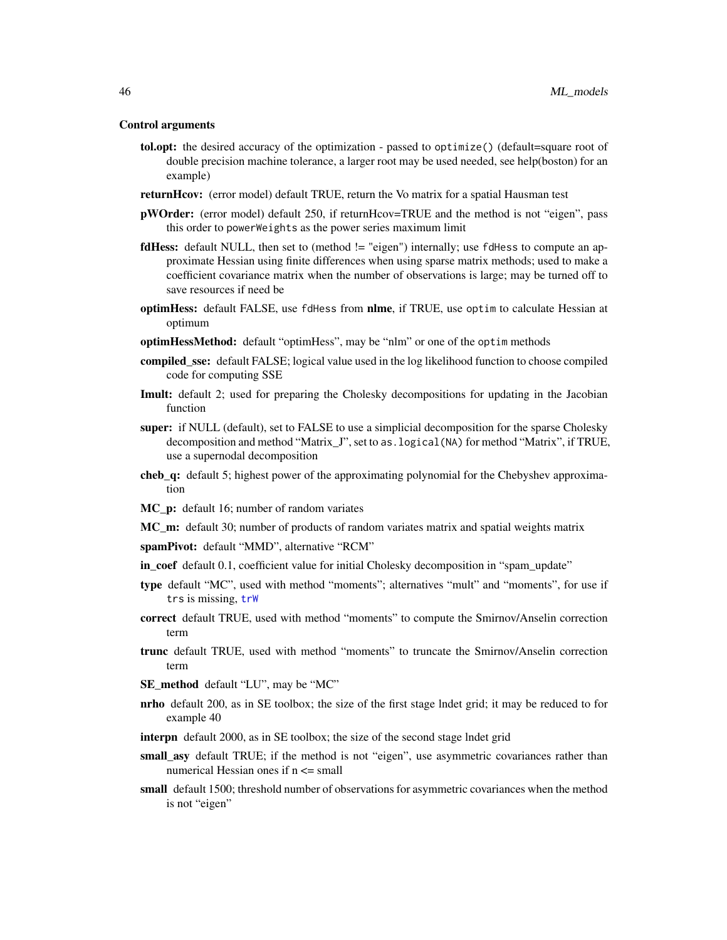#### Control arguments

- tol.opt: the desired accuracy of the optimization passed to optimize() (default=square root of double precision machine tolerance, a larger root may be used needed, see help(boston) for an example)
- returnHcov: (error model) default TRUE, return the Vo matrix for a spatial Hausman test
- **pWOrder:** (error model) default 250, if returnHcov=TRUE and the method is not "eigen", pass this order to powerWeights as the power series maximum limit
- fdHess: default NULL, then set to (method != "eigen") internally; use fdHess to compute an approximate Hessian using finite differences when using sparse matrix methods; used to make a coefficient covariance matrix when the number of observations is large; may be turned off to save resources if need be
- optimHess: default FALSE, use fdHess from nlme, if TRUE, use optim to calculate Hessian at optimum
- optimHessMethod: default "optimHess", may be "nlm" or one of the optim methods
- **compiled sse:** default FALSE; logical value used in the log likelihood function to choose compiled code for computing SSE
- **Imult:** default 2; used for preparing the Cholesky decompositions for updating in the Jacobian function
- super: if NULL (default), set to FALSE to use a simplicial decomposition for the sparse Cholesky decomposition and method "Matrix\_J", set to as.logical(NA) for method "Matrix", if TRUE, use a supernodal decomposition
- cheb\_q: default 5; highest power of the approximating polynomial for the Chebyshev approximation
- MC\_p: default 16; number of random variates
- MC\_m: default 30; number of products of random variates matrix and spatial weights matrix
- spamPivot: default "MMD", alternative "RCM"
- in\_coef default 0.1, coefficient value for initial Cholesky decomposition in "spam\_update"
- type default "MC", used with method "moments"; alternatives "mult" and "moments", for use if trs is missing, [trW](#page-77-0)
- correct default TRUE, used with method "moments" to compute the Smirnov/Anselin correction term
- trunc default TRUE, used with method "moments" to truncate the Smirnov/Anselin correction term
- SE\_method default "LU", may be "MC"
- nrho default 200, as in SE toolbox; the size of the first stage lndet grid; it may be reduced to for example 40
- interpn default 2000, as in SE toolbox; the size of the second stage lndet grid
- small\_asy default TRUE; if the method is not "eigen", use asymmetric covariances rather than numerical Hessian ones if n <= small
- small default 1500; threshold number of observations for asymmetric covariances when the method is not "eigen"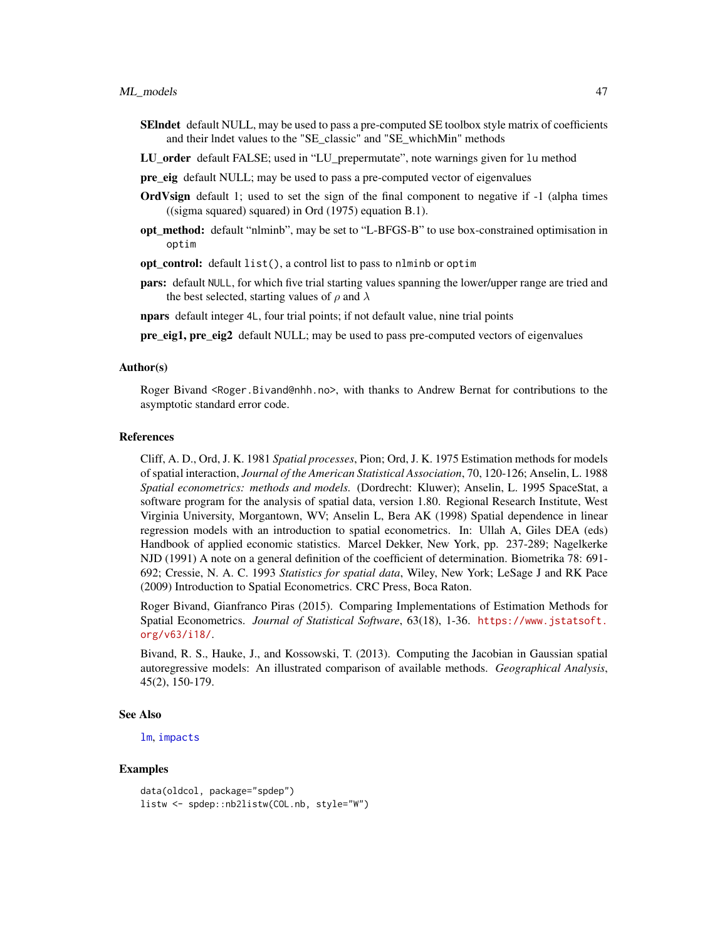- SEIndet default NULL, may be used to pass a pre-computed SE toolbox style matrix of coefficients and their lndet values to the "SE\_classic" and "SE\_whichMin" methods
- LU order default FALSE; used in "LU prepermutate", note warnings given for lu method
- pre\_eig default NULL; may be used to pass a pre-computed vector of eigenvalues
- OrdVsign default 1; used to set the sign of the final component to negative if -1 (alpha times ((sigma squared) squared) in Ord (1975) equation B.1).
- opt method: default "nlminb", may be set to "L-BFGS-B" to use box-constrained optimisation in optim
- opt control: default list(), a control list to pass to nlminb or optim
- pars: default NULL, for which five trial starting values spanning the lower/upper range are tried and the best selected, starting values of  $\rho$  and  $\lambda$

npars default integer 4L, four trial points; if not default value, nine trial points

pre eig1, pre eig2 default NULL; may be used to pass pre-computed vectors of eigenvalues

### Author(s)

Roger Bivand <Roger.Bivand@nhh.no>, with thanks to Andrew Bernat for contributions to the asymptotic standard error code.

# References

Cliff, A. D., Ord, J. K. 1981 *Spatial processes*, Pion; Ord, J. K. 1975 Estimation methods for models of spatial interaction, *Journal of the American Statistical Association*, 70, 120-126; Anselin, L. 1988 *Spatial econometrics: methods and models.* (Dordrecht: Kluwer); Anselin, L. 1995 SpaceStat, a software program for the analysis of spatial data, version 1.80. Regional Research Institute, West Virginia University, Morgantown, WV; Anselin L, Bera AK (1998) Spatial dependence in linear regression models with an introduction to spatial econometrics. In: Ullah A, Giles DEA (eds) Handbook of applied economic statistics. Marcel Dekker, New York, pp. 237-289; Nagelkerke NJD (1991) A note on a general definition of the coefficient of determination. Biometrika 78: 691- 692; Cressie, N. A. C. 1993 *Statistics for spatial data*, Wiley, New York; LeSage J and RK Pace (2009) Introduction to Spatial Econometrics. CRC Press, Boca Raton.

Roger Bivand, Gianfranco Piras (2015). Comparing Implementations of Estimation Methods for Spatial Econometrics. *Journal of Statistical Software*, 63(18), 1-36. [https://www.jstatsoft.](https://www.jstatsoft.org/v63/i18/) [org/v63/i18/](https://www.jstatsoft.org/v63/i18/).

Bivand, R. S., Hauke, J., and Kossowski, T. (2013). Computing the Jacobian in Gaussian spatial autoregressive models: An illustrated comparison of available methods. *Geographical Analysis*, 45(2), 150-179.

#### See Also

[lm](#page-0-0), [impacts](#page-20-0)

```
data(oldcol, package="spdep")
listw <- spdep::nb2listw(COL.nb, style="W")
```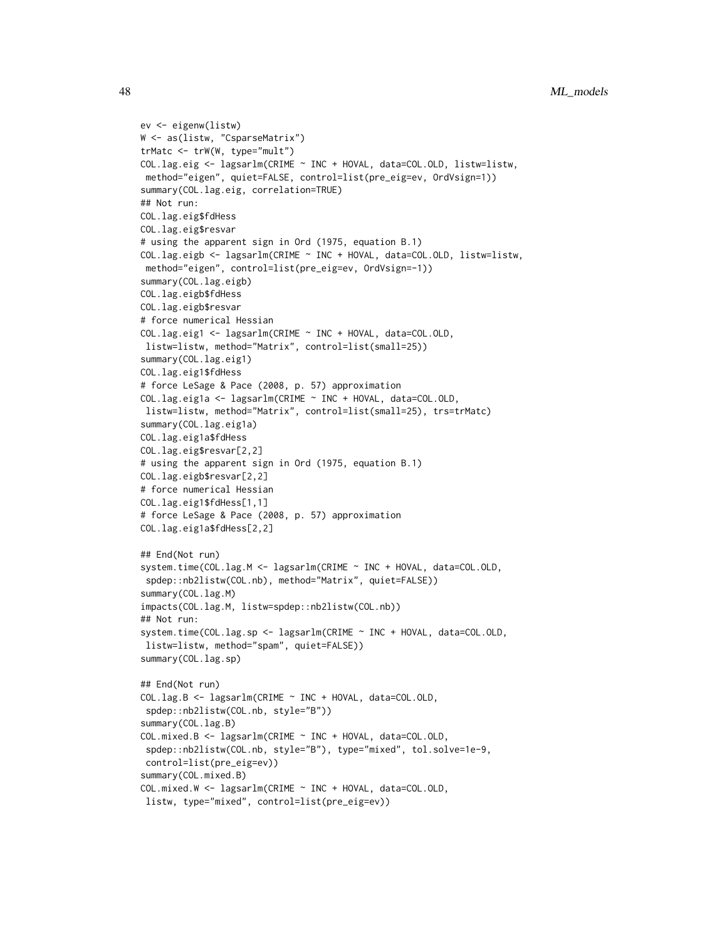```
ev <- eigenw(listw)
W <- as(listw, "CsparseMatrix")
trMatc <- trW(W, type="mult")
COL.lag.eig <- lagsarlm(CRIME ~ INC + HOVAL, data=COL.OLD, listw=listw,
method="eigen", quiet=FALSE, control=list(pre_eig=ev, OrdVsign=1))
summary(COL.lag.eig, correlation=TRUE)
## Not run:
COL.lag.eig$fdHess
COL.lag.eig$resvar
# using the apparent sign in Ord (1975, equation B.1)
COL.lag.eigb <- lagsarlm(CRIME ~ INC + HOVAL, data=COL.OLD, listw=listw,
method="eigen", control=list(pre_eig=ev, OrdVsign=-1))
summary(COL.lag.eigb)
COL.lag.eigb$fdHess
COL.lag.eigb$resvar
# force numerical Hessian
COL.lag.eig1 <- lagsarlm(CRIME ~ INC + HOVAL, data=COL.OLD,
listw=listw, method="Matrix", control=list(small=25))
summary(COL.lag.eig1)
COL.lag.eig1$fdHess
# force LeSage & Pace (2008, p. 57) approximation
COL.lag.eig1a <- lagsarlm(CRIME ~ INC + HOVAL, data=COL.OLD,
listw=listw, method="Matrix", control=list(small=25), trs=trMatc)
summary(COL.lag.eig1a)
COL.lag.eig1a$fdHess
COL.lag.eig$resvar[2,2]
# using the apparent sign in Ord (1975, equation B.1)
COL.lag.eigb$resvar[2,2]
# force numerical Hessian
COL.lag.eig1$fdHess[1,1]
# force LeSage & Pace (2008, p. 57) approximation
COL.lag.eig1a$fdHess[2,2]
## End(Not run)
system.time(COL.lag.M <- lagsarlm(CRIME ~ INC + HOVAL, data=COL.OLD,
 spdep::nb2listw(COL.nb), method="Matrix", quiet=FALSE))
summary(COL.lag.M)
impacts(COL.lag.M, listw=spdep::nb2listw(COL.nb))
## Not run:
system.time(COL.lag.sp <- lagsarlm(CRIME ~ INC + HOVAL, data=COL.OLD,
listw=listw, method="spam", quiet=FALSE))
summary(COL.lag.sp)
## End(Not run)
COL.lag.B <- lagsarlm(CRIME ~ INC + HOVAL, data=COL.OLD,
 spdep::nb2listw(COL.nb, style="B"))
summary(COL.lag.B)
COL.mixed.B <- lagsarlm(CRIME ~ INC + HOVAL, data=COL.OLD,
 spdep::nb2listw(COL.nb, style="B"), type="mixed", tol.solve=1e-9,
 control=list(pre_eig=ev))
summary(COL.mixed.B)
COL.mixed.W <- lagsarlm(CRIME ~ INC + HOVAL, data=COL.OLD,
 listw, type="mixed", control=list(pre_eig=ev))
```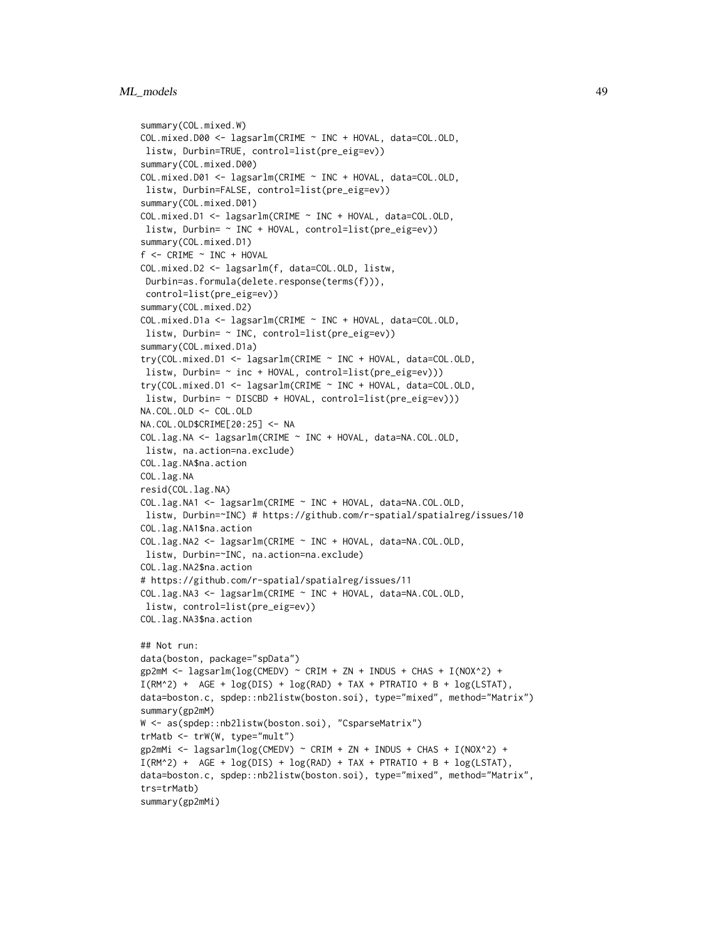# ML\_models 49

```
summary(COL.mixed.W)
COL.mixed.D00 <- lagsarlm(CRIME ~ INC + HOVAL, data=COL.OLD,
listw, Durbin=TRUE, control=list(pre_eig=ev))
summary(COL.mixed.D00)
COL.mixed.D01 <- lagsarlm(CRIME ~ INC + HOVAL, data=COL.OLD,
listw, Durbin=FALSE, control=list(pre_eig=ev))
summary(COL.mixed.D01)
COL.mixed.D1 <- lagsarlm(CRIME ~ INC + HOVAL, data=COL.OLD,
listw, Durbin= ~ INC + HOVAL, control=list(pre_eig=ev))
summary(COL.mixed.D1)
f <- CRIME ~ INC + HOVAL
COL.mixed.D2 <- lagsarlm(f, data=COL.OLD, listw,
Durbin=as.formula(delete.response(terms(f))),
control=list(pre_eig=ev))
summary(COL.mixed.D2)
COL.mixed.D1a <- lagsarlm(CRIME ~ INC + HOVAL, data=COL.OLD,
listw, Durbin= ~ INC, control=list(pre_eig=ev))
summary(COL.mixed.D1a)
try(COL.mixed.D1 <- lagsarlm(CRIME ~ INC + HOVAL, data=COL.OLD,
listw, Durbin= ~ inc + HOVAL, control=list(pre_eig=ev)))
try(COL.mixed.D1 <- lagsarlm(CRIME ~ INC + HOVAL, data=COL.OLD,
listw, Durbin= ~ DISCBD + HOVAL, control=list(pre_eig=ev)))
NA.COL.OLD <- COL.OLD
NA.COL.OLD$CRIME[20:25] <- NA
COL.lag.NA <- lagsarlm(CRIME ~ INC + HOVAL, data=NA.COL.OLD,
listw, na.action=na.exclude)
COL.lag.NA$na.action
COL.lag.NA
resid(COL.lag.NA)
COL.lag.NA1 <- lagsarlm(CRIME ~ INC + HOVAL, data=NA.COL.OLD,
listw, Durbin=~INC) # https://github.com/r-spatial/spatialreg/issues/10
COL.lag.NA1$na.action
COL.lag.NA2 <- lagsarlm(CRIME ~ INC + HOVAL, data=NA.COL.OLD,
listw, Durbin=~INC, na.action=na.exclude)
COL.lag.NA2$na.action
# https://github.com/r-spatial/spatialreg/issues/11
COL.lag.NA3 <- lagsarlm(CRIME ~ INC + HOVAL, data=NA.COL.OLD,
listw, control=list(pre_eig=ev))
COL.lag.NA3$na.action
## Not run:
data(boston, package="spData")
gp2mM <- lagsarlm(log(CMEDV) ~ CRIM + ZN + INDUS + CHAS + I(NOX^2) +
I(RM^2) + AGE + log(DIS) + log(RAD) + TAX + PTRATIO + B + log(LSTAT),
data=boston.c, spdep::nb2listw(boston.soi), type="mixed", method="Matrix")
summary(gp2mM)
W <- as(spdep::nb2listw(boston.soi), "CsparseMatrix")
trMatb <- trW(W, type="mult")
gp2mMi <- lagsarlm(log(CMEDV) ~ CRIM + ZN + INDUS + CHAS + I(NOX^2) +
I(RM^2) + AGE + log(DIS) + log(RAD) + TAX + PTRATIO + B + log(LSTAT),
data=boston.c, spdep::nb2listw(boston.soi), type="mixed", method="Matrix",
trs=trMatb)
summary(gp2mMi)
```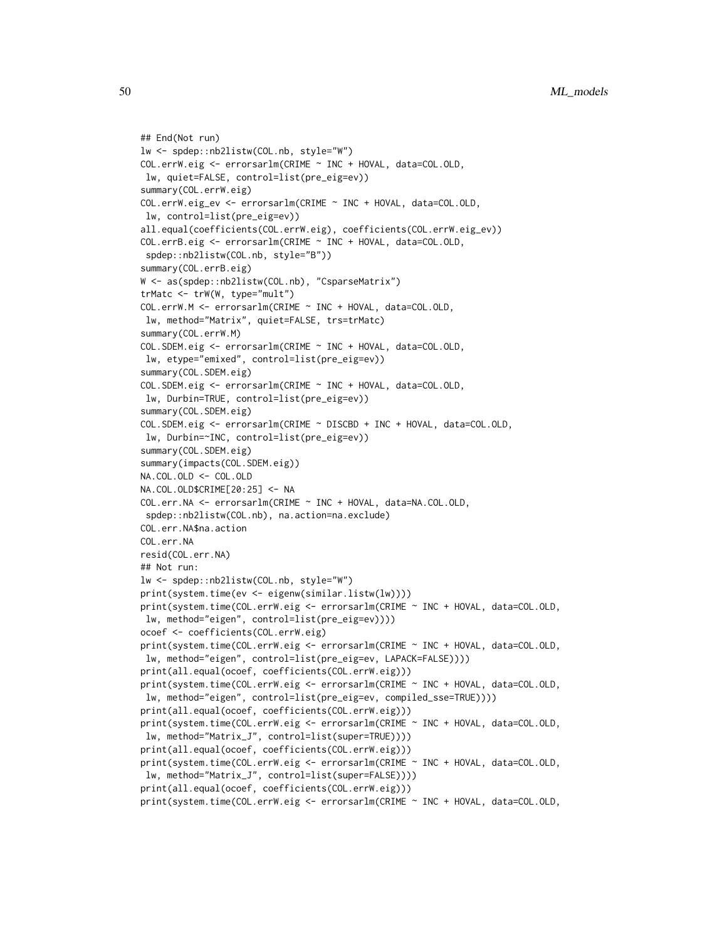```
## End(Not run)
lw <- spdep::nb2listw(COL.nb, style="W")
COL.errW.eig <- errorsarlm(CRIME ~ INC + HOVAL, data=COL.OLD,
lw, quiet=FALSE, control=list(pre_eig=ev))
summary(COL.errW.eig)
COL.errW.eig_ev <- errorsarlm(CRIME ~ INC + HOVAL, data=COL.OLD,
lw, control=list(pre_eig=ev))
all.equal(coefficients(COL.errW.eig), coefficients(COL.errW.eig_ev))
COL.errB.eig <- errorsarlm(CRIME ~ INC + HOVAL, data=COL.OLD,
 spdep::nb2listw(COL.nb, style="B"))
summary(COL.errB.eig)
W <- as(spdep::nb2listw(COL.nb), "CsparseMatrix")
trMatc <- trW(W, type="mult")
COL.errW.M <- errorsarlm(CRIME ~ INC + HOVAL, data=COL.OLD,
lw, method="Matrix", quiet=FALSE, trs=trMatc)
summary(COL.errW.M)
COL.SDEM.eig <- errorsarlm(CRIME ~ INC + HOVAL, data=COL.OLD,
lw, etype="emixed", control=list(pre_eig=ev))
summary(COL.SDEM.eig)
COL.SDEM.eig <- errorsarlm(CRIME ~ INC + HOVAL, data=COL.OLD,
lw, Durbin=TRUE, control=list(pre_eig=ev))
summary(COL.SDEM.eig)
COL.SDEM.eig <- errorsarlm(CRIME ~ DISCBD + INC + HOVAL, data=COL.OLD,
lw, Durbin=~INC, control=list(pre_eig=ev))
summary(COL.SDEM.eig)
summary(impacts(COL.SDEM.eig))
NA.COL.OLD <- COL.OLD
NA.COL.OLD$CRIME[20:25] <- NA
COL.err.NA <- errorsarlm(CRIME ~ INC + HOVAL, data=NA.COL.OLD,
spdep::nb2listw(COL.nb), na.action=na.exclude)
COL.err.NA$na.action
COL.err.NA
resid(COL.err.NA)
## Not run:
lw <- spdep::nb2listw(COL.nb, style="W")
print(system.time(ev <- eigenw(similar.listw(lw))))
print(system.time(COL.errW.eig <- errorsarlm(CRIME ~ INC + HOVAL, data=COL.OLD,
lw, method="eigen", control=list(pre_eig=ev))))
ocoef <- coefficients(COL.errW.eig)
print(system.time(COL.errW.eig <- errorsarlm(CRIME ~ INC + HOVAL, data=COL.OLD,
lw, method="eigen", control=list(pre_eig=ev, LAPACK=FALSE))))
print(all.equal(ocoef, coefficients(COL.errW.eig)))
print(system.time(COL.errW.eig <- errorsarlm(CRIME ~ INC + HOVAL, data=COL.OLD,
lw, method="eigen", control=list(pre_eig=ev, compiled_sse=TRUE))))
print(all.equal(ocoef, coefficients(COL.errW.eig)))
print(system.time(COL.errW.eig <- errorsarlm(CRIME ~ INC + HOVAL, data=COL.OLD,
lw, method="Matrix_J", control=list(super=TRUE))))
print(all.equal(ocoef, coefficients(COL.errW.eig)))
print(system.time(COL.errW.eig <- errorsarlm(CRIME ~ INC + HOVAL, data=COL.OLD,
lw, method="Matrix_J", control=list(super=FALSE))))
print(all.equal(ocoef, coefficients(COL.errW.eig)))
print(system.time(COL.errW.eig <- errorsarlm(CRIME ~ INC + HOVAL, data=COL.OLD,
```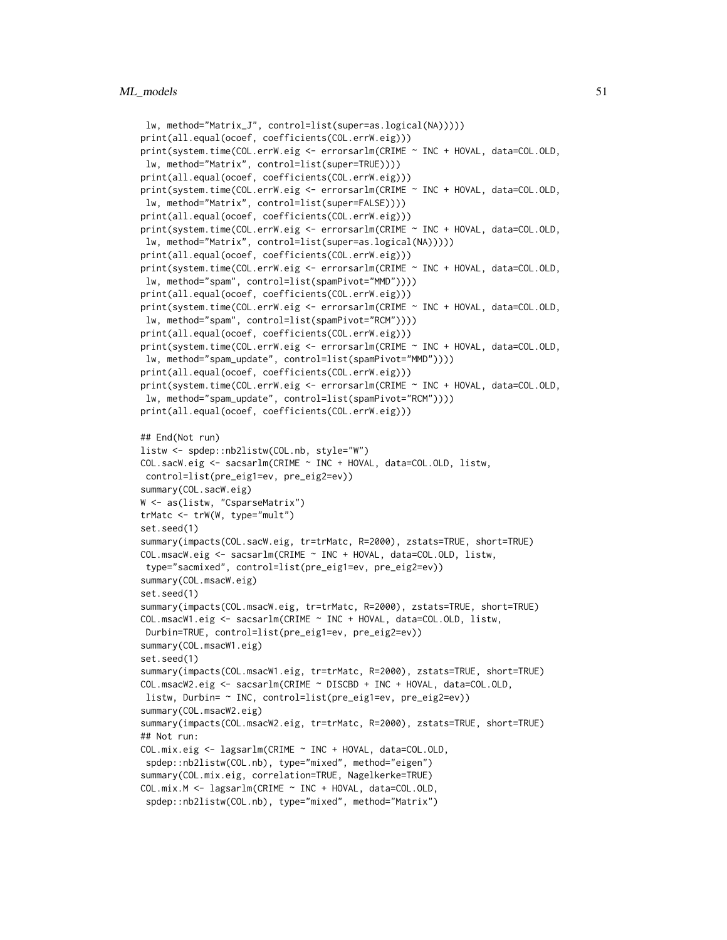```
lw, method="Matrix_J", control=list(super=as.logical(NA)))))
print(all.equal(ocoef, coefficients(COL.errW.eig)))
print(system.time(COL.errW.eig <- errorsarlm(CRIME ~ INC + HOVAL, data=COL.OLD,
lw, method="Matrix", control=list(super=TRUE))))
print(all.equal(ocoef, coefficients(COL.errW.eig)))
print(system.time(COL.errW.eig <- errorsarlm(CRIME ~ INC + HOVAL, data=COL.OLD,
lw, method="Matrix", control=list(super=FALSE))))
print(all.equal(ocoef, coefficients(COL.errW.eig)))
print(system.time(COL.errW.eig <- errorsarlm(CRIME ~ INC + HOVAL, data=COL.OLD,
lw, method="Matrix", control=list(super=as.logical(NA)))))
print(all.equal(ocoef, coefficients(COL.errW.eig)))
print(system.time(COL.errW.eig <- errorsarlm(CRIME ~ INC + HOVAL, data=COL.OLD,
lw, method="spam", control=list(spamPivot="MMD"))))
print(all.equal(ocoef, coefficients(COL.errW.eig)))
print(system.time(COL.errW.eig <- errorsarlm(CRIME ~ INC + HOVAL, data=COL.OLD,
lw, method="spam", control=list(spamPivot="RCM"))))
print(all.equal(ocoef, coefficients(COL.errW.eig)))
print(system.time(COL.errW.eig <- errorsarlm(CRIME ~ INC + HOVAL, data=COL.OLD,
lw, method="spam_update", control=list(spamPivot="MMD"))))
print(all.equal(ocoef, coefficients(COL.errW.eig)))
print(system.time(COL.errW.eig <- errorsarlm(CRIME ~ INC + HOVAL, data=COL.OLD,
lw, method="spam_update", control=list(spamPivot="RCM"))))
print(all.equal(ocoef, coefficients(COL.errW.eig)))
## End(Not run)
listw <- spdep::nb2listw(COL.nb, style="W")
COL.sacW.eig <- sacsarlm(CRIME ~ INC + HOVAL, data=COL.OLD, listw,
control=list(pre_eig1=ev, pre_eig2=ev))
summary(COL.sacW.eig)
W <- as(listw, "CsparseMatrix")
trMatc <- trW(W, type="mult")
set.seed(1)
summary(impacts(COL.sacW.eig, tr=trMatc, R=2000), zstats=TRUE, short=TRUE)
COL.msacW.eig <- sacsarlm(CRIME ~ INC + HOVAL, data=COL.OLD, listw,
 type="sacmixed", control=list(pre_eig1=ev, pre_eig2=ev))
summary(COL.msacW.eig)
set.seed(1)
summary(impacts(COL.msacW.eig, tr=trMatc, R=2000), zstats=TRUE, short=TRUE)
COL.msacW1.eig <- sacsarlm(CRIME ~ INC + HOVAL, data=COL.OLD, listw,
Durbin=TRUE, control=list(pre_eig1=ev, pre_eig2=ev))
summary(COL.msacW1.eig)
set.seed(1)
summary(impacts(COL.msacW1.eig, tr=trMatc, R=2000), zstats=TRUE, short=TRUE)
COL.msacW2.eig <- sacsarlm(CRIME ~ DISCBD + INC + HOVAL, data=COL.OLD,
listw, Durbin= ~ INC, control=list(pre_eig1=ev, pre_eig2=ev))
summary(COL.msacW2.eig)
summary(impacts(COL.msacW2.eig, tr=trMatc, R=2000), zstats=TRUE, short=TRUE)
## Not run:
COL.mix.eig <- lagsarlm(CRIME ~ INC + HOVAL, data=COL.OLD,
 spdep::nb2listw(COL.nb), type="mixed", method="eigen")
summary(COL.mix.eig, correlation=TRUE, Nagelkerke=TRUE)
COL.mix.M <- lagsarlm(CRIME ~ INC + HOVAL, data=COL.OLD,
```

```
spdep::nb2listw(COL.nb), type="mixed", method="Matrix")
```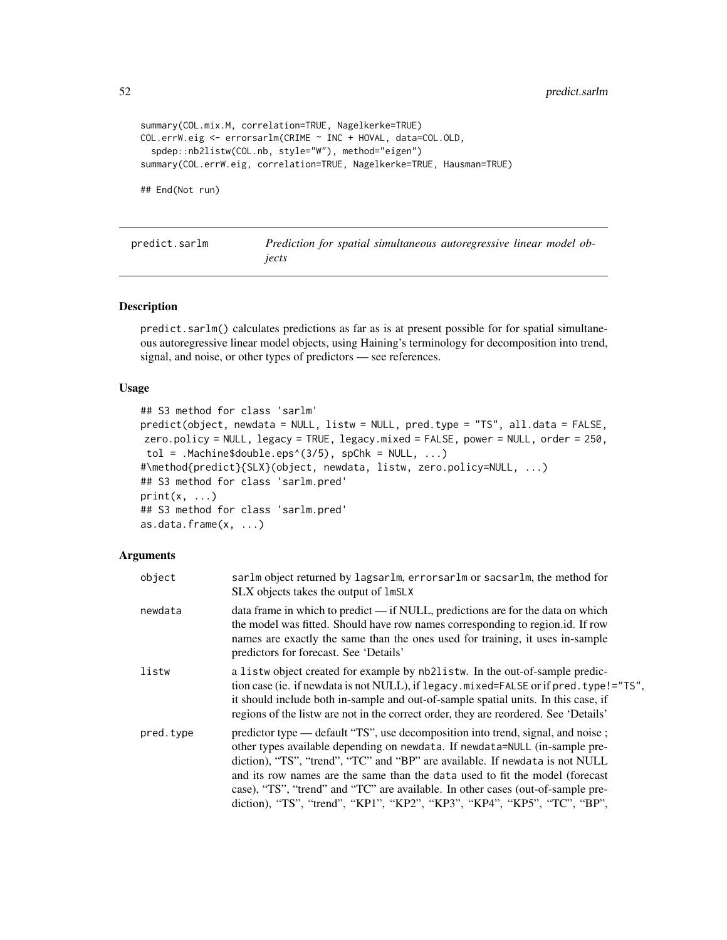```
summary(COL.mix.M, correlation=TRUE, Nagelkerke=TRUE)
COL.errW.eig <- errorsarlm(CRIME ~ INC + HOVAL, data=COL.OLD,
 spdep::nb2listw(COL.nb, style="W"), method="eigen")
summary(COL.errW.eig, correlation=TRUE, Nagelkerke=TRUE, Hausman=TRUE)
```
## End(Not run)

<span id="page-51-0"></span>predict.sarlm *Prediction for spatial simultaneous autoregressive linear model objects*

### Description

predict.sarlm() calculates predictions as far as is at present possible for for spatial simultaneous autoregressive linear model objects, using Haining's terminology for decomposition into trend, signal, and noise, or other types of predictors — see references.

### Usage

```
## S3 method for class 'sarlm'
predict(object, newdata = NULL, listw = NULL, pred.type = "TS", all.data = FALSE,
zero.policy = NULL, legacy = TRUE, legacy.mixed = FALSE, power = NULL, order = 250,
tol = .Machine$double.eps^(3/5), spChk = NULL, ...)#\method{predict}{SLX}(object, newdata, listw, zero.policy=NULL, ...)
## S3 method for class 'sarlm.pred'
print(x, \ldots)## S3 method for class 'sarlm.pred'
as.data.frame(x, ...)
```
### Arguments

| object    | sarlm object returned by lagsarlm, errorsarlm or sacsarlm, the method for<br>SLX objects takes the output of lmSLX                                                                                                                                                                                                                                                                                                                                                                           |
|-----------|----------------------------------------------------------------------------------------------------------------------------------------------------------------------------------------------------------------------------------------------------------------------------------------------------------------------------------------------------------------------------------------------------------------------------------------------------------------------------------------------|
| newdata   | data frame in which to predict — if NULL, predictions are for the data on which<br>the model was fitted. Should have row names corresponding to region.id. If row<br>names are exactly the same than the ones used for training, it uses in-sample<br>predictors for forecast. See 'Details'                                                                                                                                                                                                 |
| listw     | a list wo object created for example by nb2list w. In the out-of-sample predic-<br>tion case (ie. if newdata is not NULL), if legacy.mixed=FALSE or if pred.type!="TS",<br>it should include both in-sample and out-of-sample spatial units. In this case, if<br>regions of the listw are not in the correct order, they are reordered. See 'Details'                                                                                                                                        |
| pred.type | predictor type — default "TS", use decomposition into trend, signal, and noise;<br>other types available depending on newdata. If newdata=NULL (in-sample pre-<br>diction), "TS", "trend", "TC" and "BP" are available. If newdata is not NULL<br>and its row names are the same than the data used to fit the model (forecast<br>case), "TS", "trend" and "TC" are available. In other cases (out-of-sample pre-<br>diction), "TS", "trend", "KP1", "KP2", "KP3", "KP4", "KP5", "TC", "BP", |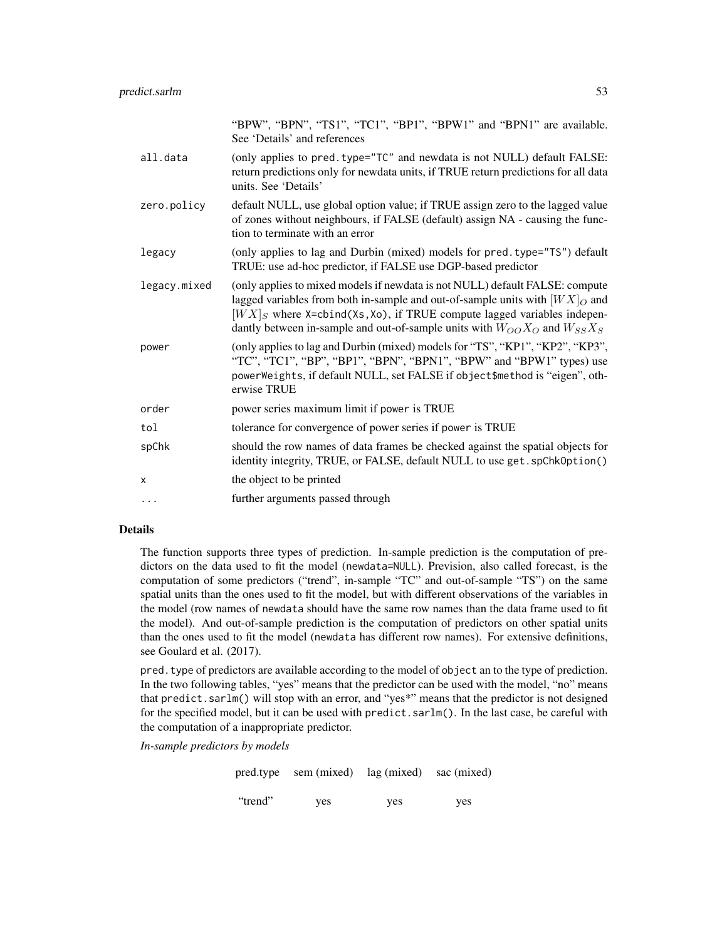|              | "BPW", "BPN", "TS1", "TC1", "BP1", "BPW1" and "BPN1" are available.<br>See 'Details' and references                                                                                                                                                                                                                             |
|--------------|---------------------------------------------------------------------------------------------------------------------------------------------------------------------------------------------------------------------------------------------------------------------------------------------------------------------------------|
| all.data     | (only applies to pred. type="TC" and newdata is not NULL) default FALSE:<br>return predictions only for newdata units, if TRUE return predictions for all data<br>units. See 'Details'                                                                                                                                          |
| zero.policy  | default NULL, use global option value; if TRUE assign zero to the lagged value<br>of zones without neighbours, if FALSE (default) assign NA - causing the func-<br>tion to terminate with an error                                                                                                                              |
| legacy       | (only applies to lag and Durbin (mixed) models for pred. type="TS") default<br>TRUE: use ad-hoc predictor, if FALSE use DGP-based predictor                                                                                                                                                                                     |
| legacy.mixed | (only applies to mixed models if newdata is not NULL) default FALSE: compute<br>lagged variables from both in-sample and out-of-sample units with $[WX]_O$ and<br>$[WX]_S$ where X=cbind(Xs,Xo), if TRUE compute lagged variables indepen-<br>dantly between in-sample and out-of-sample units with $W_{OO}X_O$ and $W_{SS}X_S$ |
| power        | (only applies to lag and Durbin (mixed) models for "TS", "KP1", "KP2", "KP3",<br>"TC", "TC1", "BP", "BP1", "BPN", "BPN1", "BPW" and "BPW1" types) use<br>powerWeights, if default NULL, set FALSE if object\$method is "eigen", oth-<br>erwise TRUE                                                                             |
| order        | power series maximum limit if power is TRUE                                                                                                                                                                                                                                                                                     |
| tol          | tolerance for convergence of power series if power is TRUE                                                                                                                                                                                                                                                                      |
| spChk        | should the row names of data frames be checked against the spatial objects for<br>identity integrity, TRUE, or FALSE, default NULL to use get. spChk0ption()                                                                                                                                                                    |
| X            | the object to be printed                                                                                                                                                                                                                                                                                                        |
| $\cdots$     | further arguments passed through                                                                                                                                                                                                                                                                                                |

# Details

The function supports three types of prediction. In-sample prediction is the computation of predictors on the data used to fit the model (newdata=NULL). Prevision, also called forecast, is the computation of some predictors ("trend", in-sample "TC" and out-of-sample "TS") on the same spatial units than the ones used to fit the model, but with different observations of the variables in the model (row names of newdata should have the same row names than the data frame used to fit the model). And out-of-sample prediction is the computation of predictors on other spatial units than the ones used to fit the model (newdata has different row names). For extensive definitions, see Goulard et al. (2017).

pred.type of predictors are available according to the model of object an to the type of prediction. In the two following tables, "yes" means that the predictor can be used with the model, "no" means that predict.sarlm() will stop with an error, and "yes\*" means that the predictor is not designed for the specified model, but it can be used with predict.sarlm(). In the last case, be careful with the computation of a inappropriate predictor.

*In-sample predictors by models*

pred.type sem (mixed) lag (mixed) sac (mixed) "trend" yes yes yes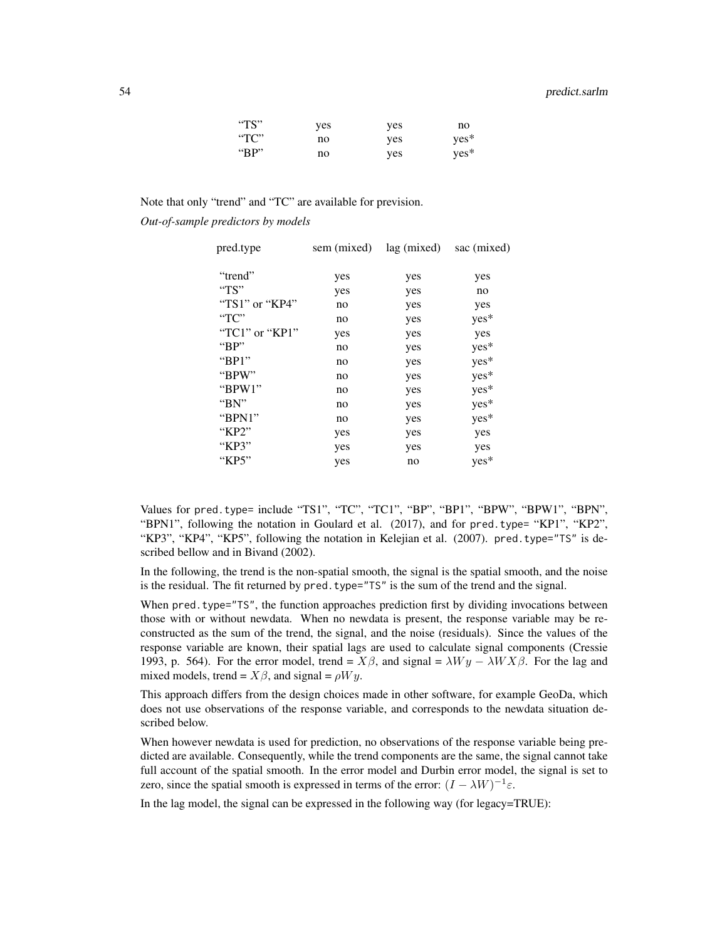### 54 predict.sarlm

| " $TS"$         | yes | yes | no     |
|-----------------|-----|-----|--------|
| $\rm ^{11}CC''$ | no  | ves | $ves*$ |
| "BP"            | no  | ves | $ves*$ |

Note that only "trend" and "TC" are available for prevision.

*Out-of-sample predictors by models*

| pred.type              | sem (mixed) | lag (mixed) | sac (mixed) |
|------------------------|-------------|-------------|-------------|
| "trend"                | yes         | yes         | yes         |
| " $TS"$                | yes         | yes         | no          |
| " $TS1"$ or " $KP4"$   | no          | yes         | yes         |
| $T^{\prime}$           | no          | yes         | $yes*$      |
| " $TC1$ " or " $KP1$ " | yes         | yes         | yes         |
| " $BP"$                | no          | yes         | yes*        |
| " $BP1"$               | no          | yes         | yes*        |
| "BPW"                  | no          | yes         | yes*        |
| " $BPW1"$              | no          | yes         | yes*        |
| " $BN"$                | no          | yes         | yes*        |
| "BPN1"                 | no          | yes         | yes*        |
| " $KP2"$               | yes         | yes         | yes         |
| "KP3"                  | yes         | yes         | yes         |
| "KP5"                  | yes         | no          | yes*        |
|                        |             |             |             |

Values for pred.type= include "TS1", "TC", "TC1", "BP", "BP1", "BPW", "BPW1", "BPN", "BPN1", following the notation in Goulard et al. (2017), and for pred.type= "KP1", "KP2", "KP3", "KP4", "KP5", following the notation in Kelejian et al. (2007). pred.type="TS" is described bellow and in Bivand (2002).

In the following, the trend is the non-spatial smooth, the signal is the spatial smooth, and the noise is the residual. The fit returned by pred. type="TS" is the sum of the trend and the signal.

When pred. type="TS", the function approaches prediction first by dividing invocations between those with or without newdata. When no newdata is present, the response variable may be reconstructed as the sum of the trend, the signal, and the noise (residuals). Since the values of the response variable are known, their spatial lags are used to calculate signal components (Cressie 1993, p. 564). For the error model, trend =  $X\beta$ , and signal =  $\lambda W y - \lambda W X \beta$ . For the lag and mixed models, trend =  $X\beta$ , and signal =  $\rho Wy$ .

This approach differs from the design choices made in other software, for example GeoDa, which does not use observations of the response variable, and corresponds to the newdata situation described below.

When however newdata is used for prediction, no observations of the response variable being predicted are available. Consequently, while the trend components are the same, the signal cannot take full account of the spatial smooth. In the error model and Durbin error model, the signal is set to zero, since the spatial smooth is expressed in terms of the error:  $(I - \lambda W)^{-1} \varepsilon$ .

In the lag model, the signal can be expressed in the following way (for legacy=TRUE):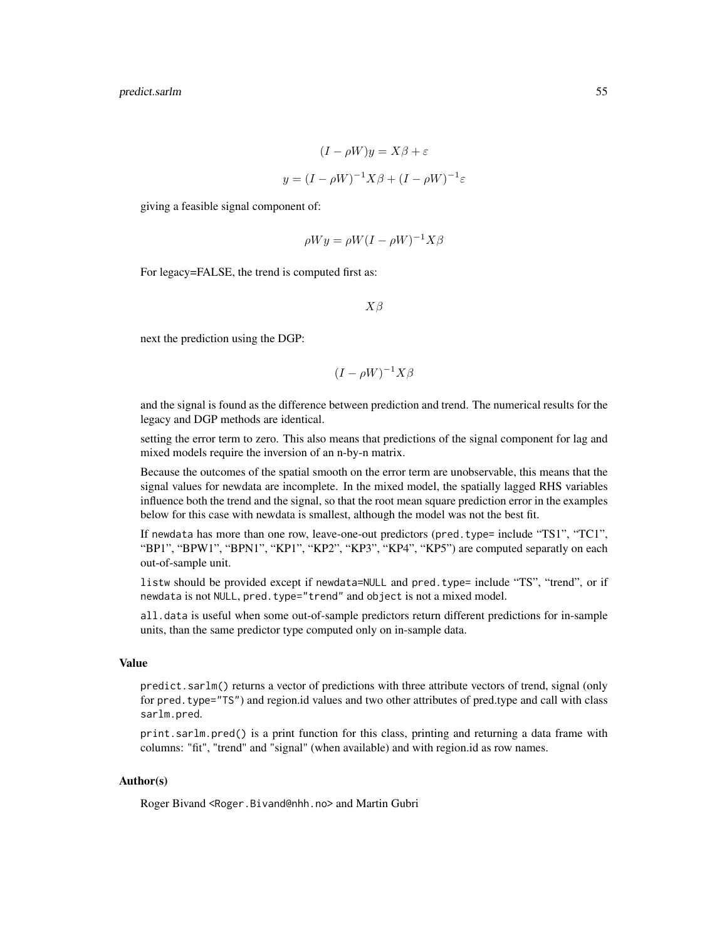$$
(I - \rho W)y = X\beta + \varepsilon
$$

$$
y = (I - \rho W)^{-1}X\beta + (I - \rho W)^{-1}\varepsilon
$$

giving a feasible signal component of:

$$
\rho Wy = \rho W (I - \rho W)^{-1} X \beta
$$

For legacy=FALSE, the trend is computed first as:

 $X\beta$ 

next the prediction using the DGP:

$$
(I - \rho W)^{-1} X \beta
$$

and the signal is found as the difference between prediction and trend. The numerical results for the legacy and DGP methods are identical.

setting the error term to zero. This also means that predictions of the signal component for lag and mixed models require the inversion of an n-by-n matrix.

Because the outcomes of the spatial smooth on the error term are unobservable, this means that the signal values for newdata are incomplete. In the mixed model, the spatially lagged RHS variables influence both the trend and the signal, so that the root mean square prediction error in the examples below for this case with newdata is smallest, although the model was not the best fit.

If newdata has more than one row, leave-one-out predictors (pred.type= include "TS1", "TC1", "BP1", "BPW1", "BPN1", "KP1", "KP2", "KP3", "KP4", "KP5") are computed separatly on each out-of-sample unit.

listw should be provided except if newdata=NULL and pred.type= include "TS", "trend", or if newdata is not NULL, pred.type="trend" and object is not a mixed model.

all.data is useful when some out-of-sample predictors return different predictions for in-sample units, than the same predictor type computed only on in-sample data.

#### Value

predict.sarlm() returns a vector of predictions with three attribute vectors of trend, signal (only for pred.type="TS") and region.id values and two other attributes of pred.type and call with class sarlm.pred.

print.sarlm.pred() is a print function for this class, printing and returning a data frame with columns: "fit", "trend" and "signal" (when available) and with region.id as row names.

## Author(s)

Roger Bivand <Roger.Bivand@nhh.no> and Martin Gubri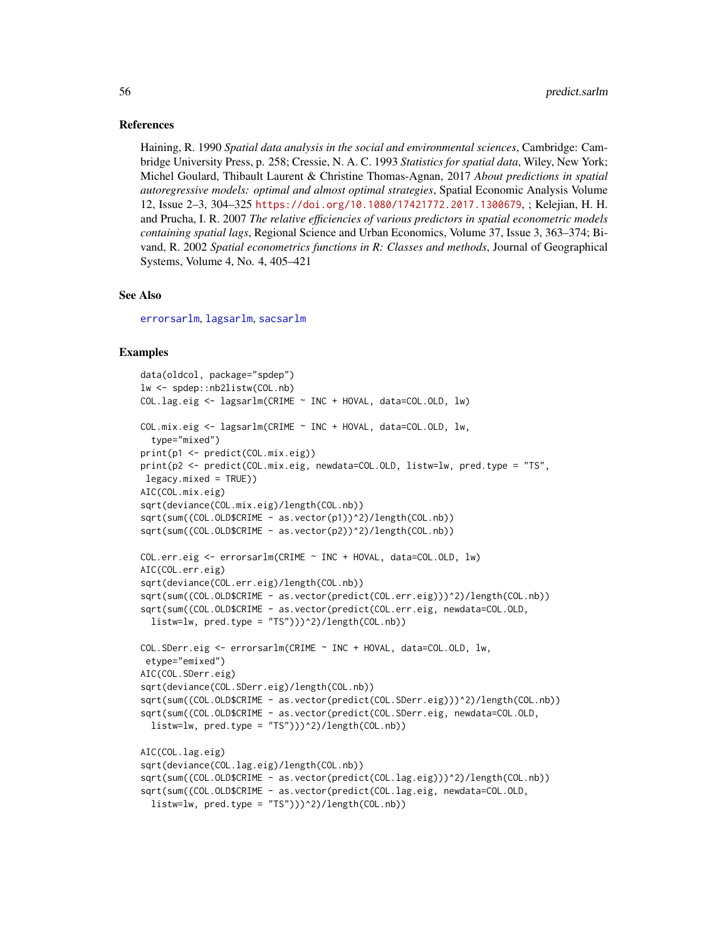#### References

Haining, R. 1990 *Spatial data analysis in the social and environmental sciences*, Cambridge: Cambridge University Press, p. 258; Cressie, N. A. C. 1993 *Statistics for spatial data*, Wiley, New York; Michel Goulard, Thibault Laurent & Christine Thomas-Agnan, 2017 *About predictions in spatial autoregressive models: optimal and almost optimal strategies*, Spatial Economic Analysis Volume 12, Issue 2–3, 304–325 <https://doi.org/10.1080/17421772.2017.1300679>, ; Kelejian, H. H. and Prucha, I. R. 2007 *The relative efficiencies of various predictors in spatial econometric models containing spatial lags*, Regional Science and Urban Economics, Volume 37, Issue 3, 363–374; Bivand, R. 2002 *Spatial econometrics functions in R: Classes and methods*, Journal of Geographical Systems, Volume 4, No. 4, 405–421

#### See Also

[errorsarlm](#page-41-0), [lagsarlm](#page-41-0), [sacsarlm](#page-41-0)

```
data(oldcol, package="spdep")
lw <- spdep::nb2listw(COL.nb)
COL.lag.eig <- lagsarlm(CRIME ~ INC + HOVAL, data=COL.OLD, lw)
COL.mix.eig <- lagsarlm(CRIME ~ INC + HOVAL, data=COL.OLD, lw,
 type="mixed")
print(p1 <- predict(COL.mix.eig))
print(p2 <- predict(COL.mix.eig, newdata=COL.OLD, listw=lw, pred.type = "TS",
legacy.mixed = TRUE))
AIC(COL.mix.eig)
sqrt(deviance(COL.mix.eig)/length(COL.nb))
sqrt(sum((COL.OLD$CRIME - as.vector(p1))^2)/length(COL.nb))
sqrt(sum((COL.OLD$CRIME - as.vector(p2))^2)/length(COL.nb))
COL.err.eig <- errorsarlm(CRIME ~ INC + HOVAL, data=COL.OLD, lw)
AIC(COL.err.eig)
sqrt(deviance(COL.err.eig)/length(COL.nb))
sqrt(sum((COL.OLD$CRIME - as.vector(predict(COL.err.eig)))^2)/length(COL.nb))
sqrt(sum((COL.OLD$CRIME - as.vector(predict(COL.err.eig, newdata=COL.OLD,
 listw=lw, pred_type = "TS"))^2/length(COL.nb))
COL.SDerr.eig <- errorsarlm(CRIME ~ INC + HOVAL, data=COL.OLD, lw,
etype="emixed")
AIC(COL.SDerr.eig)
sqrt(deviance(COL.SDerr.eig)/length(COL.nb))
sqrt(sum((COL.OLD$CRIME - as.vector(predict(COL.SDerr.eig)))^2)/length(COL.nb))
sqrt(sum((COL.OLD$CRIME - as.vector(predict(COL.SDerr.eig, newdata=COL.OLD,
 listw=lw, pred_type = "TS"))<sup>2</sup>)/length(COL.nb))
AIC(COL.lag.eig)
sqrt(deviance(COL.lag.eig)/length(COL.nb))
sqrt(sum((COL.OLD$CRIME - as.vector(predict(COL.lag.eig)))^2)/length(COL.nb))
sqrt(sum((COL.OLD$CRIME - as.vector(predict(COL.lag.eig, newdata=COL.OLD,
 listw=lw, pred_type = "TS")))2/length(COL.nb))
```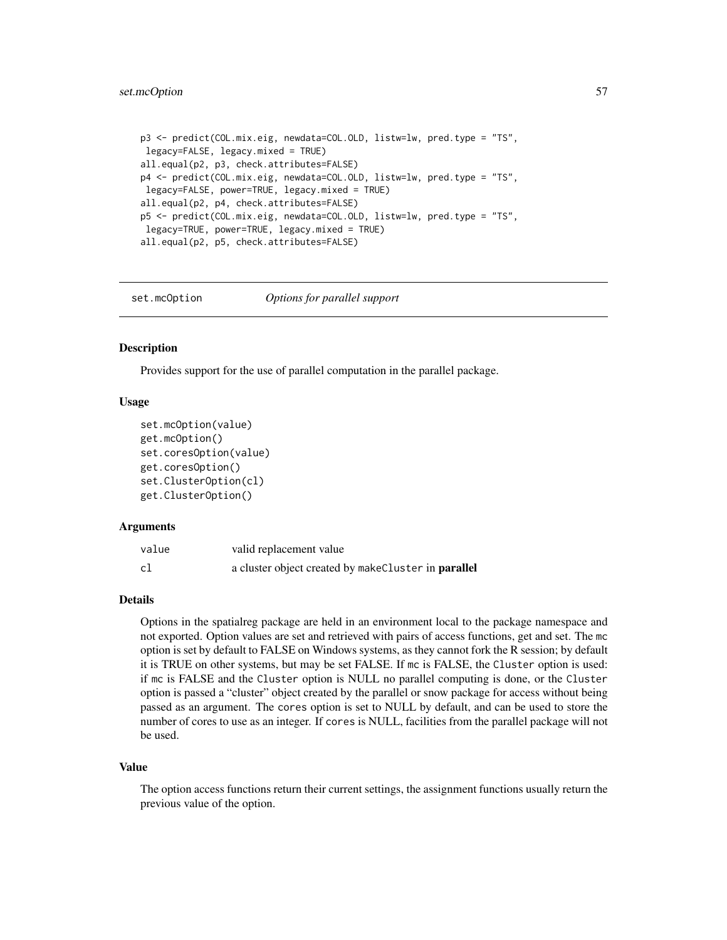### set.mcOption 57

```
p3 <- predict(COL.mix.eig, newdata=COL.OLD, listw=lw, pred.type = "TS",
legacy=FALSE, legacy.mixed = TRUE)
all.equal(p2, p3, check.attributes=FALSE)
p4 <- predict(COL.mix.eig, newdata=COL.OLD, listw=lw, pred.type = "TS",
legacy=FALSE, power=TRUE, legacy.mixed = TRUE)
all.equal(p2, p4, check.attributes=FALSE)
p5 <- predict(COL.mix.eig, newdata=COL.OLD, listw=lw, pred.type = "TS",
legacy=TRUE, power=TRUE, legacy.mixed = TRUE)
all.equal(p2, p5, check.attributes=FALSE)
```
set.mcOption *Options for parallel support*

### **Description**

Provides support for the use of parallel computation in the parallel package.

### Usage

```
set.mcOption(value)
get.mcOption()
set.coresOption(value)
get.coresOption()
set.ClusterOption(cl)
get.ClusterOption()
```
### Arguments

| value | valid replacement value                             |
|-------|-----------------------------------------------------|
| cl    | a cluster object created by makeCluster in parallel |

# Details

Options in the spatialreg package are held in an environment local to the package namespace and not exported. Option values are set and retrieved with pairs of access functions, get and set. The mc option is set by default to FALSE on Windows systems, as they cannot fork the R session; by default it is TRUE on other systems, but may be set FALSE. If mc is FALSE, the Cluster option is used: if mc is FALSE and the Cluster option is NULL no parallel computing is done, or the Cluster option is passed a "cluster" object created by the parallel or snow package for access without being passed as an argument. The cores option is set to NULL by default, and can be used to store the number of cores to use as an integer. If cores is NULL, facilities from the parallel package will not be used.

#### Value

The option access functions return their current settings, the assignment functions usually return the previous value of the option.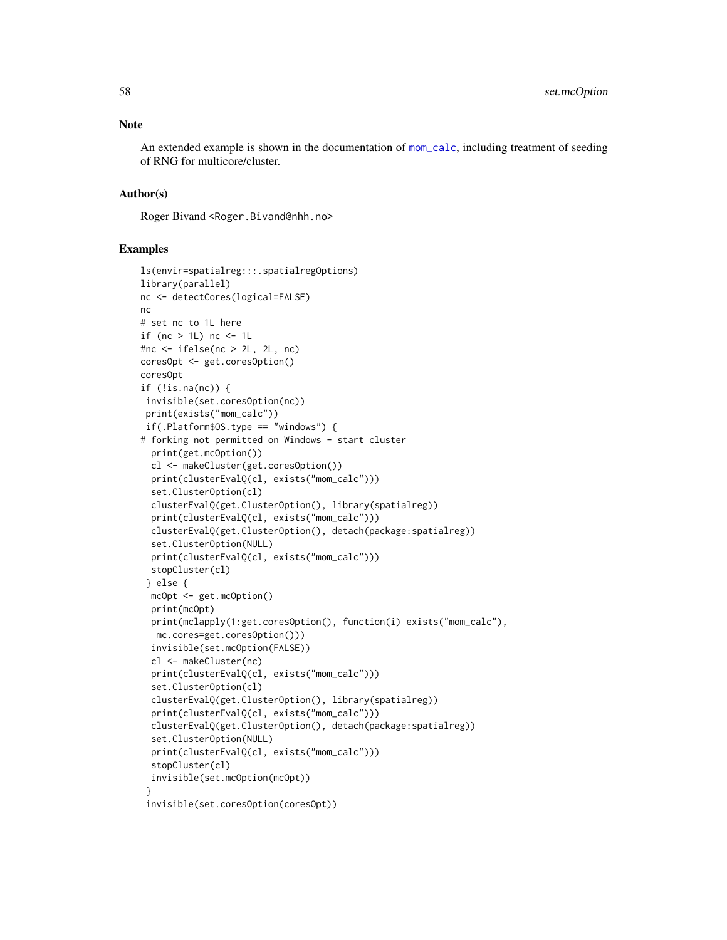An extended example is shown in the documentation of [mom\\_calc](#page-77-1), including treatment of seeding of RNG for multicore/cluster.

### Author(s)

Roger Bivand <Roger.Bivand@nhh.no>

```
ls(envir=spatialreg:::.spatialregOptions)
library(parallel)
nc <- detectCores(logical=FALSE)
nc
# set nc to 1L here
if (nc > 1L) nc < -1L
#nc <- ifelse(nc > 2L, 2L, nc)
coresOpt <- get.coresOption()
coresOpt
if (!is.na(nc)) {
 invisible(set.coresOption(nc))
 print(exists("mom_calc"))
 if(.Platform$OS.type == "windows") {
# forking not permitted on Windows - start cluster
  print(get.mcOption())
  cl <- makeCluster(get.coresOption())
  print(clusterEvalQ(cl, exists("mom_calc")))
  set.ClusterOption(cl)
  clusterEvalQ(get.ClusterOption(), library(spatialreg))
  print(clusterEvalQ(cl, exists("mom_calc")))
  clusterEvalQ(get.ClusterOption(), detach(package:spatialreg))
  set.ClusterOption(NULL)
  print(clusterEvalQ(cl, exists("mom_calc")))
  stopCluster(cl)
 } else {
  mcOpt <- get.mcOption()
  print(mcOpt)
  print(mclapply(1:get.coresOption(), function(i) exists("mom_calc"),
  mc.cores=get.coresOption()))
  invisible(set.mcOption(FALSE))
  cl <- makeCluster(nc)
  print(clusterEvalQ(cl, exists("mom_calc")))
  set.ClusterOption(cl)
  clusterEvalQ(get.ClusterOption(), library(spatialreg))
  print(clusterEvalQ(cl, exists("mom_calc")))
  clusterEvalQ(get.ClusterOption(), detach(package:spatialreg))
  set.ClusterOption(NULL)
  print(clusterEvalQ(cl, exists("mom_calc")))
  stopCluster(cl)
  invisible(set.mcOption(mcOpt))
 }
 invisible(set.coresOption(coresOpt))
```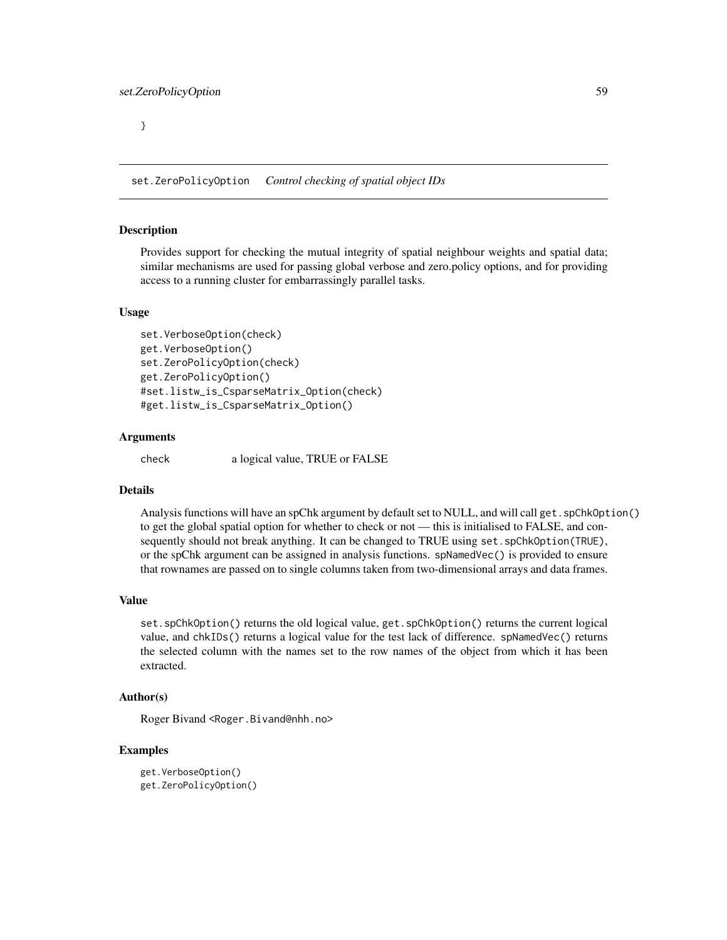}

set.ZeroPolicyOption *Control checking of spatial object IDs*

### **Description**

Provides support for checking the mutual integrity of spatial neighbour weights and spatial data; similar mechanisms are used for passing global verbose and zero.policy options, and for providing access to a running cluster for embarrassingly parallel tasks.

# Usage

```
set.VerboseOption(check)
get.VerboseOption()
set.ZeroPolicyOption(check)
get.ZeroPolicyOption()
#set.listw_is_CsparseMatrix_Option(check)
#get.listw_is_CsparseMatrix_Option()
```
# Arguments

check a logical value, TRUE or FALSE

## Details

Analysis functions will have an spChk argument by default set to NULL, and will call get. spChkOption() to get the global spatial option for whether to check or not — this is initialised to FALSE, and consequently should not break anything. It can be changed to TRUE using set. spChkOption(TRUE), or the spChk argument can be assigned in analysis functions. spNamedVec() is provided to ensure that rownames are passed on to single columns taken from two-dimensional arrays and data frames.

### Value

set.spChkOption() returns the old logical value, get.spChkOption() returns the current logical value, and chkIDs() returns a logical value for the test lack of difference. spNamedVec() returns the selected column with the names set to the row names of the object from which it has been extracted.

### Author(s)

Roger Bivand <Roger.Bivand@nhh.no>

```
get.VerboseOption()
get.ZeroPolicyOption()
```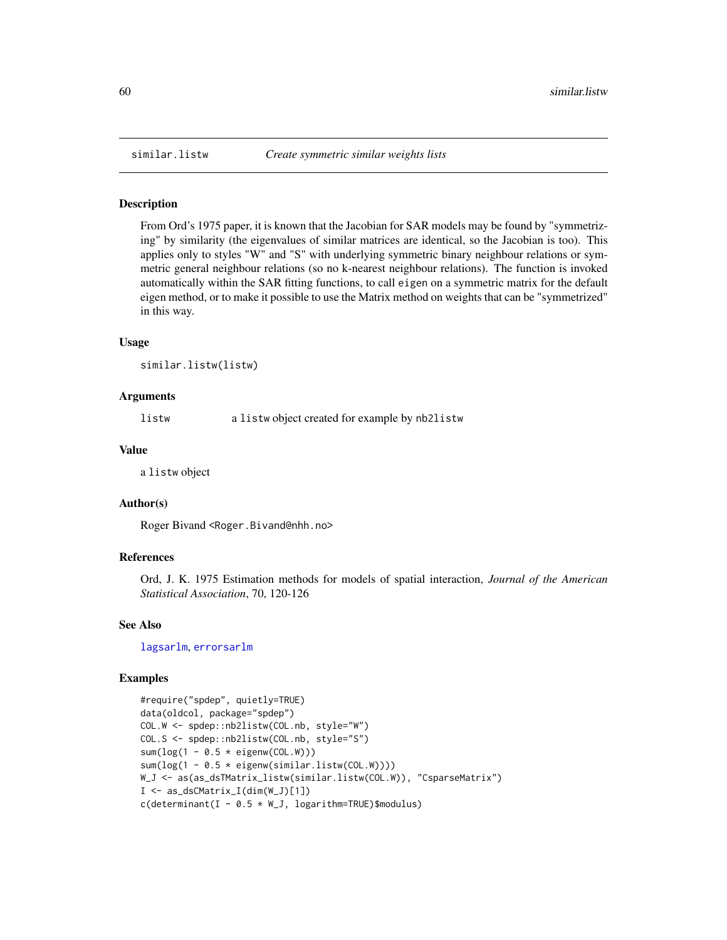### Description

From Ord's 1975 paper, it is known that the Jacobian for SAR models may be found by "symmetrizing" by similarity (the eigenvalues of similar matrices are identical, so the Jacobian is too). This applies only to styles "W" and "S" with underlying symmetric binary neighbour relations or symmetric general neighbour relations (so no k-nearest neighbour relations). The function is invoked automatically within the SAR fitting functions, to call eigen on a symmetric matrix for the default eigen method, or to make it possible to use the Matrix method on weights that can be "symmetrized" in this way.

### Usage

```
similar.listw(listw)
```
### Arguments

listw a listw object created for example by nb2listw

# Value

a listw object

### Author(s)

Roger Bivand <Roger.Bivand@nhh.no>

### References

Ord, J. K. 1975 Estimation methods for models of spatial interaction, *Journal of the American Statistical Association*, 70, 120-126

### See Also

[lagsarlm](#page-41-0), [errorsarlm](#page-41-0)

```
#require("spdep", quietly=TRUE)
data(oldcol, package="spdep")
COL.W <- spdep::nb2listw(COL.nb, style="W")
COL.S <- spdep::nb2listw(COL.nb, style="S")
sum(log(1 - 0.5 * eigenv(COL.W)))
sum(log(1 - 0.5 * eigenv(similaru]istw(COL.W))))
W_J <- as(as_dsTMatrix_listw(similar.listw(COL.W)), "CsparseMatrix")
I \leftarrow as_dsCMatrix_I(dim(W_J)[1])c(determinant(I - 0.5 * W_J, logarithm=TRUE)$modulus)
```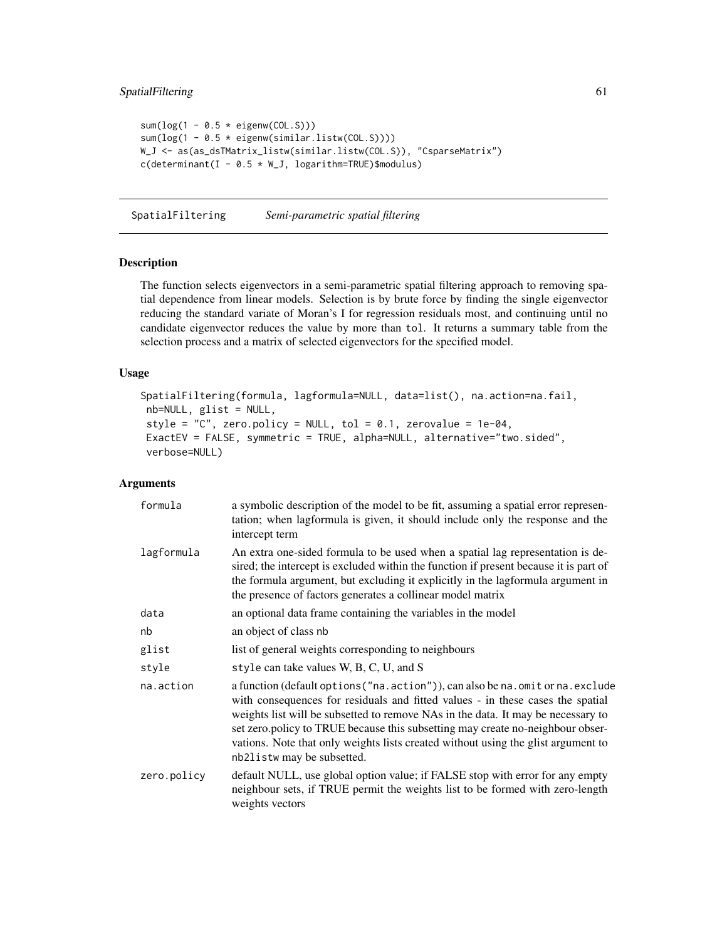# SpatialFiltering 61

```
sum(log(1 - 0.5 * eigenv(COL.S)))sum(log(1 - 0.5 * eigenw(similar.listw(COL.S))))
W_J <- as(as_dsTMatrix_listw(similar.listw(COL.S)), "CsparseMatrix")
c(determinant(I - 0.5 * W_J, logarithm=TRUE)$modulus)
```
<span id="page-60-0"></span>SpatialFiltering *Semi-parametric spatial filtering*

## Description

The function selects eigenvectors in a semi-parametric spatial filtering approach to removing spatial dependence from linear models. Selection is by brute force by finding the single eigenvector reducing the standard variate of Moran's I for regression residuals most, and continuing until no candidate eigenvector reduces the value by more than tol. It returns a summary table from the selection process and a matrix of selected eigenvectors for the specified model.

# Usage

```
SpatialFiltering(formula, lagformula=NULL, data=list(), na.action=na.fail,
nb=NULL, glist = NULL,
style = "C", zero.policy = NULL, tol = 0.1, zerovalue = 1e-04,
ExactEV = FALSE, symmetric = TRUE, alpha=NULL, alternative="two.sided",
verbose=NULL)
```
# Arguments

| formula     | a symbolic description of the model to be fit, assuming a spatial error represen-<br>tation; when lagformula is given, it should include only the response and the<br>intercept term                                                                                                                                                                                                                                                                        |
|-------------|-------------------------------------------------------------------------------------------------------------------------------------------------------------------------------------------------------------------------------------------------------------------------------------------------------------------------------------------------------------------------------------------------------------------------------------------------------------|
| lagformula  | An extra one-sided formula to be used when a spatial lag representation is de-<br>sired; the intercept is excluded within the function if present because it is part of<br>the formula argument, but excluding it explicitly in the lagformula argument in<br>the presence of factors generates a collinear model matrix                                                                                                                                    |
| data        | an optional data frame containing the variables in the model                                                                                                                                                                                                                                                                                                                                                                                                |
| nb          | an object of class nb                                                                                                                                                                                                                                                                                                                                                                                                                                       |
| glist       | list of general weights corresponding to neighbours                                                                                                                                                                                                                                                                                                                                                                                                         |
| style       | style can take values W, B, C, U, and S                                                                                                                                                                                                                                                                                                                                                                                                                     |
| na.action   | a function (default options ("na. action")), can also be na. omit or na. exclude<br>with consequences for residuals and fitted values - in these cases the spatial<br>weights list will be subsetted to remove NAs in the data. It may be necessary to<br>set zero.policy to TRUE because this subsetting may create no-neighbour obser-<br>vations. Note that only weights lists created without using the glist argument to<br>nb21istw may be subsetted. |
| zero.policy | default NULL, use global option value; if FALSE stop with error for any empty<br>neighbour sets, if TRUE permit the weights list to be formed with zero-length<br>weights vectors                                                                                                                                                                                                                                                                           |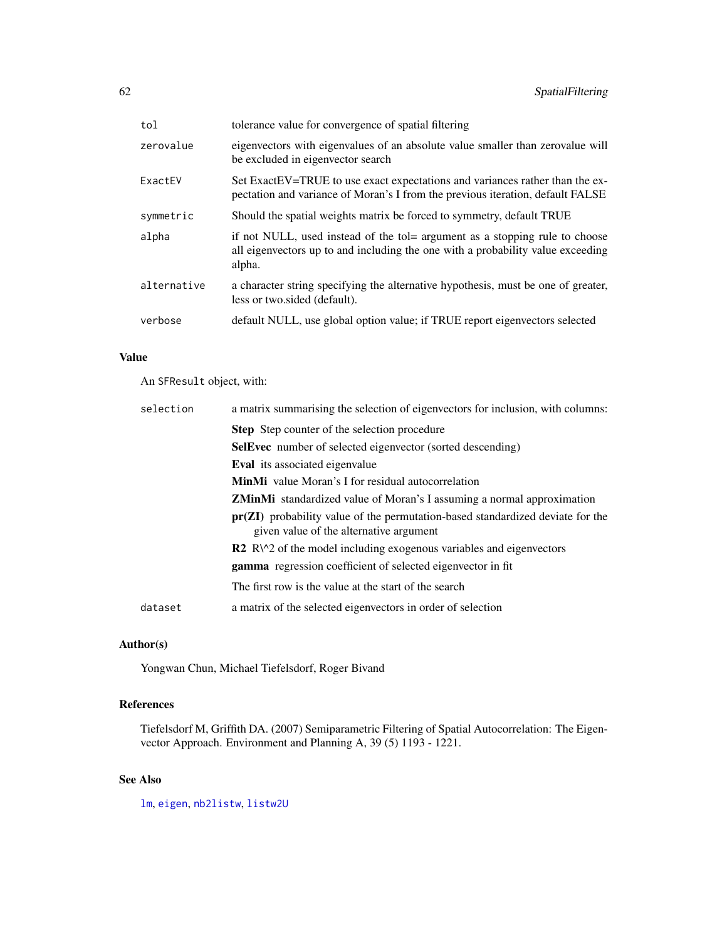| tol         | tolerance value for convergence of spatial filtering                                                                                                                     |
|-------------|--------------------------------------------------------------------------------------------------------------------------------------------------------------------------|
| zerovalue   | eigenvectors with eigenvalues of an absolute value smaller than zerovalue will<br>be excluded in eigenvector search                                                      |
| ExactEV     | Set ExactEV=TRUE to use exact expectations and variances rather than the ex-<br>pectation and variance of Moran's I from the previous iteration, default FALSE           |
| symmetric   | Should the spatial weights matrix be forced to symmetry, default TRUE                                                                                                    |
| alpha       | if not NULL, used instead of the tol= argument as a stopping rule to choose<br>all eigenvectors up to and including the one with a probability value exceeding<br>alpha. |
| alternative | a character string specifying the alternative hypothesis, must be one of greater,<br>less or two.sided (default).                                                        |
| verbose     | default NULL, use global option value; if TRUE report eigenvectors selected                                                                                              |

# Value

An SFResult object, with:

| selection | a matrix summarising the selection of eigenvectors for inclusion, with columns:                                             |
|-----------|-----------------------------------------------------------------------------------------------------------------------------|
|           | <b>Step</b> Step counter of the selection procedure                                                                         |
|           | <b>SelEvec</b> number of selected eigenvector (sorted descending)                                                           |
|           | <b>Eval</b> its associated eigenvalue                                                                                       |
|           | <b>MinMi</b> value Moran's I for residual autocorrelation                                                                   |
|           | <b>ZMinMi</b> standardized value of Moran's I assuming a normal approximation                                               |
|           | $pr(ZI)$ probability value of the permutation-based standardized deviate for the<br>given value of the alternative argument |
|           | $\mathbb{R}^2$ R $\wedge$ 2 of the model including exogenous variables and eigenvectors                                     |
|           | gamma regression coefficient of selected eigenvector in fit                                                                 |
|           | The first row is the value at the start of the search                                                                       |
| dataset   | a matrix of the selected eigenvectors in order of selection                                                                 |
|           |                                                                                                                             |

# Author(s)

Yongwan Chun, Michael Tiefelsdorf, Roger Bivand

# References

Tiefelsdorf M, Griffith DA. (2007) Semiparametric Filtering of Spatial Autocorrelation: The Eigenvector Approach. Environment and Planning A, 39 (5) 1193 - 1221.

# See Also

[lm](#page-0-0), [eigen](#page-0-0), [nb2listw](#page-0-0), [listw2U](#page-0-0)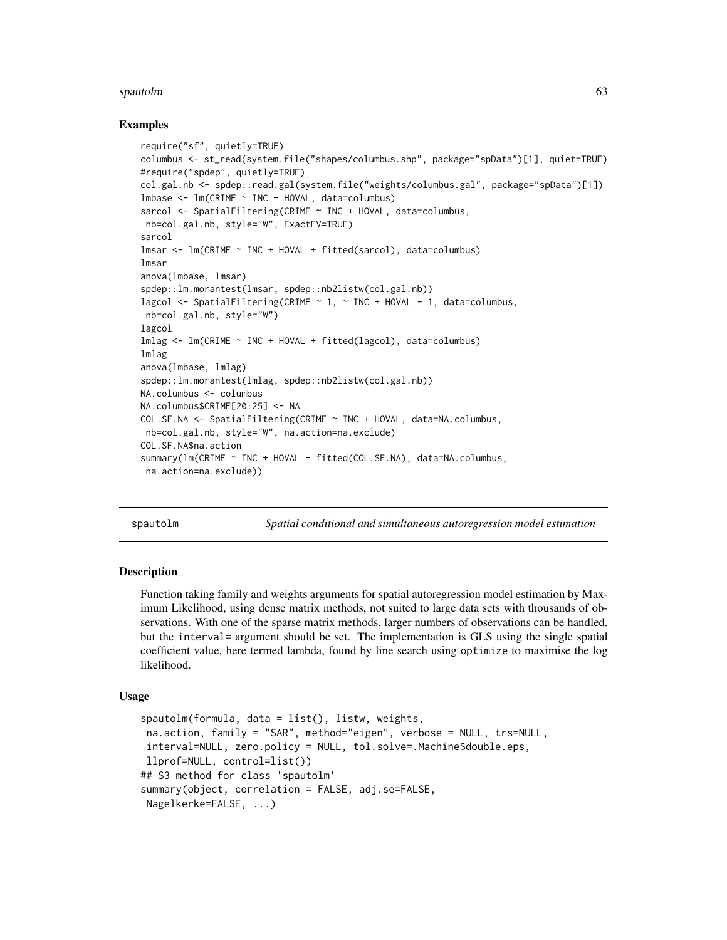#### spautolm 63

#### Examples

```
require("sf", quietly=TRUE)
columbus <- st_read(system.file("shapes/columbus.shp", package="spData")[1], quiet=TRUE)
#require("spdep", quietly=TRUE)
col.gal.nb <- spdep::read.gal(system.file("weights/columbus.gal", package="spData")[1])
lmbase <- lm(CRIME ~ INC + HOVAL, data=columbus)
sarcol <- SpatialFiltering(CRIME ~ INC + HOVAL, data=columbus,
nb=col.gal.nb, style="W", ExactEV=TRUE)
sarcol
lmsar <- lm(CRIME ~ INC + HOVAL + fitted(sarcol), data=columbus)
lmsar
anova(lmbase, lmsar)
spdep::lm.morantest(lmsar, spdep::nb2listw(col.gal.nb))
lagcol <- SpatialFiltering(CRIME ~ 1, ~ INC + HOVAL - 1, data=columbus,
nb=col.gal.nb, style="W")
lagcol
lmlag <- lm(CRIME ~ INC + HOVAL + fitted(lagcol), data=columbus)
lmlag
anova(lmbase, lmlag)
spdep::lm.morantest(lmlag, spdep::nb2listw(col.gal.nb))
NA.columbus <- columbus
NA.columbus$CRIME[20:25] <- NA
COL.SF.NA <- SpatialFiltering(CRIME ~ INC + HOVAL, data=NA.columbus,
nb=col.gal.nb, style="W", na.action=na.exclude)
COL.SF.NA$na.action
summary(lm(CRIME ~ INC + HOVAL + fitted(COL.SF.NA), data=NA.columbus,
na.action=na.exclude))
```
<span id="page-62-0"></span>

spautolm *Spatial conditional and simultaneous autoregression model estimation*

#### Description

Function taking family and weights arguments for spatial autoregression model estimation by Maximum Likelihood, using dense matrix methods, not suited to large data sets with thousands of observations. With one of the sparse matrix methods, larger numbers of observations can be handled, but the interval= argument should be set. The implementation is GLS using the single spatial coefficient value, here termed lambda, found by line search using optimize to maximise the log likelihood.

### Usage

```
spautolm(formula, data = list(), listw, weights,
na.action, family = "SAR", method="eigen", verbose = NULL, trs=NULL,
interval=NULL, zero.policy = NULL, tol.solve=.Machine$double.eps,
llprof=NULL, control=list())
## S3 method for class 'spautolm'
summary(object, correlation = FALSE, adj.se=FALSE,
Nagelkerke=FALSE, ...)
```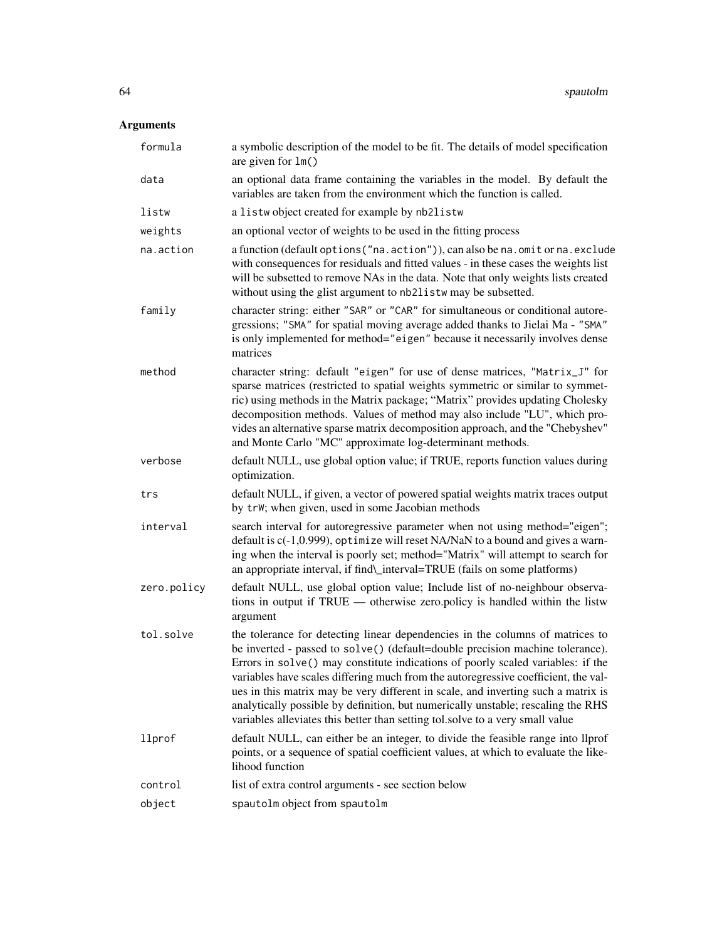# Arguments

| formula     | a symbolic description of the model to be fit. The details of model specification<br>are given for $lm()$                                                                                                                                                                                                                                                                                                                                                                                                                                                                                         |
|-------------|---------------------------------------------------------------------------------------------------------------------------------------------------------------------------------------------------------------------------------------------------------------------------------------------------------------------------------------------------------------------------------------------------------------------------------------------------------------------------------------------------------------------------------------------------------------------------------------------------|
| data        | an optional data frame containing the variables in the model. By default the<br>variables are taken from the environment which the function is called.                                                                                                                                                                                                                                                                                                                                                                                                                                            |
| listw       | a listwobject created for example by nb2listw                                                                                                                                                                                                                                                                                                                                                                                                                                                                                                                                                     |
| weights     | an optional vector of weights to be used in the fitting process                                                                                                                                                                                                                                                                                                                                                                                                                                                                                                                                   |
| na.action   | a function (default options ("na.action")), can also be na.omit or na.exclude<br>with consequences for residuals and fitted values - in these cases the weights list<br>will be subsetted to remove NAs in the data. Note that only weights lists created<br>without using the glist argument to nb2listw may be subsetted.                                                                                                                                                                                                                                                                       |
| family      | character string: either "SAR" or "CAR" for simultaneous or conditional autore-<br>gressions; "SMA" for spatial moving average added thanks to Jielai Ma - "SMA"<br>is only implemented for method="eigen" because it necessarily involves dense<br>matrices                                                                                                                                                                                                                                                                                                                                      |
| method      | character string: default "eigen" for use of dense matrices, "Matrix_J" for<br>sparse matrices (restricted to spatial weights symmetric or similar to symmet-<br>ric) using methods in the Matrix package; "Matrix" provides updating Cholesky<br>decomposition methods. Values of method may also include "LU", which pro-<br>vides an alternative sparse matrix decomposition approach, and the "Chebyshev"<br>and Monte Carlo "MC" approximate log-determinant methods.                                                                                                                        |
| verbose     | default NULL, use global option value; if TRUE, reports function values during<br>optimization.                                                                                                                                                                                                                                                                                                                                                                                                                                                                                                   |
| trs         | default NULL, if given, a vector of powered spatial weights matrix traces output<br>by trW; when given, used in some Jacobian methods                                                                                                                                                                                                                                                                                                                                                                                                                                                             |
| interval    | search interval for autoregressive parameter when not using method="eigen";<br>default is c(-1,0.999), optimize will reset NA/NaN to a bound and gives a warn-<br>ing when the interval is poorly set; method="Matrix" will attempt to search for<br>an appropriate interval, if find\_interval=TRUE (fails on some platforms)                                                                                                                                                                                                                                                                    |
| zero.policy | default NULL, use global option value; Include list of no-neighbour observa-<br>tions in output if $TRUE$ — otherwise zero. policy is handled within the listw<br>argument                                                                                                                                                                                                                                                                                                                                                                                                                        |
| tol.solve   | the tolerance for detecting linear dependencies in the columns of matrices to<br>be inverted - passed to solve() (default=double precision machine tolerance).<br>Errors in solve() may constitute indications of poorly scaled variables: if the<br>variables have scales differing much from the autoregressive coefficient, the val-<br>ues in this matrix may be very different in scale, and inverting such a matrix is<br>analytically possible by definition, but numerically unstable; rescaling the RHS<br>variables alleviates this better than setting tol.solve to a very small value |
| llprof      | default NULL, can either be an integer, to divide the feasible range into llprof<br>points, or a sequence of spatial coefficient values, at which to evaluate the like-<br>lihood function                                                                                                                                                                                                                                                                                                                                                                                                        |
| control     | list of extra control arguments - see section below                                                                                                                                                                                                                                                                                                                                                                                                                                                                                                                                               |
| object      | spautolm object from spautolm                                                                                                                                                                                                                                                                                                                                                                                                                                                                                                                                                                     |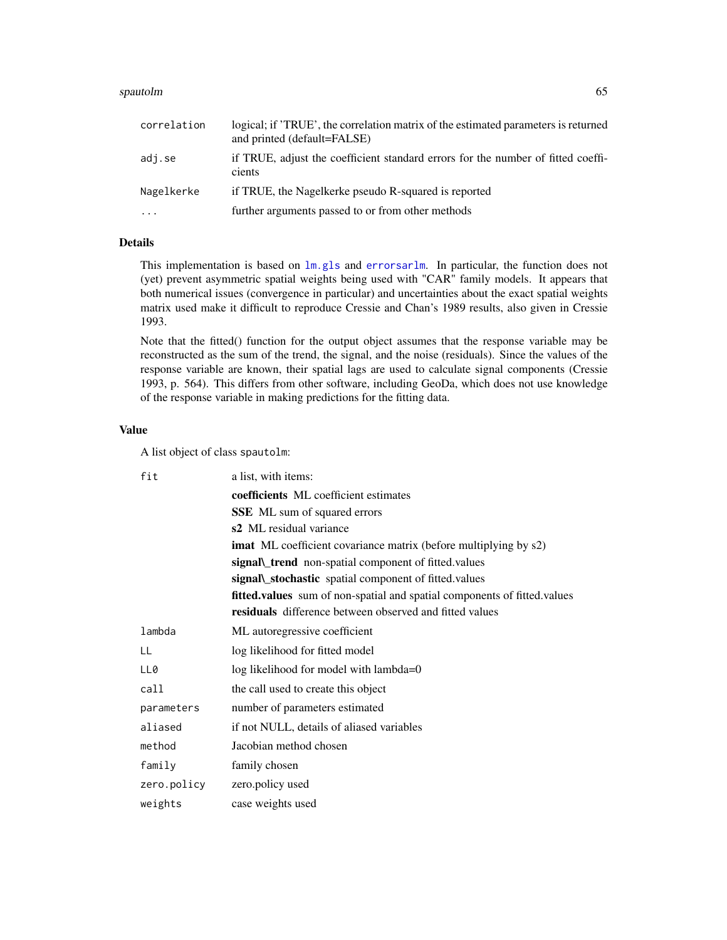#### spautolm 65

| correlation | logical; if 'TRUE', the correlation matrix of the estimated parameters is returned<br>and printed (default=FALSE) |
|-------------|-------------------------------------------------------------------------------------------------------------------|
| adj.se      | if TRUE, adjust the coefficient standard errors for the number of fitted coeffi-<br>cients                        |
| Nagelkerke  | if TRUE, the Nagelkerke pseudo R-squared is reported                                                              |
| $\cdots$    | further arguments passed to or from other methods                                                                 |

# Details

This implementation is based on [lm.gls](#page-0-0) and [errorsarlm](#page-41-0). In particular, the function does not (yet) prevent asymmetric spatial weights being used with "CAR" family models. It appears that both numerical issues (convergence in particular) and uncertainties about the exact spatial weights matrix used make it difficult to reproduce Cressie and Chan's 1989 results, also given in Cressie 1993.

Note that the fitted() function for the output object assumes that the response variable may be reconstructed as the sum of the trend, the signal, and the noise (residuals). Since the values of the response variable are known, their spatial lags are used to calculate signal components (Cressie 1993, p. 564). This differs from other software, including GeoDa, which does not use knowledge of the response variable in making predictions for the fitting data.

### Value

A list object of class spautolm:

| fit         | a list, with items:                                                      |
|-------------|--------------------------------------------------------------------------|
|             | <b>coefficients</b> ML coefficient estimates                             |
|             | <b>SSE</b> ML sum of squared errors                                      |
|             | s2 ML residual variance                                                  |
|             | <b>imat</b> ML coefficient covariance matrix (before multiplying by s2)  |
|             | signal\_trend non-spatial component of fitted.values                     |
|             | signal\_stochastic spatial component of fitted.values                    |
|             | fitted.values sum of non-spatial and spatial components of fitted.values |
|             | <b>residuals</b> difference between observed and fitted values           |
| lambda      | ML autoregressive coefficient                                            |
| LL          | log likelihood for fitted model                                          |
| LL0         | log likelihood for model with lambda=0                                   |
| call        | the call used to create this object                                      |
| parameters  | number of parameters estimated                                           |
| aliased     | if not NULL, details of aliased variables                                |
| method      | Jacobian method chosen                                                   |
| family      | family chosen                                                            |
| zero.policy | zero.policy used                                                         |
| weights     | case weights used                                                        |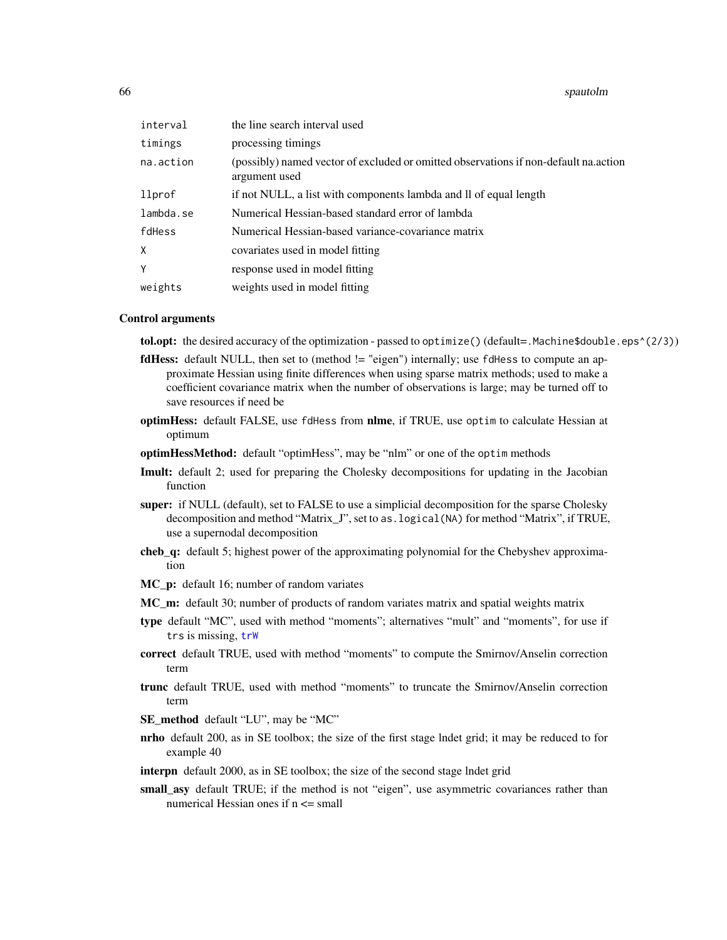#### 66 spautolm

| interval  | the line search interval used                                                                         |
|-----------|-------------------------------------------------------------------------------------------------------|
| timings   | processing timings                                                                                    |
| na.action | (possibly) named vector of excluded or omitted observations if non-default na.action<br>argument used |
| llprof    | if not NULL, a list with components lambda and ll of equal length                                     |
| lambda.se | Numerical Hessian-based standard error of lambda                                                      |
| fdHess    | Numerical Hessian-based variance-covariance matrix                                                    |
| X         | covariates used in model fitting                                                                      |
| Y         | response used in model fitting                                                                        |
| weights   | weights used in model fitting                                                                         |

### Control arguments

tol.opt: the desired accuracy of the optimization - passed to optimize() (default=.Machine\$double.eps^(2/3))

- **fdHess:** default NULL, then set to (method != "eigen") internally; use fdHess to compute an approximate Hessian using finite differences when using sparse matrix methods; used to make a coefficient covariance matrix when the number of observations is large; may be turned off to save resources if need be
- optimHess: default FALSE, use fdHess from nlme, if TRUE, use optim to calculate Hessian at optimum
- optimHessMethod: default "optimHess", may be "nlm" or one of the optim methods
- Imult: default 2; used for preparing the Cholesky decompositions for updating in the Jacobian function
- super: if NULL (default), set to FALSE to use a simplicial decomposition for the sparse Cholesky decomposition and method "Matrix\_J", set to as.logical(NA) for method "Matrix", if TRUE, use a supernodal decomposition
- cheb\_q: default 5; highest power of the approximating polynomial for the Chebyshev approximation
- **MC\_p:** default 16; number of random variates
- MC\_m: default 30; number of products of random variates matrix and spatial weights matrix
- type default "MC", used with method "moments"; alternatives "mult" and "moments", for use if trs is missing, [trW](#page-77-0)
- correct default TRUE, used with method "moments" to compute the Smirnov/Anselin correction term
- trunc default TRUE, used with method "moments" to truncate the Smirnov/Anselin correction term
- SE\_method default "LU", may be "MC"
- nrho default 200, as in SE toolbox; the size of the first stage lndet grid; it may be reduced to for example 40
- interpn default 2000, as in SE toolbox; the size of the second stage lndet grid
- small\_asy default TRUE; if the method is not "eigen", use asymmetric covariances rather than numerical Hessian ones if  $n \le$  small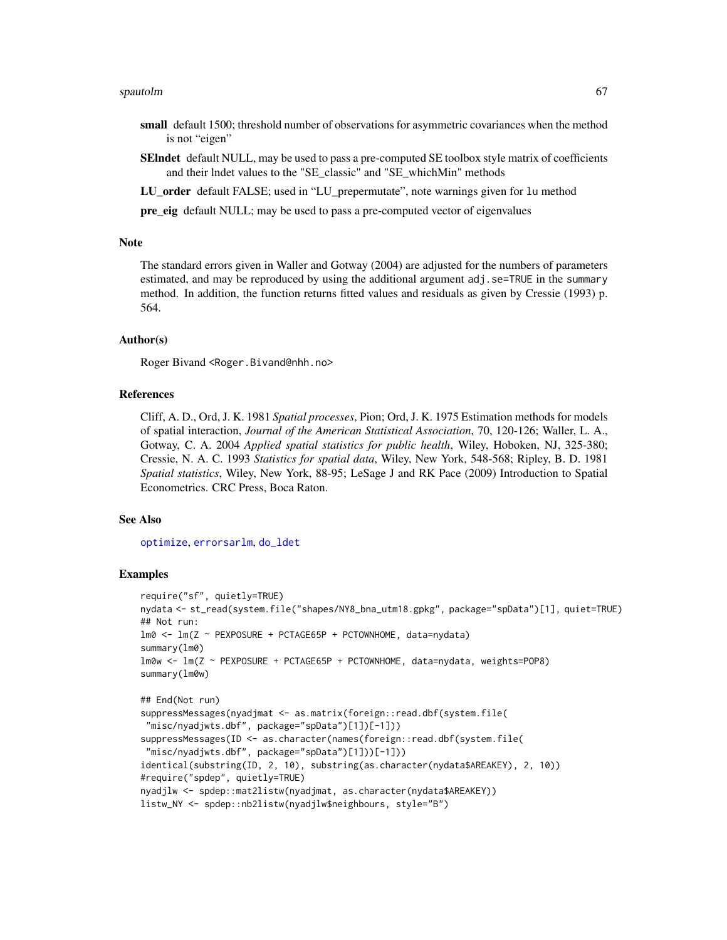#### spautolm 67 and 67 and 67 and 67 and 67 and 67 and 67 and 67 and 67 and 67 and 67 and 67 and 67 and 67 and 67

- small default 1500; threshold number of observations for asymmetric covariances when the method is not "eigen"
- SElndet default NULL, may be used to pass a pre-computed SE toolbox style matrix of coefficients and their lndet values to the "SE\_classic" and "SE\_whichMin" methods
- LU order default FALSE; used in "LU prepermutate", note warnings given for lu method

pre\_eig default NULL; may be used to pass a pre-computed vector of eigenvalues

### Note

The standard errors given in Waller and Gotway (2004) are adjusted for the numbers of parameters estimated, and may be reproduced by using the additional argument adj.se=TRUE in the summary method. In addition, the function returns fitted values and residuals as given by Cressie (1993) p. 564.

### Author(s)

Roger Bivand <Roger.Bivand@nhh.no>

#### References

Cliff, A. D., Ord, J. K. 1981 *Spatial processes*, Pion; Ord, J. K. 1975 Estimation methods for models of spatial interaction, *Journal of the American Statistical Association*, 70, 120-126; Waller, L. A., Gotway, C. A. 2004 *Applied spatial statistics for public health*, Wiley, Hoboken, NJ, 325-380; Cressie, N. A. C. 1993 *Statistics for spatial data*, Wiley, New York, 548-568; Ripley, B. D. 1981 *Spatial statistics*, Wiley, New York, 88-95; LeSage J and RK Pace (2009) Introduction to Spatial Econometrics. CRC Press, Boca Raton.

#### See Also

[optimize](#page-0-0), [errorsarlm](#page-41-0), [do\\_ldet](#page-4-0)

```
require("sf", quietly=TRUE)
nydata <- st_read(system.file("shapes/NY8_bna_utm18.gpkg", package="spData")[1], quiet=TRUE)
## Not run:
lm0 <- lm(Z ~ PEXPOSURE + PCTAGE65P + PCTOWNHOME, data=nydata)
summary(lm0)
lm0w <- lm(Z ~ PEXPOSURE + PCTAGE65P + PCTOWNHOME, data=nydata, weights=POP8)
summary(lm0w)
## End(Not run)
suppressMessages(nyadjmat <- as.matrix(foreign::read.dbf(system.file(
"misc/nyadjwts.dbf", package="spData")[1])[-1]))
suppressMessages(ID <- as.character(names(foreign::read.dbf(system.file(
 "misc/nyadjwts.dbf", package="spData")[1]))[-1]))
identical(substring(ID, 2, 10), substring(as.character(nydata$AREAKEY), 2, 10))
#require("spdep", quietly=TRUE)
nyadjlw <- spdep::mat2listw(nyadjmat, as.character(nydata$AREAKEY))
listw_NY <- spdep::nb2listw(nyadjlw$neighbours, style="B")
```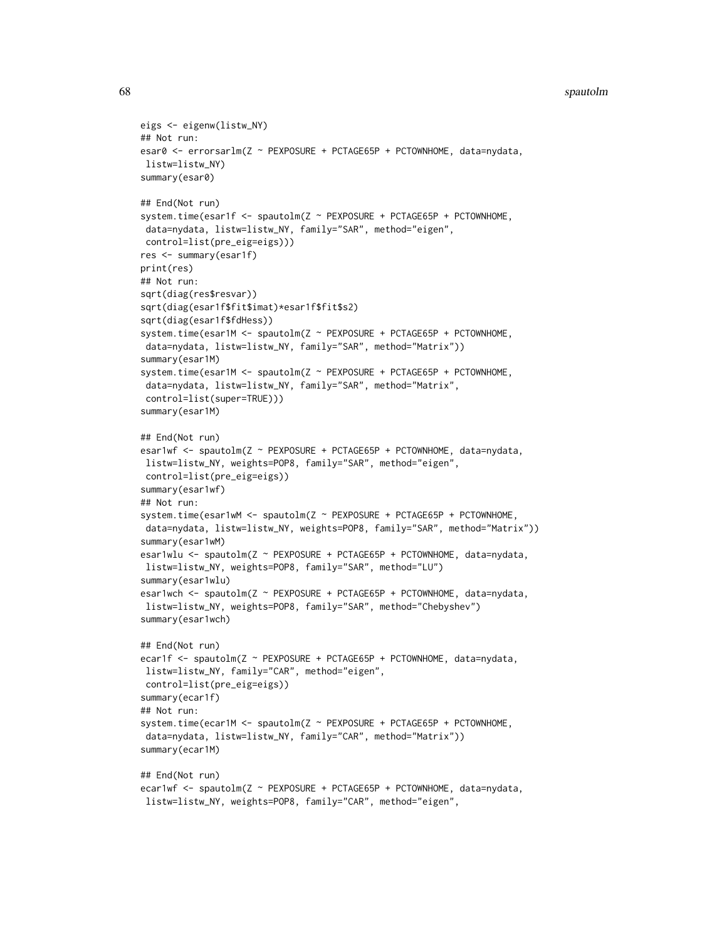#### 68 spautolm

```
eigs <- eigenw(listw_NY)
## Not run:
esar0 <- errorsarlm(Z ~ PEXPOSURE + PCTAGE65P + PCTOWNHOME, data=nydata,
listw=listw_NY)
summary(esar0)
## End(Not run)
system.time(esar1f <- spautolm(Z ~ PEXPOSURE + PCTAGE65P + PCTOWNHOME,
data=nydata, listw=listw_NY, family="SAR", method="eigen",
control=list(pre_eig=eigs)))
res <- summary(esar1f)
print(res)
## Not run:
sqrt(diag(res$resvar))
sqrt(diag(esar1f$fit$imat)*esar1f$fit$s2)
sqrt(diag(esar1f$fdHess))
system.time(esar1M <- spautolm(Z ~ PEXPOSURE + PCTAGE65P + PCTOWNHOME,
data=nydata, listw=listw_NY, family="SAR", method="Matrix"))
summary(esar1M)
system.time(esar1M <- spautolm(Z ~ PEXPOSURE + PCTAGE65P + PCTOWNHOME,
data=nydata, listw=listw_NY, family="SAR", method="Matrix",
control=list(super=TRUE)))
summary(esar1M)
## End(Not run)
esar1wf <- spautolm(Z ~ PEXPOSURE + PCTAGE65P + PCTOWNHOME, data=nydata,
listw=listw_NY, weights=POP8, family="SAR", method="eigen",
control=list(pre_eig=eigs))
summary(esar1wf)
## Not run:
system.time(esar1wM <- spautolm(Z ~ PEXPOSURE + PCTAGE65P + PCTOWNHOME,
data=nydata, listw=listw_NY, weights=POP8, family="SAR", method="Matrix"))
summary(esar1wM)
esar1wlu <- spautolm(Z ~ PEXPOSURE + PCTAGE65P + PCTOWNHOME, data=nydata,
listw=listw_NY, weights=POP8, family="SAR", method="LU")
summary(esar1wlu)
esar1wch <- spautolm(Z ~ PEXPOSURE + PCTAGE65P + PCTOWNHOME, data=nydata,
listw=listw_NY, weights=POP8, family="SAR", method="Chebyshev")
summary(esar1wch)
## End(Not run)
ecar1f <- spautolm(Z ~ PEXPOSURE + PCTAGE65P + PCTOWNHOME, data=nydata,
listw=listw_NY, family="CAR", method="eigen",
control=list(pre_eig=eigs))
summary(ecar1f)
## Not run:
system.time(ecar1M <- spautolm(Z ~ PEXPOSURE + PCTAGE65P + PCTOWNHOME,
data=nydata, listw=listw_NY, family="CAR", method="Matrix"))
summary(ecar1M)
## End(Not run)
ecar1wf <- spautolm(Z ~ PEXPOSURE + PCTAGE65P + PCTOWNHOME, data=nydata,
listw=listw_NY, weights=POP8, family="CAR", method="eigen",
```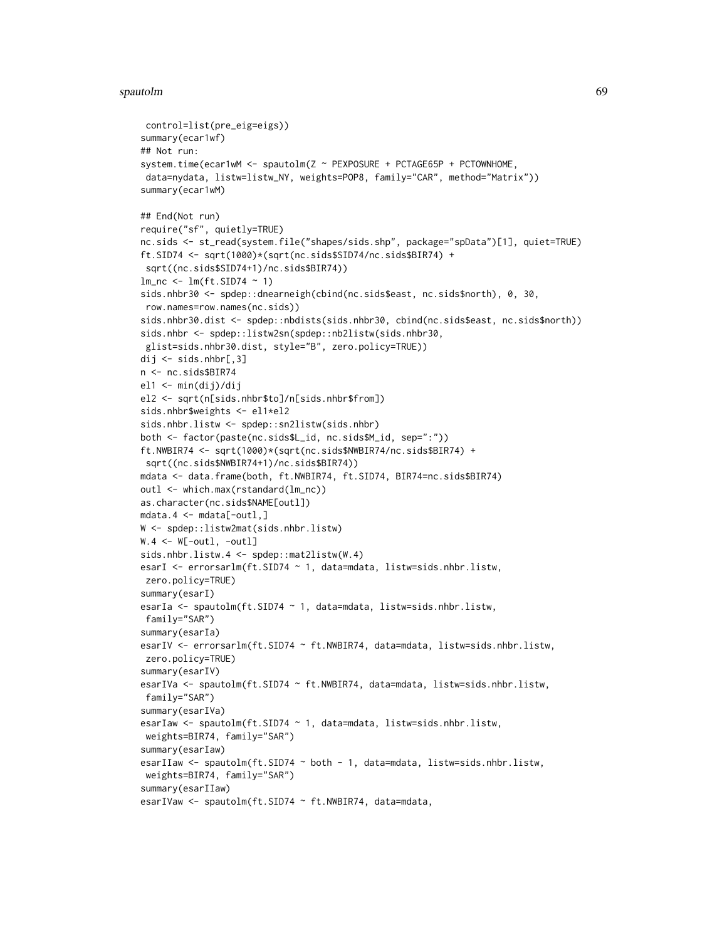#### spautolm 69 metals of the state of the state of the state of the state of the state of the state of the state o

```
control=list(pre_eig=eigs))
summary(ecar1wf)
## Not run:
system.time(ecar1wM <- spautolm(Z ~ PEXPOSURE + PCTAGE65P + PCTOWNHOME,
 data=nydata, listw=listw_NY, weights=POP8, family="CAR", method="Matrix"))
summary(ecar1wM)
## End(Not run)
require("sf", quietly=TRUE)
nc.sids <- st_read(system.file("shapes/sids.shp", package="spData")[1], quiet=TRUE)
ft.SID74 <- sqrt(1000)*(sqrt(nc.sids$SID74/nc.sids$BIR74) +
 sqrt((nc.sids$SID74+1)/nc.sids$BIR74))
lm_nc \leftarrow lm(ft.SID74 \sim 1)sids.nhbr30 <- spdep::dnearneigh(cbind(nc.sids$east, nc.sids$north), 0, 30,
 row.names=row.names(nc.sids))
sids.nhbr30.dist <- spdep::nbdists(sids.nhbr30, cbind(nc.sids$east, nc.sids$north))
sids.nhbr <- spdep::listw2sn(spdep::nb2listw(sids.nhbr30,
glist=sids.nhbr30.dist, style="B", zero.policy=TRUE))
dij <- sids.nhbr[,3]
n <- nc.sids$BIR74
el1 <- min(dij)/dij
el2 <- sqrt(n[sids.nhbr$to]/n[sids.nhbr$from])
sids.nhbr$weights <- el1*el2
sids.nhbr.listw <- spdep::sn2listw(sids.nhbr)
both <- factor(paste(nc.sids$L_id, nc.sids$M_id, sep=":"))
ft.NWBIR74 <- sqrt(1000)*(sqrt(nc.sids$NWBIR74/nc.sids$BIR74) +
 sqrt((nc.sids$NWBIR74+1)/nc.sids$BIR74))
mdata <- data.frame(both, ft.NWBIR74, ft.SID74, BIR74=nc.sids$BIR74)
outl <- which.max(rstandard(lm_nc))
as.character(nc.sids$NAME[outl])
mdata.4 <- mdata[-outl,]
W <- spdep::listw2mat(sids.nhbr.listw)
W.4 \leq W[-out1, -out1]sids.nhbr.listw.4 <- spdep::mat2listw(W.4)
esarI <- errorsarlm(ft.SID74 ~ 1, data=mdata, listw=sids.nhbr.listw,
zero.policy=TRUE)
summary(esarI)
esarIa <- spautolm(ft.SID74 ~ 1, data=mdata, listw=sids.nhbr.listw,
 family="SAR")
summary(esarIa)
esarIV <- errorsarlm(ft.SID74 ~ ft.NWBIR74, data=mdata, listw=sids.nhbr.listw,
 zero.policy=TRUE)
summary(esarIV)
esarIVa <- spautolm(ft.SID74 ~ ft.NWBIR74, data=mdata, listw=sids.nhbr.listw,
 family="SAR")
summary(esarIVa)
esarIaw <- spautolm(ft.SID74 ~ 1, data=mdata, listw=sids.nhbr.listw,
 weights=BIR74, family="SAR")
summary(esarIaw)
esarIIaw <- spautolm(ft.SID74 ~ both - 1, data=mdata, listw=sids.nhbr.listw,
 weights=BIR74, family="SAR")
summary(esarIIaw)
esarIVaw <- spautolm(ft.SID74 ~ ft.NWBIR74, data=mdata,
```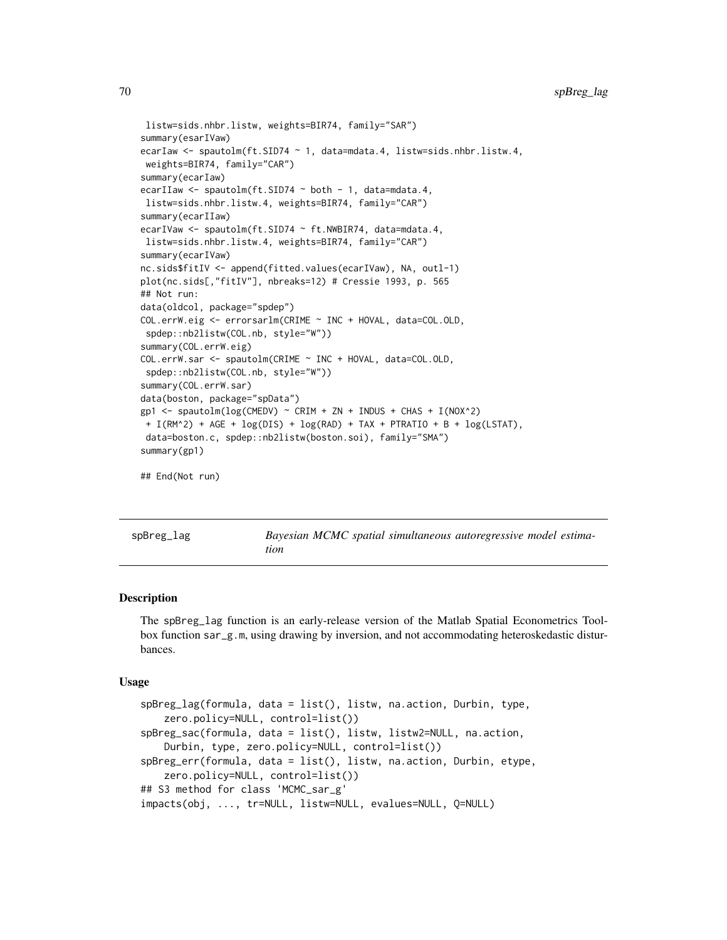```
listw=sids.nhbr.listw, weights=BIR74, family="SAR")
summary(esarIVaw)
ecarIaw <- spautolm(ft.SID74 ~ 1, data=mdata.4, listw=sids.nhbr.listw.4,
weights=BIR74, family="CAR")
summary(ecarIaw)
ecarIIaw <- spautolm(ft.SID74 ~ both - 1, data=mdata.4,
listw=sids.nhbr.listw.4, weights=BIR74, family="CAR")
summary(ecarIIaw)
ecarIVaw <- spautolm(ft.SID74 ~ ft.NWBIR74, data=mdata.4,
listw=sids.nhbr.listw.4, weights=BIR74, family="CAR")
summary(ecarIVaw)
nc.sids$fitIV <- append(fitted.values(ecarIVaw), NA, outl-1)
plot(nc.sids[,"fitIV"], nbreaks=12) # Cressie 1993, p. 565
## Not run:
data(oldcol, package="spdep")
COL.errW.eig <- errorsarlm(CRIME ~ INC + HOVAL, data=COL.OLD,
spdep::nb2listw(COL.nb, style="W"))
summary(COL.errW.eig)
COL.errW.sar <- spautolm(CRIME ~ INC + HOVAL, data=COL.OLD,
spdep::nb2listw(COL.nb, style="W"))
summary(COL.errW.sar)
data(boston, package="spData")
gp1 <- spautolm(log(CMEDV) ~ CRIM + ZN + INDUS + CHAS + I(NOX^2)
+ I(RM^2) + AGE + log(DIS) + log(RAD) + TAX + PTRATIO + B + log(LSTAT),
data=boston.c, spdep::nb2listw(boston.soi), family="SMA")
summary(gp1)
## End(Not run)
```
spBreg\_lag *Bayesian MCMC spatial simultaneous autoregressive model estimation*

#### **Description**

The spBreg\_lag function is an early-release version of the Matlab Spatial Econometrics Toolbox function sar\_g.m, using drawing by inversion, and not accommodating heteroskedastic disturbances.

#### Usage

```
spBreg_lag(formula, data = list(), listw, na.action, Durbin, type,
   zero.policy=NULL, control=list())
spBreg_sac(formula, data = list(), listw, listw2=NULL, na.action,
   Durbin, type, zero.policy=NULL, control=list())
spBreg_err(formula, data = list(), listw, na.action, Durbin, etype,
   zero.policy=NULL, control=list())
## S3 method for class 'MCMC_sar_g'
impacts(obj, ..., tr=NULL, listw=NULL, evalues=NULL, Q=NULL)
```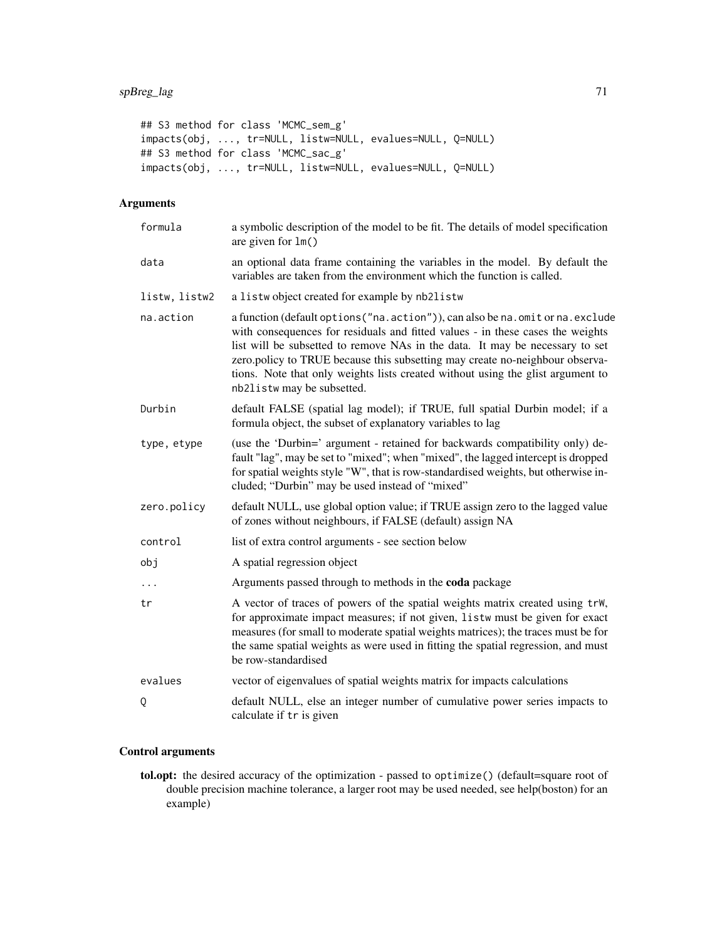## S3 method for class 'MCMC\_sem\_g' impacts(obj, ..., tr=NULL, listw=NULL, evalues=NULL, Q=NULL) ## S3 method for class 'MCMC\_sac\_g' impacts(obj, ..., tr=NULL, listw=NULL, evalues=NULL, Q=NULL)

# Arguments

| formula       | a symbolic description of the model to be fit. The details of model specification<br>are given for $lm()$                                                                                                                                                                                                                                                                                                                                        |
|---------------|--------------------------------------------------------------------------------------------------------------------------------------------------------------------------------------------------------------------------------------------------------------------------------------------------------------------------------------------------------------------------------------------------------------------------------------------------|
| data          | an optional data frame containing the variables in the model. By default the<br>variables are taken from the environment which the function is called.                                                                                                                                                                                                                                                                                           |
| listw, listw2 | a listwobject created for example by nb2listw                                                                                                                                                                                                                                                                                                                                                                                                    |
| na.action     | a function (default options ("na.action")), can also be na.omit or na.exclude<br>with consequences for residuals and fitted values - in these cases the weights<br>list will be subsetted to remove NAs in the data. It may be necessary to set<br>zero.policy to TRUE because this subsetting may create no-neighbour observa-<br>tions. Note that only weights lists created without using the glist argument to<br>nb2listw may be subsetted. |
| Durbin        | default FALSE (spatial lag model); if TRUE, full spatial Durbin model; if a<br>formula object, the subset of explanatory variables to lag                                                                                                                                                                                                                                                                                                        |
| type, etype   | (use the 'Durbin=' argument - retained for backwards compatibility only) de-<br>fault "lag", may be set to "mixed"; when "mixed", the lagged intercept is dropped<br>for spatial weights style "W", that is row-standardised weights, but otherwise in-<br>cluded; "Durbin" may be used instead of "mixed"                                                                                                                                       |
| zero.policy   | default NULL, use global option value; if TRUE assign zero to the lagged value<br>of zones without neighbours, if FALSE (default) assign NA                                                                                                                                                                                                                                                                                                      |
| control       | list of extra control arguments - see section below                                                                                                                                                                                                                                                                                                                                                                                              |
| obj           | A spatial regression object                                                                                                                                                                                                                                                                                                                                                                                                                      |
| $\cdots$      | Arguments passed through to methods in the coda package                                                                                                                                                                                                                                                                                                                                                                                          |
| tr            | A vector of traces of powers of the spatial weights matrix created using trW,<br>for approximate impact measures; if not given, listw must be given for exact<br>measures (for small to moderate spatial weights matrices); the traces must be for<br>the same spatial weights as were used in fitting the spatial regression, and must<br>be row-standardised                                                                                   |
| evalues       | vector of eigenvalues of spatial weights matrix for impacts calculations                                                                                                                                                                                                                                                                                                                                                                         |
| Q             | default NULL, else an integer number of cumulative power series impacts to<br>calculate if tr is given                                                                                                                                                                                                                                                                                                                                           |

# Control arguments

tol.opt: the desired accuracy of the optimization - passed to optimize() (default=square root of double precision machine tolerance, a larger root may be used needed, see help(boston) for an example)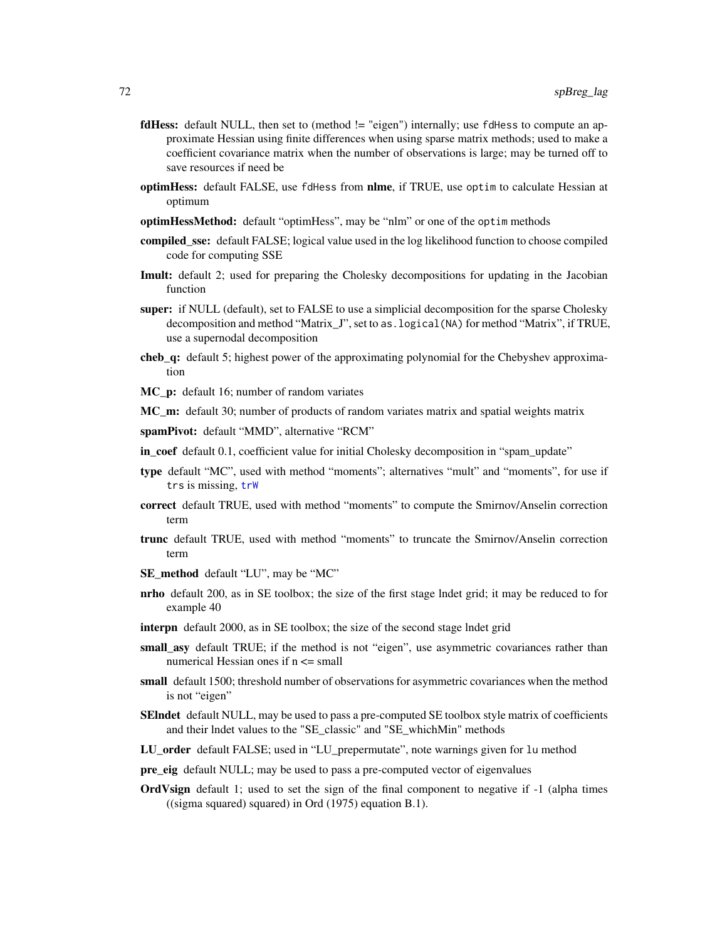- **fdHess:** default NULL, then set to (method != "eigen") internally; use fdHess to compute an approximate Hessian using finite differences when using sparse matrix methods; used to make a coefficient covariance matrix when the number of observations is large; may be turned off to save resources if need be
- optimHess: default FALSE, use fdHess from nlme, if TRUE, use optim to calculate Hessian at optimum
- optimHessMethod: default "optimHess", may be "nlm" or one of the optim methods
- compiled\_sse: default FALSE; logical value used in the log likelihood function to choose compiled code for computing SSE
- Imult: default 2; used for preparing the Cholesky decompositions for updating in the Jacobian function
- super: if NULL (default), set to FALSE to use a simplicial decomposition for the sparse Cholesky decomposition and method "Matrix\_J", set to as.logical(NA) for method "Matrix", if TRUE, use a supernodal decomposition
- cheb\_q: default 5; highest power of the approximating polynomial for the Chebyshev approximation
- MC\_p: default 16; number of random variates

MC\_m: default 30; number of products of random variates matrix and spatial weights matrix

spamPivot: default "MMD", alternative "RCM"

- in\_coef default 0.1, coefficient value for initial Cholesky decomposition in "spam\_update"
- type default "MC", used with method "moments"; alternatives "mult" and "moments", for use if trs is missing, trw
- correct default TRUE, used with method "moments" to compute the Smirnov/Anselin correction term
- trunc default TRUE, used with method "moments" to truncate the Smirnov/Anselin correction term
- SE\_method default "LU", may be "MC"
- nrho default 200, as in SE toolbox; the size of the first stage lndet grid; it may be reduced to for example 40
- interpn default 2000, as in SE toolbox; the size of the second stage lndet grid
- small\_asy default TRUE; if the method is not "eigen", use asymmetric covariances rather than numerical Hessian ones if n <= small
- small default 1500; threshold number of observations for asymmetric covariances when the method is not "eigen"
- SEIndet default NULL, may be used to pass a pre-computed SE toolbox style matrix of coefficients and their lndet values to the "SE\_classic" and "SE\_whichMin" methods
- LU\_order default FALSE; used in "LU\_prepermutate", note warnings given for lu method
- pre\_eig default NULL; may be used to pass a pre-computed vector of eigenvalues
- OrdVsign default 1; used to set the sign of the final component to negative if -1 (alpha times ((sigma squared) squared) in Ord (1975) equation B.1).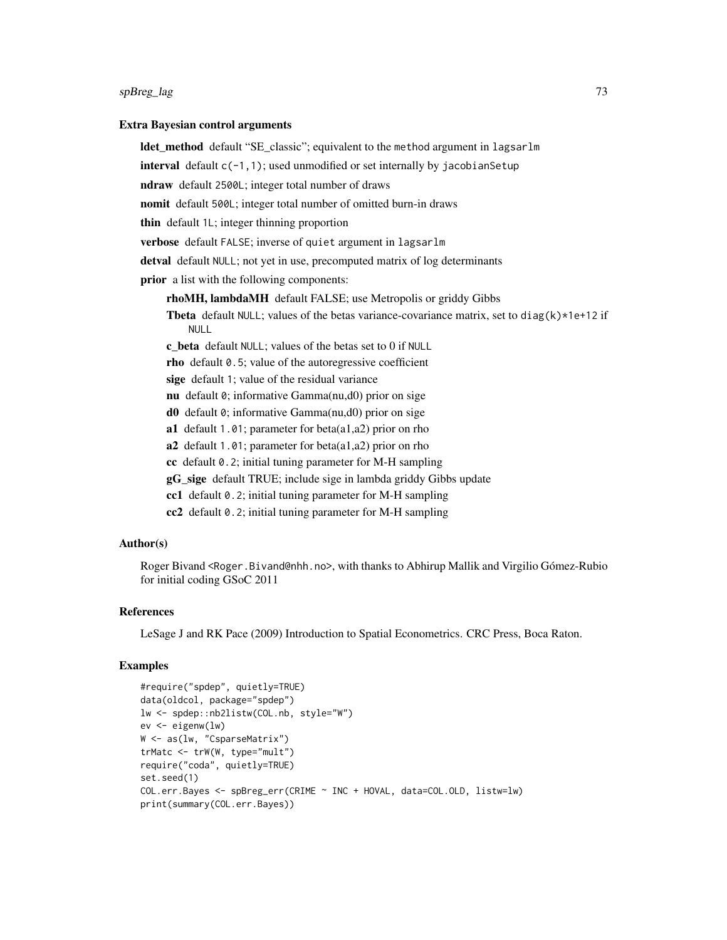#### $spfBreg\_lag$  73

#### Extra Bayesian control arguments

**ldet method** default "SE classic"; equivalent to the method argument in lagsarlm

**interval** default  $c(-1,1)$ ; used unmodified or set internally by jacobian Setup

ndraw default 2500L; integer total number of draws

nomit default 500L; integer total number of omitted burn-in draws

thin default 1L; integer thinning proportion

verbose default FALSE; inverse of quiet argument in lagsarlm

detval default NULL; not yet in use, precomputed matrix of log determinants

prior a list with the following components:

rhoMH, lambdaMH default FALSE; use Metropolis or griddy Gibbs

**Theta** default NULL; values of the betas variance-covariance matrix, set to diag(k) $*1e+12$  if NULL

c\_beta default NULL; values of the betas set to 0 if NULL

rho default 0.5; value of the autoregressive coefficient

sige default 1; value of the residual variance

nu default 0; informative Gamma(nu,d0) prior on sige

d0 default 0; informative Gamma(nu,d0) prior on sige

a1 default 1.01; parameter for beta(a1,a2) prior on rho

a2 default 1.01; parameter for beta(a1,a2) prior on rho

cc default 0.2; initial tuning parameter for M-H sampling

gG\_sige default TRUE; include sige in lambda griddy Gibbs update

cc1 default 0.2; initial tuning parameter for M-H sampling

cc2 default 0.2; initial tuning parameter for M-H sampling

# Author(s)

Roger Bivand <Roger.Bivand@nhh.no>, with thanks to Abhirup Mallik and Virgilio Gómez-Rubio for initial coding GSoC 2011

### References

LeSage J and RK Pace (2009) Introduction to Spatial Econometrics. CRC Press, Boca Raton.

#### Examples

```
#require("spdep", quietly=TRUE)
data(oldcol, package="spdep")
lw <- spdep::nb2listw(COL.nb, style="W")
ev <- eigenw(lw)
W <- as(lw, "CsparseMatrix")
trMatc <- trW(W, type="mult")
require("coda", quietly=TRUE)
set.seed(1)
COL.err.Bayes <- spBreg_err(CRIME ~ INC + HOVAL, data=COL.OLD, listw=lw)
print(summary(COL.err.Bayes))
```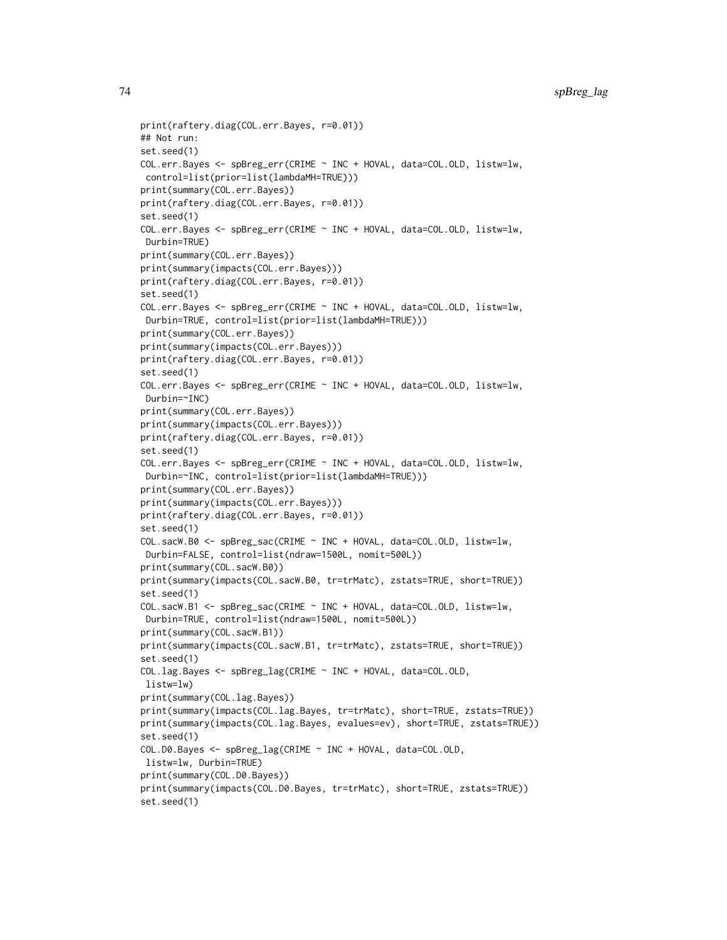```
print(raftery.diag(COL.err.Bayes, r=0.01))
## Not run:
set.seed(1)
COL.err.Bayes <- spBreg_err(CRIME ~ INC + HOVAL, data=COL.OLD, listw=lw,
control=list(prior=list(lambdaMH=TRUE)))
print(summary(COL.err.Bayes))
print(raftery.diag(COL.err.Bayes, r=0.01))
set.seed(1)
COL.err.Bayes <- spBreg_err(CRIME ~ INC + HOVAL, data=COL.OLD, listw=lw,
Durbin=TRUE)
print(summary(COL.err.Bayes))
print(summary(impacts(COL.err.Bayes)))
print(raftery.diag(COL.err.Bayes, r=0.01))
set.seed(1)
COL.err.Bayes <- spBreg_err(CRIME ~ INC + HOVAL, data=COL.OLD, listw=lw,
 Durbin=TRUE, control=list(prior=list(lambdaMH=TRUE)))
print(summary(COL.err.Bayes))
print(summary(impacts(COL.err.Bayes)))
print(raftery.diag(COL.err.Bayes, r=0.01))
set.seed(1)
COL.err.Bayes <- spBreg_err(CRIME ~ INC + HOVAL, data=COL.OLD, listw=lw,
Durbin=~INC)
print(summary(COL.err.Bayes))
print(summary(impacts(COL.err.Bayes)))
print(raftery.diag(COL.err.Bayes, r=0.01))
set.seed(1)
COL.err.Bayes <- spBreg_err(CRIME ~ INC + HOVAL, data=COL.OLD, listw=lw,
 Durbin=~INC, control=list(prior=list(lambdaMH=TRUE)))
print(summary(COL.err.Bayes))
print(summary(impacts(COL.err.Bayes)))
print(raftery.diag(COL.err.Bayes, r=0.01))
set.seed(1)
COL.sacW.B0 <- spBreg_sac(CRIME ~ INC + HOVAL, data=COL.OLD, listw=lw,
Durbin=FALSE, control=list(ndraw=1500L, nomit=500L))
print(summary(COL.sacW.B0))
print(summary(impacts(COL.sacW.B0, tr=trMatc), zstats=TRUE, short=TRUE))
set.seed(1)
COL.sacW.B1 <- spBreg_sac(CRIME ~ INC + HOVAL, data=COL.OLD, listw=lw,
 Durbin=TRUE, control=list(ndraw=1500L, nomit=500L))
print(summary(COL.sacW.B1))
print(summary(impacts(COL.sacW.B1, tr=trMatc), zstats=TRUE, short=TRUE))
set.seed(1)
COL.lag.Bayes <- spBreg_lag(CRIME ~ INC + HOVAL, data=COL.OLD,
listw=lw)
print(summary(COL.lag.Bayes))
print(summary(impacts(COL.lag.Bayes, tr=trMatc), short=TRUE, zstats=TRUE))
print(summary(impacts(COL.lag.Bayes, evalues=ev), short=TRUE, zstats=TRUE))
set.seed(1)
COL.D0.Bayes <- spBreg_lag(CRIME ~ INC + HOVAL, data=COL.OLD,
listw=lw, Durbin=TRUE)
print(summary(COL.D0.Bayes))
print(summary(impacts(COL.D0.Bayes, tr=trMatc), short=TRUE, zstats=TRUE))
set.seed(1)
```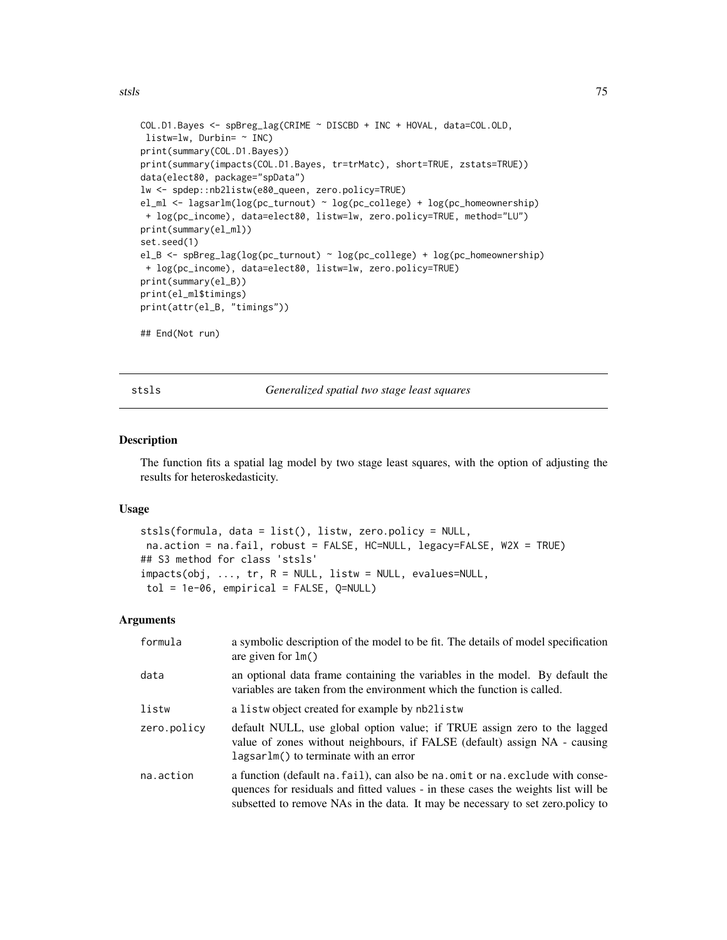<span id="page-74-0"></span>stsls i 1958 i 1959 i 1959 i 1959 i 1959 i 1959 i 1959 i 1959 i 1959 i 1959 i 1959 i 1959 i 1959 i 1959 i 195

```
COL.D1.Bayes <- spBreg_lag(CRIME ~ DISCBD + INC + HOVAL, data=COL.OLD,
listw=lw, Durbin= ~ INC)
print(summary(COL.D1.Bayes))
print(summary(impacts(COL.D1.Bayes, tr=trMatc), short=TRUE, zstats=TRUE))
data(elect80, package="spData")
lw <- spdep::nb2listw(e80_queen, zero.policy=TRUE)
el_ml <- lagsarlm(log(pc_turnout) ~ log(pc_college) + log(pc_homeownership)
+ log(pc_income), data=elect80, listw=lw, zero.policy=TRUE, method="LU")
print(summary(el_ml))
set.seed(1)
el_B <- spBreg_lag(log(pc_turnout) ~ log(pc_college) + log(pc_homeownership)
+ log(pc_income), data=elect80, listw=lw, zero.policy=TRUE)
print(summary(el_B))
print(el_ml$timings)
print(attr(el_B, "timings"))
## End(Not run)
```
stsls *Generalized spatial two stage least squares*

#### Description

The function fits a spatial lag model by two stage least squares, with the option of adjusting the results for heteroskedasticity.

# Usage

```
stsls(formula, data = list(), listw, zero.policy = NULL,
na.action = na.fail, robust = FALSE, HC=NULL, legacy=FALSE, W2X = TRUE)
## S3 method for class 'stsls'
impacts(obj, ..., tr, R = NULL, listw = NULL, evalues=NULL,
tol = 1e-06, empirical = FALSE, Q=NULL)
```
#### Arguments

| formula     | a symbolic description of the model to be fit. The details of model specification<br>are given for $lm()$                                                                                                                                              |  |
|-------------|--------------------------------------------------------------------------------------------------------------------------------------------------------------------------------------------------------------------------------------------------------|--|
| data        | an optional data frame containing the variables in the model. By default the<br>variables are taken from the environment which the function is called.                                                                                                 |  |
| listw       | a listwo bject created for example by nb2listw                                                                                                                                                                                                         |  |
| zero.policy | default NULL, use global option value; if TRUE assign zero to the lagged<br>value of zones without neighbours, if FALSE (default) assign NA - causing<br>lagsarlm() to terminate with an error                                                         |  |
| na.action   | a function (default na. fail), can also be na. omit or na. exclude with conse-<br>quences for residuals and fitted values - in these cases the weights list will be<br>subsetted to remove NAs in the data. It may be necessary to set zero. policy to |  |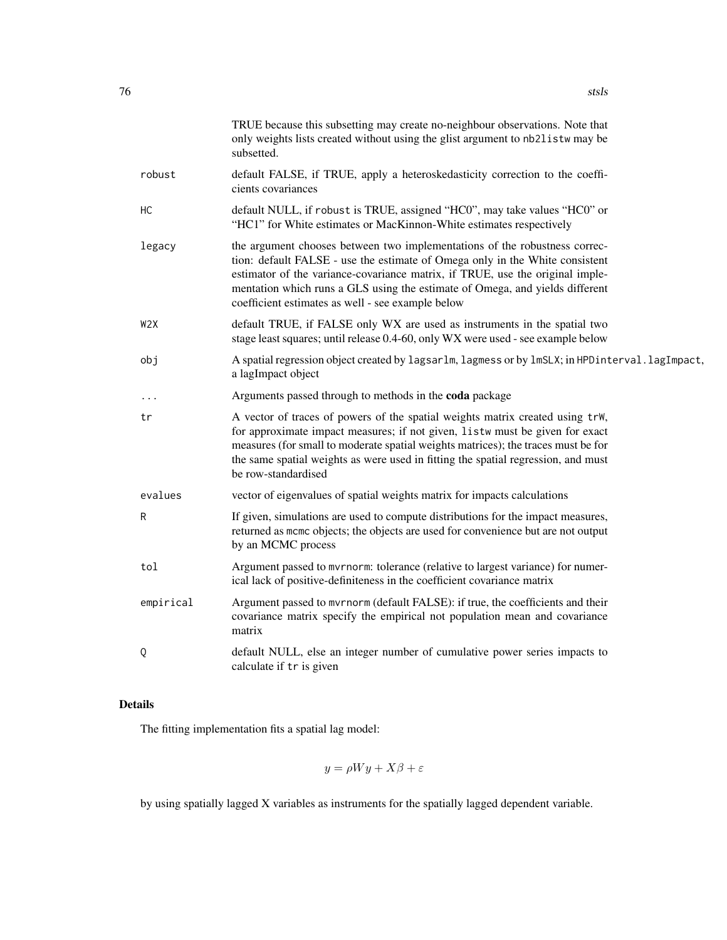|                  | TRUE because this subsetting may create no-neighbour observations. Note that<br>only weights lists created without using the glist argument to nb2listw may be<br>subsetted.                                                                                                                                                                                                     |  |
|------------------|----------------------------------------------------------------------------------------------------------------------------------------------------------------------------------------------------------------------------------------------------------------------------------------------------------------------------------------------------------------------------------|--|
| robust           | default FALSE, if TRUE, apply a heteroskedasticity correction to the coeffi-<br>cients covariances                                                                                                                                                                                                                                                                               |  |
| НC               | default NULL, if robust is TRUE, assigned "HC0", may take values "HC0" or<br>"HC1" for White estimates or MacKinnon-White estimates respectively                                                                                                                                                                                                                                 |  |
| legacy           | the argument chooses between two implementations of the robustness correc-<br>tion: default FALSE - use the estimate of Omega only in the White consistent<br>estimator of the variance-covariance matrix, if TRUE, use the original imple-<br>mentation which runs a GLS using the estimate of Omega, and yields different<br>coefficient estimates as well - see example below |  |
| W <sub>2</sub> X | default TRUE, if FALSE only WX are used as instruments in the spatial two<br>stage least squares; until release 0.4-60, only WX were used - see example below                                                                                                                                                                                                                    |  |
| obj              | A spatial regression object created by lagsarlm, lagmess or by lmSLX; in HPDinterval. lagImpact,<br>a lagImpact object                                                                                                                                                                                                                                                           |  |
| .                | Arguments passed through to methods in the coda package                                                                                                                                                                                                                                                                                                                          |  |
| tr               | A vector of traces of powers of the spatial weights matrix created using trW,<br>for approximate impact measures; if not given, listw must be given for exact<br>measures (for small to moderate spatial weights matrices); the traces must be for<br>the same spatial weights as were used in fitting the spatial regression, and must<br>be row-standardised                   |  |
| evalues          | vector of eigenvalues of spatial weights matrix for impacts calculations                                                                                                                                                                                                                                                                                                         |  |
| R                | If given, simulations are used to compute distributions for the impact measures,<br>returned as mome objects; the objects are used for convenience but are not output<br>by an MCMC process                                                                                                                                                                                      |  |
| tol              | Argument passed to mvrnorm: tolerance (relative to largest variance) for numer-<br>ical lack of positive-definiteness in the coefficient covariance matrix                                                                                                                                                                                                                       |  |
| empirical        | Argument passed to mvrnorm (default FALSE): if true, the coefficients and their<br>covariance matrix specify the empirical not population mean and covariance<br>matrix                                                                                                                                                                                                          |  |
| Q                | default NULL, else an integer number of cumulative power series impacts to<br>calculate if tr is given                                                                                                                                                                                                                                                                           |  |

# Details

The fitting implementation fits a spatial lag model:

$$
y = \rho Wy + X\beta + \varepsilon
$$

by using spatially lagged X variables as instruments for the spatially lagged dependent variable.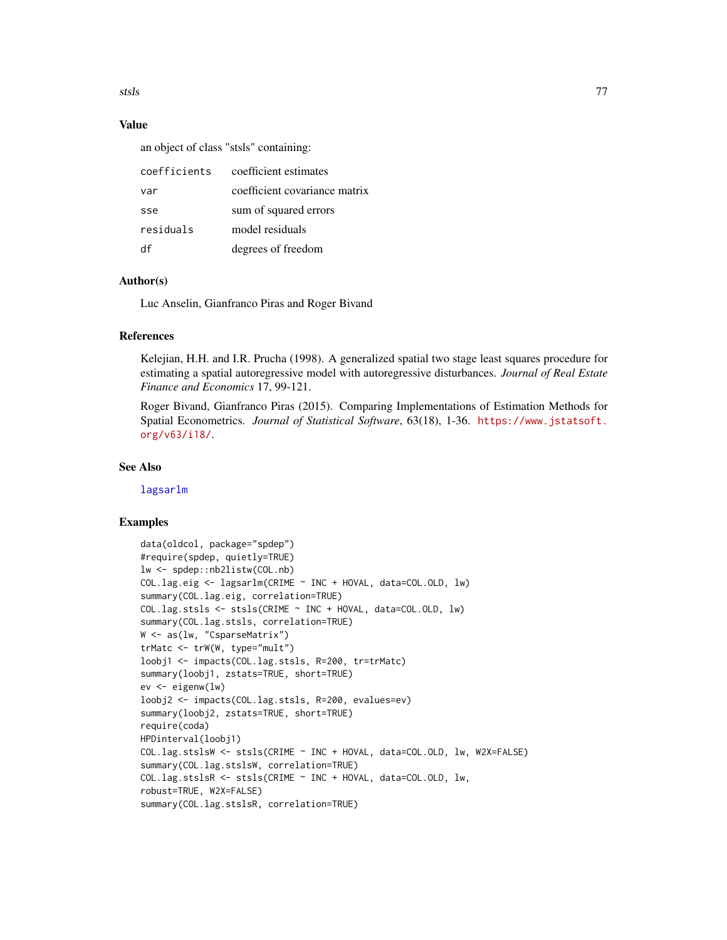<span id="page-76-0"></span>stsls i 177

# Value

an object of class "stsls" containing:

| coefficients | coefficient estimates         |
|--------------|-------------------------------|
| var          | coefficient covariance matrix |
| sse          | sum of squared errors         |
| residuals    | model residuals               |
| Чť           | degrees of freedom            |

# Author(s)

Luc Anselin, Gianfranco Piras and Roger Bivand

# References

Kelejian, H.H. and I.R. Prucha (1998). A generalized spatial two stage least squares procedure for estimating a spatial autoregressive model with autoregressive disturbances. *Journal of Real Estate Finance and Economics* 17, 99-121.

Roger Bivand, Gianfranco Piras (2015). Comparing Implementations of Estimation Methods for Spatial Econometrics. *Journal of Statistical Software*, 63(18), 1-36. [https://www.jstatsoft.](https://www.jstatsoft.org/v63/i18/) [org/v63/i18/](https://www.jstatsoft.org/v63/i18/).

# See Also

[lagsarlm](#page-41-0)

### Examples

```
data(oldcol, package="spdep")
#require(spdep, quietly=TRUE)
lw <- spdep::nb2listw(COL.nb)
COL.lag.eig <- lagsarlm(CRIME ~ INC + HOVAL, data=COL.OLD, lw)
summary(COL.lag.eig, correlation=TRUE)
COL.lag.stsls <- stsls(CRIME ~ INC + HOVAL, data=COL.OLD, lw)
summary(COL.lag.stsls, correlation=TRUE)
W <- as(lw, "CsparseMatrix")
trMatc <- trW(W, type="mult")
loobj1 <- impacts(COL.lag.stsls, R=200, tr=trMatc)
summary(loobj1, zstats=TRUE, short=TRUE)
ev <- eigenw(lw)
loobj2 <- impacts(COL.lag.stsls, R=200, evalues=ev)
summary(loobj2, zstats=TRUE, short=TRUE)
require(coda)
HPDinterval(loobj1)
COL.lag.stslsW <- stsls(CRIME ~ INC + HOVAL, data=COL.OLD, lw, W2X=FALSE)
summary(COL.lag.stslsW, correlation=TRUE)
COL.lag.stslsR <- stsls(CRIME ~ INC + HOVAL, data=COL.OLD, lw,
robust=TRUE, W2X=FALSE)
summary(COL.lag.stslsR, correlation=TRUE)
```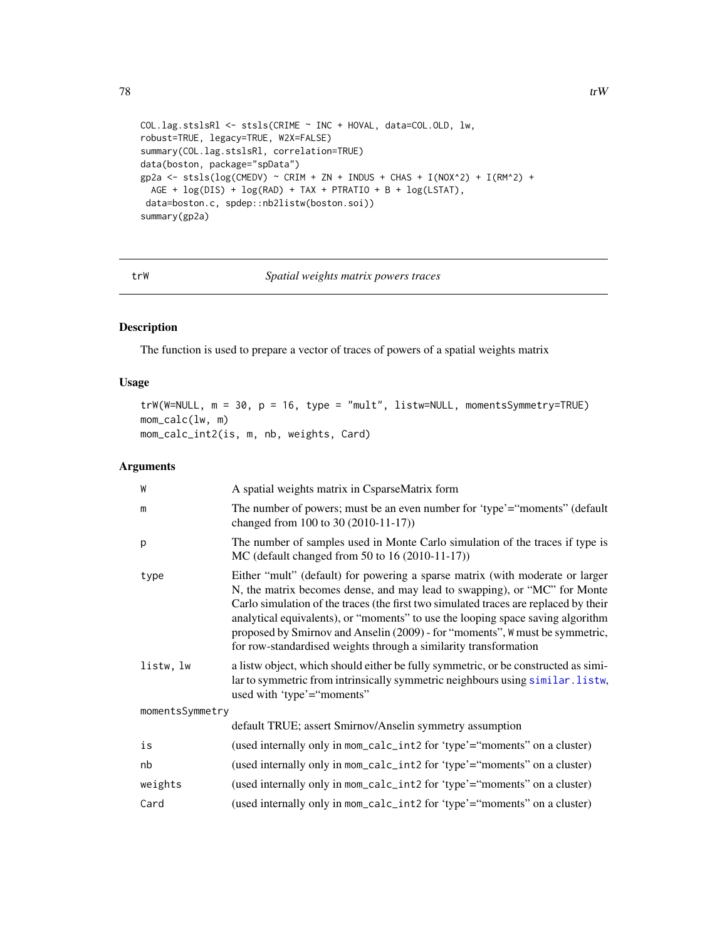```
78 true to the set of the set of the set of the set of the set of the set of the set of the set of the set of the set of the set of the set of the set of the set of the set of the set of the set of the set of the set of
```

```
COL.lag.stslsRl <- stsls(CRIME ~ INC + HOVAL, data=COL.OLD, lw,
robust=TRUE, legacy=TRUE, W2X=FALSE)
summary(COL.lag.stslsRl, correlation=TRUE)
data(boston, package="spData")
gp2a <- stsls(log(CMEDV) ~ CRIM + ZN + INDUS + CHAS + I(NOX^2) + I(RM^2) +
 AGE + log(DIS) + log(RAD) + TAX + PTRATIO + B + log(LSTAT),
data=boston.c, spdep::nb2listw(boston.soi))
summary(gp2a)
```
trW *Spatial weights matrix powers traces*

# Description

The function is used to prepare a vector of traces of powers of a spatial weights matrix

#### Usage

```
trW(W=NULL, m = 30, p = 16, type = "mult", listw=NULL, momentsSymmetry=TRUE)
mom_calc(lw, m)
mom_calc_int2(is, m, nb, weights, Card)
```
# Arguments

| A spatial weights matrix in CsparseMatrix form                                                                                                                                                                                                                                                                                                                                                                                                                                            |  |
|-------------------------------------------------------------------------------------------------------------------------------------------------------------------------------------------------------------------------------------------------------------------------------------------------------------------------------------------------------------------------------------------------------------------------------------------------------------------------------------------|--|
| The number of powers; must be an even number for 'type'="moments" (default<br>changed from 100 to 30 (2010-11-17))                                                                                                                                                                                                                                                                                                                                                                        |  |
| The number of samples used in Monte Carlo simulation of the traces if type is<br>MC (default changed from 50 to 16 (2010-11-17))                                                                                                                                                                                                                                                                                                                                                          |  |
| Either "mult" (default) for powering a sparse matrix (with moderate or larger<br>N, the matrix becomes dense, and may lead to swapping), or "MC" for Monte<br>Carlo simulation of the traces (the first two simulated traces are replaced by their<br>analytical equivalents), or "moments" to use the looping space saving algorithm<br>proposed by Smirnov and Anselin (2009) - for "moments", W must be symmetric,<br>for row-standardised weights through a similarity transformation |  |
| a listw object, which should either be fully symmetric, or be constructed as simi-<br>lar to symmetric from intrinsically symmetric neighbours using similar. listw,<br>used with 'type'="moments"                                                                                                                                                                                                                                                                                        |  |
| momentsSymmetry                                                                                                                                                                                                                                                                                                                                                                                                                                                                           |  |
| default TRUE; assert Smirnov/Anselin symmetry assumption                                                                                                                                                                                                                                                                                                                                                                                                                                  |  |
| (used internally only in mom_calc_int2 for 'type'="moments" on a cluster)                                                                                                                                                                                                                                                                                                                                                                                                                 |  |
| (used internally only in mom_calc_int2 for 'type'="moments" on a cluster)                                                                                                                                                                                                                                                                                                                                                                                                                 |  |
| (used internally only in mom_calc_int2 for 'type'="moments" on a cluster)                                                                                                                                                                                                                                                                                                                                                                                                                 |  |
| (used internally only in mom_calc_int2 for 'type'="moments" on a cluster)                                                                                                                                                                                                                                                                                                                                                                                                                 |  |
|                                                                                                                                                                                                                                                                                                                                                                                                                                                                                           |  |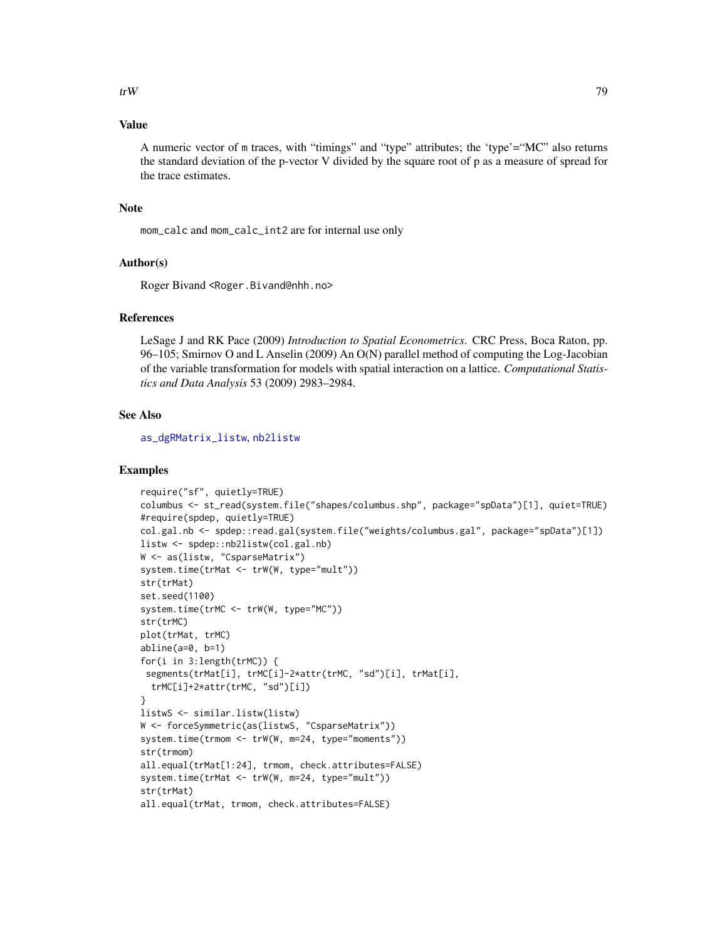#### <span id="page-78-0"></span>Value

A numeric vector of m traces, with "timings" and "type" attributes; the 'type'="MC" also returns the standard deviation of the p-vector V divided by the square root of p as a measure of spread for the trace estimates.

# Note

mom\_calc and mom\_calc\_int2 are for internal use only

#### Author(s)

Roger Bivand <Roger.Bivand@nhh.no>

#### References

LeSage J and RK Pace (2009) *Introduction to Spatial Econometrics*. CRC Press, Boca Raton, pp. 96–105; Smirnov O and L Anselin (2009) An O(N) parallel method of computing the Log-Jacobian of the variable transformation for models with spatial interaction on a lattice. *Computational Statistics and Data Analysis* 53 (2009) 2983–2984.

#### See Also

[as\\_dgRMatrix\\_listw](#page-2-0), [nb2listw](#page-0-0)

# Examples

```
require("sf", quietly=TRUE)
columbus <- st_read(system.file("shapes/columbus.shp", package="spData")[1], quiet=TRUE)
#require(spdep, quietly=TRUE)
col.gal.nb <- spdep::read.gal(system.file("weights/columbus.gal", package="spData")[1])
listw <- spdep::nb2listw(col.gal.nb)
W <- as(listw, "CsparseMatrix")
system.time(trMat <- trW(W, type="mult"))
str(trMat)
set.seed(1100)
system.time(trMC <- trW(W, type="MC"))
str(trMC)
plot(trMat, trMC)
abline(a=0, b=1)
for(i in 3:length(trMC)) {
 segments(trMat[i], trMC[i]-2*attr(trMC, "sd")[i], trMat[i],
  trMC[i]+2*attr(trMC, "sd")[i])
}
listwS <- similar.listw(listw)
W <- forceSymmetric(as(listwS, "CsparseMatrix"))
system.time(trmom <- trW(W, m=24, type="moments"))
str(trmom)
all.equal(trMat[1:24], trmom, check.attributes=FALSE)
system.time(trMat <- trW(W, m=24, type="mult"))
str(trMat)
all.equal(trMat, trmom, check.attributes=FALSE)
```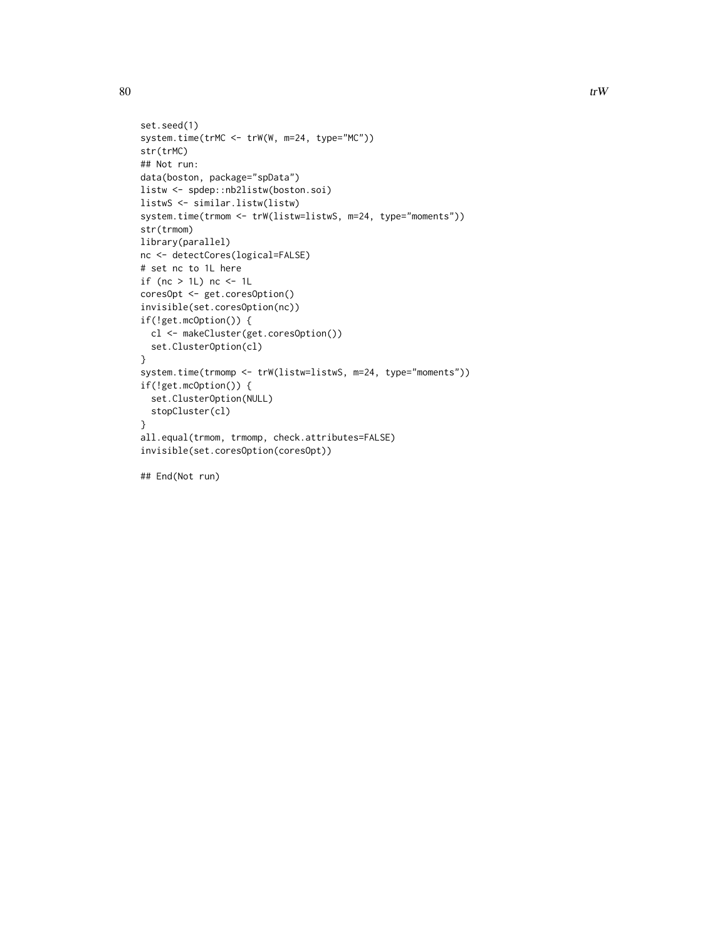```
set.seed(1)
system.time(trMC <- trW(W, m=24, type="MC"))
str(trMC)
## Not run:
data(boston, package="spData")
listw <- spdep::nb2listw(boston.soi)
listwS <- similar.listw(listw)
system.time(trmom <- trW(listw=listwS, m=24, type="moments"))
str(trmom)
library(parallel)
nc <- detectCores(logical=FALSE)
# set nc to 1L here
if (nc > 1L) nc <- 1L
coresOpt <- get.coresOption()
invisible(set.coresOption(nc))
if(!get.mcOption()) {
  cl <- makeCluster(get.coresOption())
  set.ClusterOption(cl)
}
system.time(trmomp <- trW(listw=listwS, m=24, type="moments"))
if(!get.mcOption()) {
  set.ClusterOption(NULL)
  stopCluster(cl)
}
all.equal(trmom, trmomp, check.attributes=FALSE)
invisible(set.coresOption(coresOpt))
```
## End(Not run)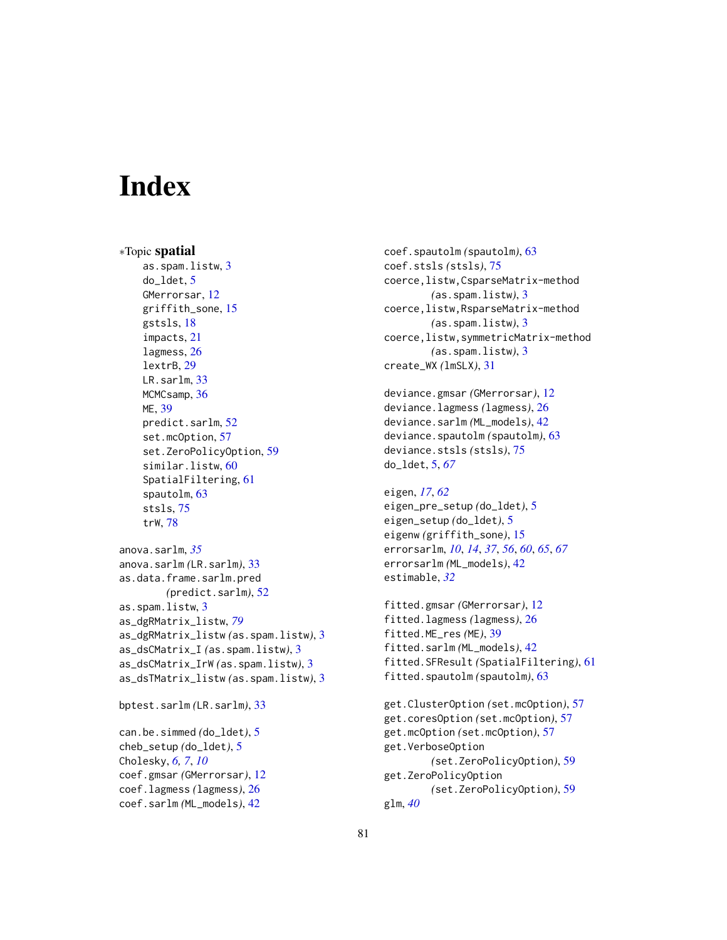# **Index**

∗Topic spatial as.spam.listw, [3](#page-2-1) do\_ldet, [5](#page-4-0) GMerrorsar, [12](#page-11-0) griffith\_sone, [15](#page-14-0) gstsls, [18](#page-17-0) impacts, [21](#page-20-0) lagmess, [26](#page-25-0) lextrB, [29](#page-28-0) LR.sarlm, [33](#page-32-0) MCMCsamp, [36](#page-35-0) ME, [39](#page-38-0) predict.sarlm, [52](#page-51-0) set.mcOption, [57](#page-56-0) set.ZeroPolicyOption, [59](#page-58-0) similar.listw, [60](#page-59-1) SpatialFiltering, [61](#page-60-0) spautolm, [63](#page-62-0) stsls, [75](#page-74-0) trW, [78](#page-77-0) anova.sarlm, *[35](#page-34-0)* anova.sarlm *(*LR.sarlm*)*, [33](#page-32-0) as.data.frame.sarlm.pred *(*predict.sarlm*)*, [52](#page-51-0) as.spam.listw, [3](#page-2-1) as\_dgRMatrix\_listw, *[79](#page-78-0)* as\_dgRMatrix\_listw *(*as.spam.listw*)*, [3](#page-2-1) as\_dsCMatrix\_I *(*as.spam.listw*)*, [3](#page-2-1) as\_dsCMatrix\_IrW *(*as.spam.listw*)*, [3](#page-2-1) as\_dsTMatrix\_listw *(*as.spam.listw*)*, [3](#page-2-1) bptest.sarlm *(*LR.sarlm*)*, [33](#page-32-0)

can.be.simmed *(*do\_ldet*)*, [5](#page-4-0) cheb\_setup *(*do\_ldet*)*, [5](#page-4-0) Cholesky, *[6,](#page-5-0) [7](#page-6-0)*, *[10](#page-9-0)* coef.gmsar *(*GMerrorsar*)*, [12](#page-11-0) coef.lagmess *(*lagmess*)*, [26](#page-25-0) coef.sarlm *(*ML\_models*)*, [42](#page-41-1)

```
coef.spautolm (spautolm), 63
coef.stsls (stsls), 75
coerce,listw,CsparseMatrix-method
        (as.spam.listw), 3
coerce,listw,RsparseMatrix-method
        (as.spam.listw), 3
coerce,listw,symmetricMatrix-method
        (as.spam.listw), 3
create_WX (lmSLX), 31
```

```
deviance.gmsar (GMerrorsar), 12
deviance.lagmess (lagmess), 26
deviance.sarlm (ML_models), 42
deviance.spautolm (spautolm), 63
deviance.stsls (stsls), 75
do_ldet, 5, 67
```

```
eigen, 17, 62
eigen_pre_setup (do_ldet), 5
eigen_setup (do_ldet), 5
eigenw (griffith_sone), 15
errorsarlm, 10, 14, 37, 56, 60, 65, 67
errorsarlm (ML_models), 42
estimable, 32
```

```
fitted.gmsar (GMerrorsar), 12
fitted.lagmess (lagmess), 26
fitted.ME_res (ME), 39
fitted.sarlm (ML_models), 42
fitted.SFResult (SpatialFiltering), 61
fitted.spautolm (spautolm), 63
```

```
get.ClusterOption (set.mcOption), 57
get.coresOption (set.mcOption), 57
get.mcOption (set.mcOption), 57
get.VerboseOption
        (set.ZeroPolicyOption), 59
get.ZeroPolicyOption
        (set.ZeroPolicyOption), 59
glm, 40
```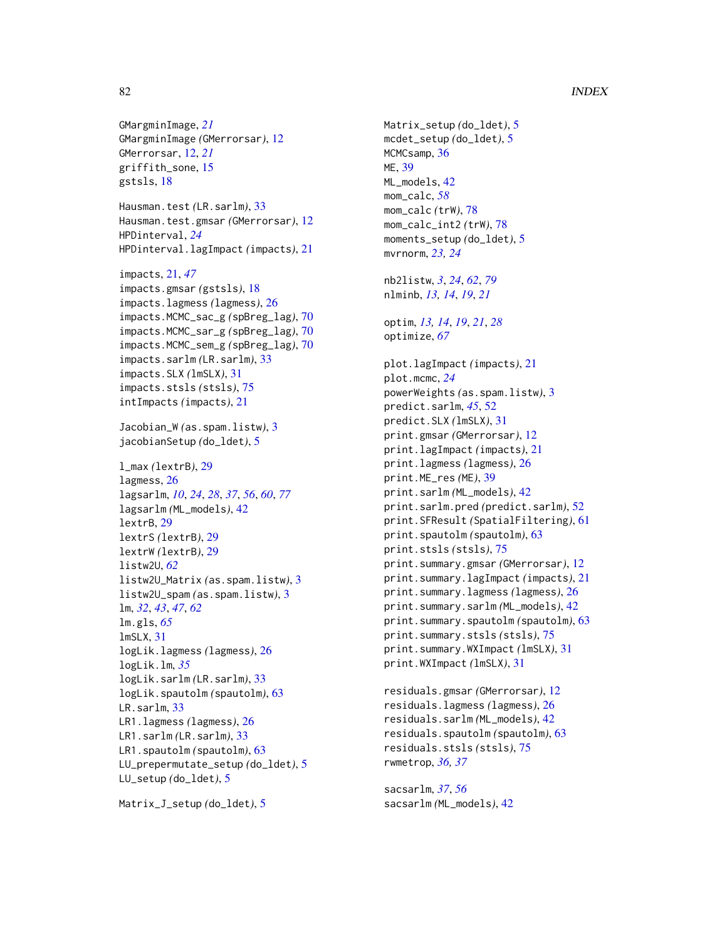# 82 INDEX

GMargminImage, *[21](#page-20-0)* GMargminImage *(*GMerrorsar*)*, [12](#page-11-0) GMerrorsar, [12,](#page-11-0) *[21](#page-20-0)* griffith\_sone, [15](#page-14-0) gstsls, [18](#page-17-0) Hausman.test *(*LR.sarlm*)*, [33](#page-32-0) Hausman.test.gmsar *(*GMerrorsar*)*, [12](#page-11-0) HPDinterval, *[24](#page-23-0)* HPDinterval.lagImpact *(*impacts*)*, [21](#page-20-0) impacts, [21,](#page-20-0) *[47](#page-46-0)* impacts.gmsar *(*gstsls*)*, [18](#page-17-0) impacts.lagmess *(*lagmess*)*, [26](#page-25-0) impacts.MCMC\_sac\_g *(*spBreg\_lag*)*, [70](#page-69-0) impacts.MCMC\_sar\_g *(*spBreg\_lag*)*, [70](#page-69-0) impacts.MCMC\_sem\_g *(*spBreg\_lag*)*, [70](#page-69-0) impacts.sarlm *(*LR.sarlm*)*, [33](#page-32-0) impacts.SLX *(*lmSLX*)*, [31](#page-30-0) impacts.stsls *(*stsls*)*, [75](#page-74-0) intImpacts *(*impacts*)*, [21](#page-20-0) Jacobian\_W *(*as.spam.listw*)*, [3](#page-2-1) jacobianSetup *(*do\_ldet*)*, [5](#page-4-0) l\_max *(*lextrB*)*, [29](#page-28-0) lagmess, [26](#page-25-0) lagsarlm, *[10](#page-9-0)*, *[24](#page-23-0)*, *[28](#page-27-0)*, *[37](#page-36-0)*, *[56](#page-55-0)*, *[60](#page-59-1)*, *[77](#page-76-0)* lagsarlm *(*ML\_models*)*, [42](#page-41-1) lextrB, [29](#page-28-0) lextrS *(*lextrB*)*, [29](#page-28-0) lextrW *(*lextrB*)*, [29](#page-28-0) listw2U, *[62](#page-61-0)* listw2U\_Matrix *(*as.spam.listw*)*, [3](#page-2-1) listw2U\_spam *(*as.spam.listw*)*, [3](#page-2-1) lm, *[32](#page-31-0)*, *[43](#page-42-0)*, *[47](#page-46-0)*, *[62](#page-61-0)* lm.gls, *[65](#page-64-0)* lmSLX, [31](#page-30-0) logLik.lagmess *(*lagmess*)*, [26](#page-25-0) logLik.lm, *[35](#page-34-0)* logLik.sarlm *(*LR.sarlm*)*, [33](#page-32-0) logLik.spautolm *(*spautolm*)*, [63](#page-62-0) LR.sarlm, [33](#page-32-0) LR1.lagmess *(*lagmess*)*, [26](#page-25-0) LR1.sarlm *(*LR.sarlm*)*, [33](#page-32-0) LR1.spautolm *(*spautolm*)*, [63](#page-62-0) LU\_prepermutate\_setup *(*do\_ldet*)*, [5](#page-4-0) LU\_setup *(*do\_ldet*)*, [5](#page-4-0)

```
Matrix_J_setup (do_ldet), 5
```
Matrix\_setup *(*do\_ldet*)*, [5](#page-4-0) mcdet\_setup *(*do\_ldet*)*, [5](#page-4-0) MCMCsamp, [36](#page-35-0) ME, [39](#page-38-0) ML\_models, [42](#page-41-1) mom\_calc, *[58](#page-57-0)* mom\_calc *(*trW*)*, [78](#page-77-0) mom\_calc\_int2 *(*trW*)*, [78](#page-77-0) moments\_setup *(*do\_ldet*)*, [5](#page-4-0) mvrnorm, *[23,](#page-22-0) [24](#page-23-0)* nb2listw, *[3](#page-2-1)*, *[24](#page-23-0)*, *[62](#page-61-0)*, *[79](#page-78-0)* nlminb, *[13,](#page-12-0) [14](#page-13-0)*, *[19](#page-18-0)*, *[21](#page-20-0)* optim, *[13,](#page-12-0) [14](#page-13-0)*, *[19](#page-18-0)*, *[21](#page-20-0)*, *[28](#page-27-0)* optimize, *[67](#page-66-0)* plot.lagImpact *(*impacts*)*, [21](#page-20-0) plot.mcmc, *[24](#page-23-0)* powerWeights *(*as.spam.listw*)*, [3](#page-2-1) predict.sarlm, *[45](#page-44-0)*, [52](#page-51-0) predict.SLX *(*lmSLX*)*, [31](#page-30-0) print.gmsar *(*GMerrorsar*)*, [12](#page-11-0) print.lagImpact *(*impacts*)*, [21](#page-20-0) print.lagmess *(*lagmess*)*, [26](#page-25-0) print.ME\_res *(*ME*)*, [39](#page-38-0) print.sarlm *(*ML\_models*)*, [42](#page-41-1) print.sarlm.pred *(*predict.sarlm*)*, [52](#page-51-0) print.SFResult *(*SpatialFiltering*)*, [61](#page-60-0) print.spautolm *(*spautolm*)*, [63](#page-62-0) print.stsls *(*stsls*)*, [75](#page-74-0) print.summary.gmsar *(*GMerrorsar*)*, [12](#page-11-0) print.summary.lagImpact *(*impacts*)*, [21](#page-20-0) print.summary.lagmess *(*lagmess*)*, [26](#page-25-0) print.summary.sarlm *(*ML\_models*)*, [42](#page-41-1) print.summary.spautolm *(*spautolm*)*, [63](#page-62-0) print.summary.stsls *(*stsls*)*, [75](#page-74-0) print.summary.WXImpact *(*lmSLX*)*, [31](#page-30-0) print.WXImpact *(*lmSLX*)*, [31](#page-30-0)

```
residuals.gmsar (GMerrorsar), 12
residuals.lagmess (lagmess), 26
residuals.sarlm (ML_models), 42
residuals.spautolm (spautolm), 63
residuals.stsls (stsls), 75
rwmetrop, 36, 37
```
sacsarlm, *[37](#page-36-0)*, *[56](#page-55-0)* sacsarlm *(*ML\_models*)*, [42](#page-41-1)